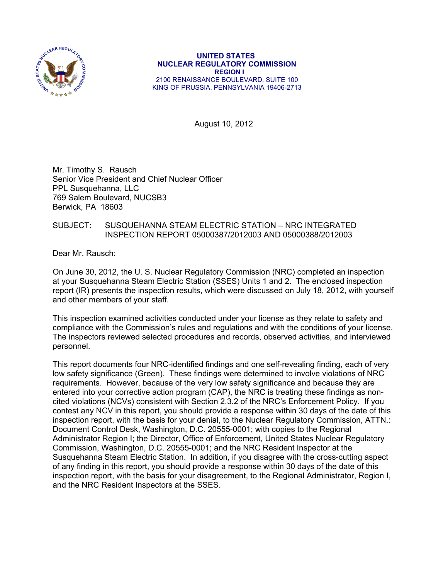

 **UNITED STATES NUCLEAR REGULATORY COMMISSION REGION I**  2100 RENAISSANCE BOULEVARD, SUITE 100 KING OF PRUSSIA, PENNSYLVANIA 19406-2713

August 10, 2012

Mr. Timothy S. Rausch Senior Vice President and Chief Nuclear Officer PPL Susquehanna, LLC 769 Salem Boulevard, NUCSB3 Berwick, PA 18603

## SUBJECT: SUSQUEHANNA STEAM ELECTRIC STATION – NRC INTEGRATED INSPECTION REPORT 05000387/2012003 AND 05000388/2012003

Dear Mr. Rausch:

On June 30, 2012, the U. S. Nuclear Regulatory Commission (NRC) completed an inspection at your Susquehanna Steam Electric Station (SSES) Units 1 and 2. The enclosed inspection report (IR) presents the inspection results, which were discussed on July 18, 2012, with yourself and other members of your staff.

This inspection examined activities conducted under your license as they relate to safety and compliance with the Commission's rules and regulations and with the conditions of your license. The inspectors reviewed selected procedures and records, observed activities, and interviewed personnel.

This report documents four NRC-identified findings and one self-revealing finding, each of very low safety significance (Green). These findings were determined to involve violations of NRC requirements. However, because of the very low safety significance and because they are entered into your corrective action program (CAP), the NRC is treating these findings as noncited violations (NCVs) consistent with Section 2.3.2 of the NRC's Enforcement Policy. If you contest any NCV in this report, you should provide a response within 30 days of the date of this inspection report, with the basis for your denial, to the Nuclear Regulatory Commission, ATTN.: Document Control Desk, Washington, D.C. 20555-0001; with copies to the Regional Administrator Region I; the Director, Office of Enforcement, United States Nuclear Regulatory Commission, Washington, D.C. 20555-0001; and the NRC Resident Inspector at the Susquehanna Steam Electric Station. In addition, if you disagree with the cross-cutting aspect of any finding in this report, you should provide a response within 30 days of the date of this inspection report, with the basis for your disagreement, to the Regional Administrator, Region I, and the NRC Resident Inspectors at the SSES.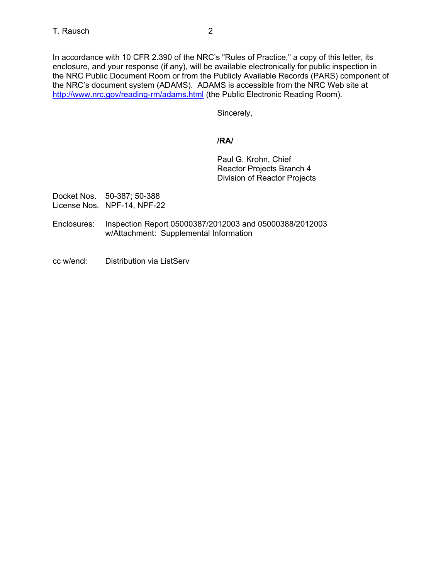In accordance with 10 CFR 2.390 of the NRC's "Rules of Practice," a copy of this letter, its enclosure, and your response (if any), will be available electronically for public inspection in the NRC Public Document Room or from the Publicly Available Records (PARS) component of the NRC's document system (ADAMS). ADAMS is accessible from the NRC Web site at http://www.nrc.gov/reading-rm/adams.html (the Public Electronic Reading Room).

Sincerely,

# **/RA/**

Paul G. Krohn, Chief Reactor Projects Branch 4 Division of Reactor Projects

Docket Nos. 50-387; 50-388 License Nos. NPF-14, NPF-22

- Enclosures: Inspection Report 05000387/2012003 and 05000388/2012003 w/Attachment: Supplemental Information
- cc w/encl: Distribution via ListServ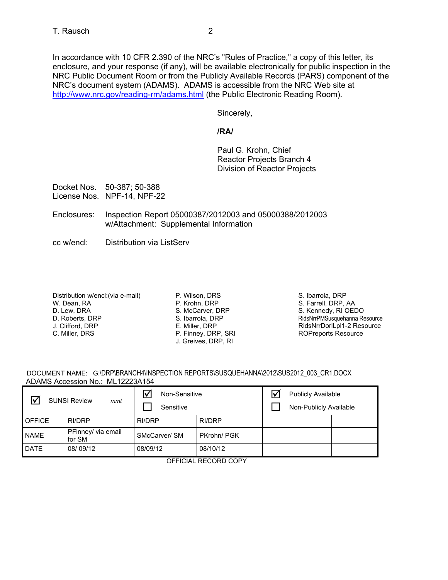Sincerely,

## **/RA/**

Paul G. Krohn, Chief Reactor Projects Branch 4 Division of Reactor Projects

Docket Nos. 50-387; 50-388 License Nos. NPF-14, NPF-22

- Enclosures: Inspection Report 05000387/2012003 and 05000388/2012003 w/Attachment: Supplemental Information
- cc w/encl: Distribution via ListServ

Distribution w/encl:(via e-mail) W. Dean, RA D. Lew, DRA D. Roberts, DRP J. Clifford, DRP C. Miller, DRS

P. Wilson, DRS P. Krohn, DRP S. McCarver, DRP S. Ibarrola, DRP E. Miller, DRP P. Finney, DRP, SRI J. Greives, DRP, RI

S. Ibarrola, DRP S. Farrell, DRP, AA S. Kennedy, RI OEDO RidsNrrPMSusquehanna Resource RidsNrrDorlLpl1-2 Resource ROPreports Resource

|  | DOCUMENT NAME: G:\DRP\BRANCH4\INSPECTION REPORTS\SUSQUEHANNA\2012\SUS2012 003 CR1.DOCX |  |
|--|----------------------------------------------------------------------------------------|--|
|  | ADAMS Accession No.: ML12223A154                                                       |  |

| ∇<br><b>SUNSI Review</b><br>mmt |                              | Non-Sensitive<br>Sensitive |               | <b>Publicly Available</b><br>Non-Publicly Available |  |
|---------------------------------|------------------------------|----------------------------|---------------|-----------------------------------------------------|--|
| l OFFICE                        | RI/DRP                       | RI/DRP                     | <b>RI/DRP</b> |                                                     |  |
| <b>NAME</b>                     | PFinney/ via email<br>for SM | SMcCarver/ SM              | PKrohn/PGK    |                                                     |  |
| DATE                            | 08/09/12                     | 08/09/12                   | 08/10/12      |                                                     |  |

## OFFICIAL RECORD COPY

NRC's document system (ADAMS). ADAMS is accessible from the NRC Web site at http://www.nrc.gov/reading-rm/adams.html (the Public Electronic Reading Room).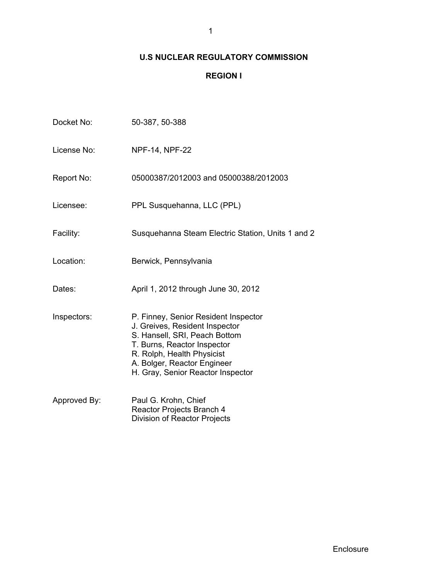# **U.S NUCLEAR REGULATORY COMMISSION**

# **REGION I**

| Docket No:   | 50-387, 50-388                                                                                                                                                                                                                           |
|--------------|------------------------------------------------------------------------------------------------------------------------------------------------------------------------------------------------------------------------------------------|
| License No:  | <b>NPF-14, NPF-22</b>                                                                                                                                                                                                                    |
| Report No:   | 05000387/2012003 and 05000388/2012003                                                                                                                                                                                                    |
| Licensee:    | PPL Susquehanna, LLC (PPL)                                                                                                                                                                                                               |
| Facility:    | Susquehanna Steam Electric Station, Units 1 and 2                                                                                                                                                                                        |
| Location:    | Berwick, Pennsylvania                                                                                                                                                                                                                    |
| Dates:       | April 1, 2012 through June 30, 2012                                                                                                                                                                                                      |
| Inspectors:  | P. Finney, Senior Resident Inspector<br>J. Greives, Resident Inspector<br>S. Hansell, SRI, Peach Bottom<br>T. Burns, Reactor Inspector<br>R. Rolph, Health Physicist<br>A. Bolger, Reactor Engineer<br>H. Gray, Senior Reactor Inspector |
| Approved By: | Paul G. Krohn, Chief<br>Reactor Projects Branch 4<br>Division of Reactor Projects                                                                                                                                                        |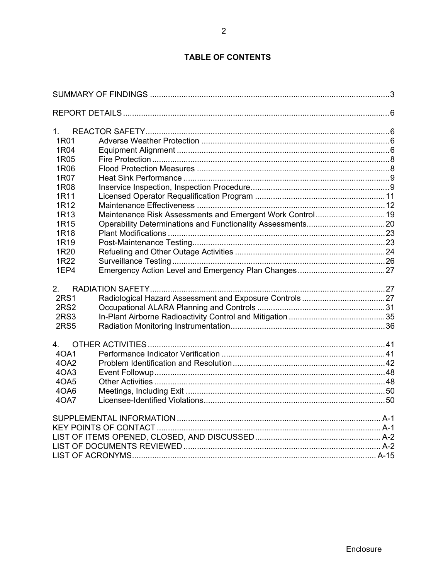# **TABLE OF CONTENTS**

| 1.               |  |
|------------------|--|
| 1R <sub>01</sub> |  |
| 1R04             |  |
| 1R05             |  |
| 1R06             |  |
| 1R07             |  |
| 1R <sub>08</sub> |  |
| 1R11             |  |
| 1R12             |  |
| 1R13             |  |
| 1R <sub>15</sub> |  |
| 1R18             |  |
| 1R19             |  |
| 1R <sub>20</sub> |  |
| 1R22             |  |
| 1EP4             |  |
| $2_{-}$          |  |
| <b>2RS1</b>      |  |
| <b>2RS2</b>      |  |
| 2RS3             |  |
| <b>2RS5</b>      |  |
| $\overline{4}$   |  |
| 40A1             |  |
| 4OA2             |  |
| 4OA3             |  |
| 40A5             |  |
| 4OA6             |  |
| 40A7             |  |
|                  |  |
|                  |  |
|                  |  |
|                  |  |
|                  |  |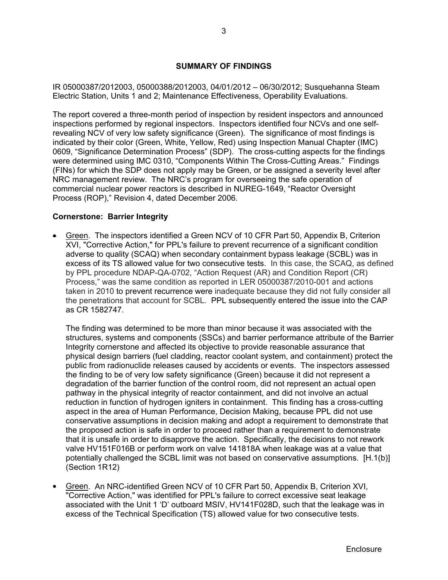## **SUMMARY OF FINDINGS**

IR 05000387/2012003, 05000388/2012003, 04/01/2012 – 06/30/2012; Susquehanna Steam Electric Station, Units 1 and 2; Maintenance Effectiveness, Operability Evaluations.

The report covered a three-month period of inspection by resident inspectors and announced inspections performed by regional inspectors. Inspectors identified four NCVs and one selfrevealing NCV of very low safety significance (Green). The significance of most findings is indicated by their color (Green, White, Yellow, Red) using Inspection Manual Chapter (IMC) 0609, "Significance Determination Process" (SDP). The cross-cutting aspects for the findings were determined using IMC 0310, "Components Within The Cross-Cutting Areas." Findings (FINs) for which the SDP does not apply may be Green, or be assigned a severity level after NRC management review. The NRC's program for overseeing the safe operation of commercial nuclear power reactors is described in NUREG-1649, "Reactor Oversight Process (ROP)," Revision 4, dated December 2006.

## **Cornerstone: Barrier Integrity**

 Green. The inspectors identified a Green NCV of 10 CFR Part 50, Appendix B, Criterion XVI, "Corrective Action," for PPL's failure to prevent recurrence of a significant condition adverse to quality (SCAQ) when secondary containment bypass leakage (SCBL) was in excess of its TS allowed value for two consecutive tests. In this case, the SCAQ, as defined by PPL procedure NDAP-QA-0702, "Action Request (AR) and Condition Report (CR) Process," was the same condition as reported in LER 05000387/2010-001 and actions taken in 2010 to prevent recurrence were inadequate because they did not fully consider all the penetrations that account for SCBL. PPL subsequently entered the issue into the CAP as CR 1582747.

The finding was determined to be more than minor because it was associated with the structures, systems and components (SSCs) and barrier performance attribute of the Barrier Integrity cornerstone and affected its objective to provide reasonable assurance that physical design barriers (fuel cladding, reactor coolant system, and containment) protect the public from radionuclide releases caused by accidents or events. The inspectors assessed the finding to be of very low safety significance (Green) because it did not represent a degradation of the barrier function of the control room, did not represent an actual open pathway in the physical integrity of reactor containment, and did not involve an actual reduction in function of hydrogen igniters in containment. This finding has a cross-cutting aspect in the area of Human Performance, Decision Making, because PPL did not use conservative assumptions in decision making and adopt a requirement to demonstrate that the proposed action is safe in order to proceed rather than a requirement to demonstrate that it is unsafe in order to disapprove the action. Specifically, the decisions to not rework valve HV151F016B or perform work on valve 141818A when leakage was at a value that potentially challenged the SCBL limit was not based on conservative assumptions. [H.1(b)] (Section 1R12)

 Green. An NRC-identified Green NCV of 10 CFR Part 50, Appendix B, Criterion XVI, "Corrective Action," was identified for PPL's failure to correct excessive seat leakage associated with the Unit 1 'D' outboard MSIV, HV141F028D, such that the leakage was in excess of the Technical Specification (TS) allowed value for two consecutive tests.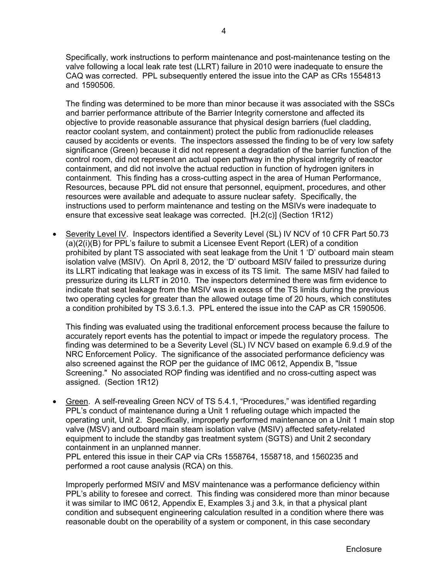Specifically, work instructions to perform maintenance and post-maintenance testing on the valve following a local leak rate test (LLRT) failure in 2010 were inadequate to ensure the CAQ was corrected. PPL subsequently entered the issue into the CAP as CRs 1554813 and 1590506.

The finding was determined to be more than minor because it was associated with the SSCs and barrier performance attribute of the Barrier Integrity cornerstone and affected its objective to provide reasonable assurance that physical design barriers (fuel cladding, reactor coolant system, and containment) protect the public from radionuclide releases caused by accidents or events. The inspectors assessed the finding to be of very low safety significance (Green) because it did not represent a degradation of the barrier function of the control room, did not represent an actual open pathway in the physical integrity of reactor containment, and did not involve the actual reduction in function of hydrogen igniters in containment. This finding has a cross-cutting aspect in the area of Human Performance, Resources, because PPL did not ensure that personnel, equipment, procedures, and other resources were available and adequate to assure nuclear safety. Specifically, the instructions used to perform maintenance and testing on the MSIVs were inadequate to ensure that excessive seat leakage was corrected. [H.2(c)] (Section 1R12)

 Severity Level IV. Inspectors identified a Severity Level (SL) IV NCV of 10 CFR Part 50.73 (a)(2(i)(B) for PPL's failure to submit a Licensee Event Report (LER) of a condition prohibited by plant TS associated with seat leakage from the Unit 1 'D' outboard main steam isolation valve (MSIV). On April 8, 2012, the 'D' outboard MSIV failed to pressurize during its LLRT indicating that leakage was in excess of its TS limit. The same MSIV had failed to pressurize during its LLRT in 2010. The inspectors determined there was firm evidence to indicate that seat leakage from the MSIV was in excess of the TS limits during the previous two operating cycles for greater than the allowed outage time of 20 hours, which constitutes a condition prohibited by TS 3.6.1.3. PPL entered the issue into the CAP as CR 1590506.

This finding was evaluated using the traditional enforcement process because the failure to accurately report events has the potential to impact or impede the regulatory process. The finding was determined to be a Severity Level (SL) IV NCV based on example 6.9.d.9 of the NRC Enforcement Policy. The significance of the associated performance deficiency was also screened against the ROP per the guidance of IMC 0612, Appendix B, "lssue Screening." No associated ROP finding was identified and no cross-cutting aspect was assigned. (Section 1R12)

 Green. A self-revealing Green NCV of TS 5.4.1, "Procedures," was identified regarding PPL's conduct of maintenance during a Unit 1 refueling outage which impacted the operating unit, Unit 2. Specifically, improperly performed maintenance on a Unit 1 main stop valve (MSV) and outboard main steam isolation valve (MSIV) affected safety-related equipment to include the standby gas treatment system (SGTS) and Unit 2 secondary containment in an unplanned manner.

PPL entered this issue in their CAP via CRs 1558764, 1558718, and 1560235 and performed a root cause analysis (RCA) on this.

Improperly performed MSIV and MSV maintenance was a performance deficiency within PPL's ability to foresee and correct. This finding was considered more than minor because it was similar to IMC 0612, Appendix E, Examples 3.j and 3.k, in that a physical plant condition and subsequent engineering calculation resulted in a condition where there was reasonable doubt on the operability of a system or component, in this case secondary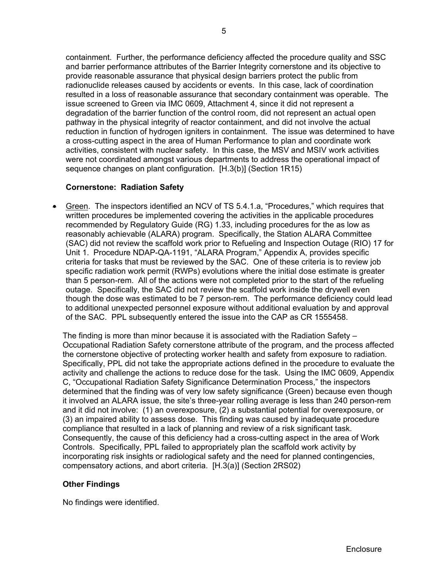containment. Further, the performance deficiency affected the procedure quality and SSC and barrier performance attributes of the Barrier Integrity cornerstone and its objective to provide reasonable assurance that physical design barriers protect the public from radionuclide releases caused by accidents or events. In this case, lack of coordination resulted in a loss of reasonable assurance that secondary containment was operable. The issue screened to Green via IMC 0609, Attachment 4, since it did not represent a degradation of the barrier function of the control room, did not represent an actual open pathway in the physical integrity of reactor containment, and did not involve the actual reduction in function of hydrogen igniters in containment. The issue was determined to have a cross-cutting aspect in the area of Human Performance to plan and coordinate work activities, consistent with nuclear safety. In this case, the MSV and MSIV work activities were not coordinated amongst various departments to address the operational impact of sequence changes on plant configuration. [H.3(b)] (Section 1R15)

## **Cornerstone: Radiation Safety**

 Green. The inspectors identified an NCV of TS 5.4.1.a, "Procedures," which requires that written procedures be implemented covering the activities in the applicable procedures recommended by Regulatory Guide (RG) 1.33, including procedures for the as low as reasonably achievable (ALARA) program. Specifically, the Station ALARA Committee (SAC) did not review the scaffold work prior to Refueling and Inspection Outage (RIO) 17 for Unit 1. Procedure NDAP-QA-1191, "ALARA Program," Appendix A, provides specific criteria for tasks that must be reviewed by the SAC. One of these criteria is to review job specific radiation work permit (RWPs) evolutions where the initial dose estimate is greater than 5 person-rem. All of the actions were not completed prior to the start of the refueling outage. Specifically, the SAC did not review the scaffold work inside the drywell even though the dose was estimated to be 7 person-rem. The performance deficiency could lead to additional unexpected personnel exposure without additional evaluation by and approval of the SAC. PPL subsequently entered the issue into the CAP as CR 1555458.

The finding is more than minor because it is associated with the Radiation Safety – Occupational Radiation Safety cornerstone attribute of the program, and the process affected the cornerstone objective of protecting worker health and safety from exposure to radiation. Specifically, PPL did not take the appropriate actions defined in the procedure to evaluate the activity and challenge the actions to reduce dose for the task. Using the IMC 0609, Appendix C, "Occupational Radiation Safety Significance Determination Process," the inspectors determined that the finding was of very low safety significance (Green) because even though it involved an ALARA issue, the site's three-year rolling average is less than 240 person-rem and it did not involve: (1) an overexposure, (2) a substantial potential for overexposure, or (3) an impaired ability to assess dose. This finding was caused by inadequate procedure compliance that resulted in a lack of planning and review of a risk significant task. Consequently, the cause of this deficiency had a cross-cutting aspect in the area of Work Controls. Specifically, PPL failed to appropriately plan the scaffold work activity by incorporating risk insights or radiological safety and the need for planned contingencies, compensatory actions, and abort criteria. [H.3(a)] (Section 2RS02)

## **Other Findings**

No findings were identified.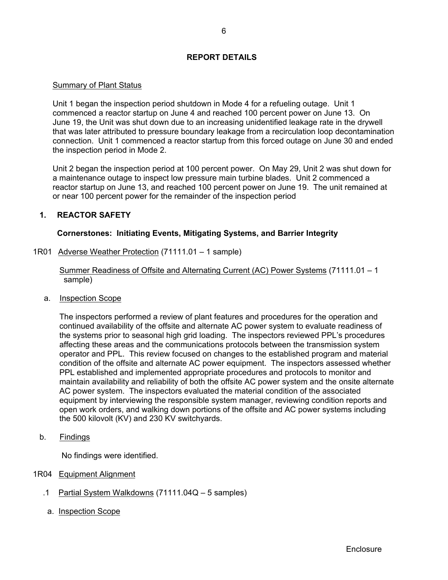## **REPORT DETAILS**

## Summary of Plant Status

Unit 1 began the inspection period shutdown in Mode 4 for a refueling outage. Unit 1 commenced a reactor startup on June 4 and reached 100 percent power on June 13. On June 19, the Unit was shut down due to an increasing unidentified leakage rate in the drywell that was later attributed to pressure boundary leakage from a recirculation loop decontamination connection. Unit 1 commenced a reactor startup from this forced outage on June 30 and ended the inspection period in Mode 2.

Unit 2 began the inspection period at 100 percent power. On May 29, Unit 2 was shut down for a maintenance outage to inspect low pressure main turbine blades. Unit 2 commenced a reactor startup on June 13, and reached 100 percent power on June 19. The unit remained at or near 100 percent power for the remainder of the inspection period

## **1. REACTOR SAFETY**

## **Cornerstones: Initiating Events, Mitigating Systems, and Barrier Integrity**

1R01 Adverse Weather Protection (71111.01 – 1 sample)

 Summer Readiness of Offsite and Alternating Current (AC) Power Systems (71111.01 – 1 sample)

a. Inspection Scope

 The inspectors performed a review of plant features and procedures for the operation and continued availability of the offsite and alternate AC power system to evaluate readiness of the systems prior to seasonal high grid loading. The inspectors reviewed PPL's procedures affecting these areas and the communications protocols between the transmission system operator and PPL. This review focused on changes to the established program and material condition of the offsite and alternate AC power equipment. The inspectors assessed whether PPL established and implemented appropriate procedures and protocols to monitor and maintain availability and reliability of both the offsite AC power system and the onsite alternate AC power system. The inspectors evaluated the material condition of the associated equipment by interviewing the responsible system manager, reviewing condition reports and open work orders, and walking down portions of the offsite and AC power systems including the 500 kilovolt (KV) and 230 KV switchyards.

b. Findings

No findings were identified.

- 1R04 Equipment Alignment
	- .1 Partial System Walkdowns (71111.04Q 5 samples)
	- a. Inspection Scope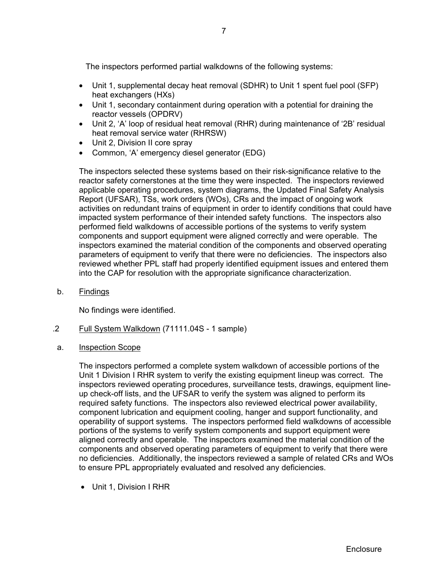The inspectors performed partial walkdowns of the following systems:

- Unit 1, supplemental decay heat removal (SDHR) to Unit 1 spent fuel pool (SFP) heat exchangers (HXs)
- Unit 1, secondary containment during operation with a potential for draining the reactor vessels (OPDRV)
- Unit 2, 'A' loop of residual heat removal (RHR) during maintenance of '2B' residual heat removal service water (RHRSW)
- Unit 2, Division II core spray
- Common, 'A' emergency diesel generator (EDG)

The inspectors selected these systems based on their risk-significance relative to the reactor safety cornerstones at the time they were inspected. The inspectors reviewed applicable operating procedures, system diagrams, the Updated Final Safety Analysis Report (UFSAR), TSs, work orders (WOs), CRs and the impact of ongoing work activities on redundant trains of equipment in order to identify conditions that could have impacted system performance of their intended safety functions. The inspectors also performed field walkdowns of accessible portions of the systems to verify system components and support equipment were aligned correctly and were operable. The inspectors examined the material condition of the components and observed operating parameters of equipment to verify that there were no deficiencies. The inspectors also reviewed whether PPL staff had properly identified equipment issues and entered them into the CAP for resolution with the appropriate significance characterization.

b. Findings

No findings were identified.

- .2 Full System Walkdown (71111.04S 1 sample)
- a. Inspection Scope

The inspectors performed a complete system walkdown of accessible portions of the Unit 1 Division I RHR system to verify the existing equipment lineup was correct. The inspectors reviewed operating procedures, surveillance tests, drawings, equipment lineup check-off lists, and the UFSAR to verify the system was aligned to perform its required safety functions. The inspectors also reviewed electrical power availability, component lubrication and equipment cooling, hanger and support functionality, and operability of support systems. The inspectors performed field walkdowns of accessible portions of the systems to verify system components and support equipment were aligned correctly and operable. The inspectors examined the material condition of the components and observed operating parameters of equipment to verify that there were no deficiencies. Additionally, the inspectors reviewed a sample of related CRs and WOs to ensure PPL appropriately evaluated and resolved any deficiencies.

Unit 1, Division I RHR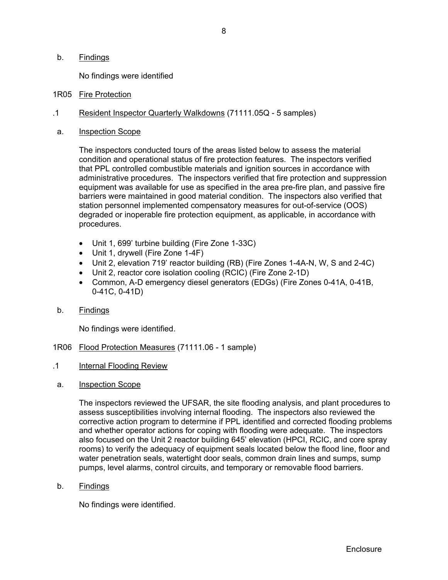### b. Findings

No findings were identified

- 1R05 Fire Protection
- .1 Resident Inspector Quarterly Walkdowns (71111.05Q 5 samples)
- a. Inspection Scope

The inspectors conducted tours of the areas listed below to assess the material condition and operational status of fire protection features. The inspectors verified that PPL controlled combustible materials and ignition sources in accordance with administrative procedures. The inspectors verified that fire protection and suppression equipment was available for use as specified in the area pre-fire plan, and passive fire barriers were maintained in good material condition. The inspectors also verified that station personnel implemented compensatory measures for out-of-service (OOS) degraded or inoperable fire protection equipment, as applicable, in accordance with procedures.

- Unit 1, 699' turbine building (Fire Zone 1-33C)
- Unit 1, drywell (Fire Zone 1-4F)
- Unit 2, elevation 719' reactor building (RB) (Fire Zones 1-4A-N, W, S and 2-4C)
- Unit 2, reactor core isolation cooling (RCIC) (Fire Zone 2-1D)
- Common, A-D emergency diesel generators (EDGs) (Fire Zones 0-41A, 0-41B, 0-41C, 0-41D)
- b. Findings

No findings were identified.

- 1R06 Flood Protection Measures (71111.06 1 sample)
- .1 Internal Flooding Review
- a. Inspection Scope

The inspectors reviewed the UFSAR, the site flooding analysis, and plant procedures to assess susceptibilities involving internal flooding. The inspectors also reviewed the corrective action program to determine if PPL identified and corrected flooding problems and whether operator actions for coping with flooding were adequate. The inspectors also focused on the Unit 2 reactor building 645' elevation (HPCI, RCIC, and core spray rooms) to verify the adequacy of equipment seals located below the flood line, floor and water penetration seals, watertight door seals, common drain lines and sumps, sump pumps, level alarms, control circuits, and temporary or removable flood barriers.

b. Findings

No findings were identified.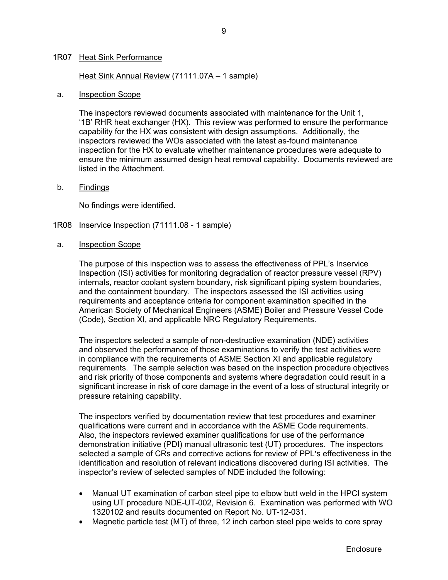#### 1R07 Heat Sink Performance

#### Heat Sink Annual Review (71111.07A – 1 sample)

#### a. Inspection Scope

The inspectors reviewed documents associated with maintenance for the Unit 1, '1B' RHR heat exchanger (HX). This review was performed to ensure the performance capability for the HX was consistent with design assumptions. Additionally, the inspectors reviewed the WOs associated with the latest as-found maintenance inspection for the HX to evaluate whether maintenance procedures were adequate to ensure the minimum assumed design heat removal capability. Documents reviewed are listed in the Attachment.

#### b. Findings

No findings were identified.

- 1R08 Inservice Inspection (71111.08 1 sample)
- a. Inspection Scope

The purpose of this inspection was to assess the effectiveness of PPL's Inservice Inspection (ISI) activities for monitoring degradation of reactor pressure vessel (RPV) internals, reactor coolant system boundary, risk significant piping system boundaries, and the containment boundary. The inspectors assessed the ISI activities using requirements and acceptance criteria for component examination specified in the American Society of Mechanical Engineers (ASME) Boiler and Pressure Vessel Code (Code), Section XI, and applicable NRC Regulatory Requirements.

The inspectors selected a sample of non-destructive examination (NDE) activities and observed the performance of those examinations to verify the test activities were in compliance with the requirements of ASME Section XI and applicable regulatory requirements. The sample selection was based on the inspection procedure objectives and risk priority of those components and systems where degradation could result in a significant increase in risk of core damage in the event of a loss of structural integrity or pressure retaining capability.

The inspectors verified by documentation review that test procedures and examiner qualifications were current and in accordance with the ASME Code requirements. Also, the inspectors reviewed examiner qualifications for use of the performance demonstration initiative (PDI) manual ultrasonic test (UT) procedures. The inspectors selected a sample of CRs and corrective actions for review of PPL's effectiveness in the identification and resolution of relevant indications discovered during ISI activities. The inspector's review of selected samples of NDE included the following:

- Manual UT examination of carbon steel pipe to elbow butt weld in the HPCI system using UT procedure NDE-UT-002, Revision 6. Examination was performed with WO 1320102 and results documented on Report No. UT-12-031.
- Magnetic particle test (MT) of three, 12 inch carbon steel pipe welds to core spray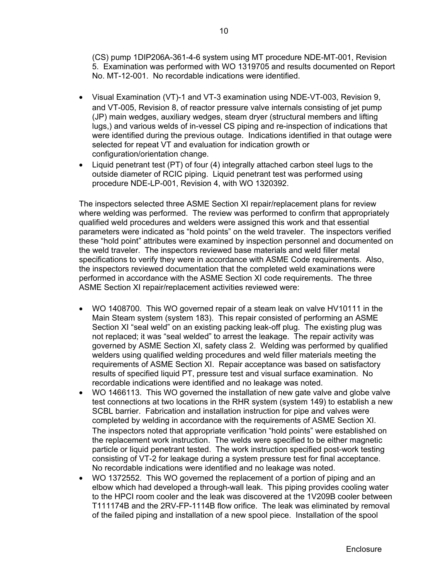(CS) pump 1DIP206A-361-4-6 system using MT procedure NDE-MT-001, Revision 5. Examination was performed with WO 1319705 and results documented on Report No. MT-12-001. No recordable indications were identified.

- Visual Examination (VT)-1 and VT-3 examination using NDE-VT-003, Revision 9, and VT-005, Revision 8, of reactor pressure valve internals consisting of jet pump (JP) main wedges, auxiliary wedges, steam dryer (structural members and lifting lugs,) and various welds of in-vessel CS piping and re-inspection of indications that were identified during the previous outage. Indications identified in that outage were selected for repeat VT and evaluation for indication growth or configuration/orientation change.
- Liquid penetrant test (PT) of four (4) integrally attached carbon steel lugs to the outside diameter of RCIC piping. Liquid penetrant test was performed using procedure NDE-LP-001, Revision 4, with WO 1320392.

The inspectors selected three ASME Section XI repair/replacement plans for review where welding was performed. The review was performed to confirm that appropriately qualified weld procedures and welders were assigned this work and that essential parameters were indicated as "hold points" on the weld traveler. The inspectors verified these "hold point" attributes were examined by inspection personnel and documented on the weld traveler. The inspectors reviewed base materials and weld filler metal specifications to verify they were in accordance with ASME Code requirements. Also, the inspectors reviewed documentation that the completed weld examinations were performed in accordance with the ASME Section XI code requirements. The three ASME Section XI repair/replacement activities reviewed were:

- WO 1408700. This WO governed repair of a steam leak on valve HV10111 in the Main Steam system (system 183). This repair consisted of performing an ASME Section XI "seal weld" on an existing packing leak-off plug. The existing plug was not replaced; it was "seal welded" to arrest the leakage. The repair activity was governed by ASME Section XI, safety class 2. Welding was performed by qualified welders using qualified welding procedures and weld filler materials meeting the requirements of ASME Section XI. Repair acceptance was based on satisfactory results of specified liquid PT, pressure test and visual surface examination. No recordable indications were identified and no leakage was noted.
- WO 1466113. This WO governed the installation of new gate valve and globe valve test connections at two locations in the RHR system (system 149) to establish a new SCBL barrier. Fabrication and installation instruction for pipe and valves were completed by welding in accordance with the requirements of ASME Section XI. The inspectors noted that appropriate verification "hold points" were established on the replacement work instruction. The welds were specified to be either magnetic particle or liquid penetrant tested. The work instruction specified post-work testing consisting of VT-2 for leakage during a system pressure test for final acceptance. No recordable indications were identified and no leakage was noted.
- WO 1372552. This WO governed the replacement of a portion of piping and an elbow which had developed a through-wall leak. This piping provides cooling water to the HPCI room cooler and the leak was discovered at the 1V209B cooler between T111174B and the 2RV-FP-1114B flow orifice. The leak was eliminated by removal of the failed piping and installation of a new spool piece. Installation of the spool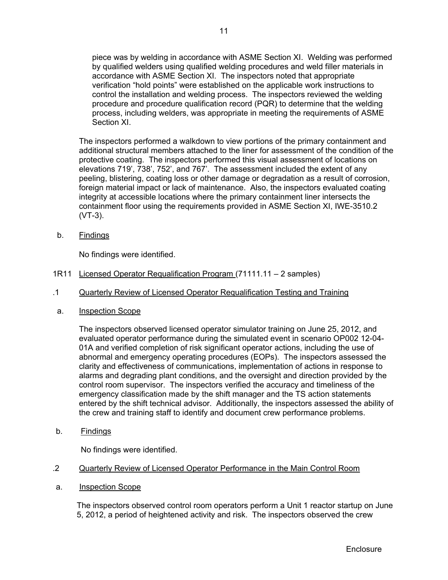piece was by welding in accordance with ASME Section XI. Welding was performed by qualified welders using qualified welding procedures and weld filler materials in accordance with ASME Section XI. The inspectors noted that appropriate verification "hold points" were established on the applicable work instructions to control the installation and welding process. The inspectors reviewed the welding procedure and procedure qualification record (PQR) to determine that the welding process, including welders, was appropriate in meeting the requirements of ASME Section XI.

The inspectors performed a walkdown to view portions of the primary containment and additional structural members attached to the liner for assessment of the condition of the protective coating. The inspectors performed this visual assessment of locations on elevations 719', 738', 752', and 767'. The assessment included the extent of any peeling, blistering, coating loss or other damage or degradation as a result of corrosion, foreign material impact or lack of maintenance. Also, the inspectors evaluated coating integrity at accessible locations where the primary containment liner intersects the containment floor using the requirements provided in ASME Section XI, IWE-3510.2 (VT-3).

b. Findings

No findings were identified.

- 1R11 Licensed Operator Requalification Program (71111.11 2 samples)
- .1 Quarterly Review of Licensed Operator Requalification Testing and Training
- a. Inspection Scope

The inspectors observed licensed operator simulator training on June 25, 2012, and evaluated operator performance during the simulated event in scenario OP002 12-04- 01A and verified completion of risk significant operator actions, including the use of abnormal and emergency operating procedures (EOPs). The inspectors assessed the clarity and effectiveness of communications, implementation of actions in response to alarms and degrading plant conditions, and the oversight and direction provided by the control room supervisor. The inspectors verified the accuracy and timeliness of the emergency classification made by the shift manager and the TS action statements entered by the shift technical advisor. Additionally, the inspectors assessed the ability of the crew and training staff to identify and document crew performance problems.

b. Findings

No findings were identified.

- .2 Quarterly Review of Licensed Operator Performance in the Main Control Room
- a. Inspection Scope

The inspectors observed control room operators perform a Unit 1 reactor startup on June 5, 2012, a period of heightened activity and risk. The inspectors observed the crew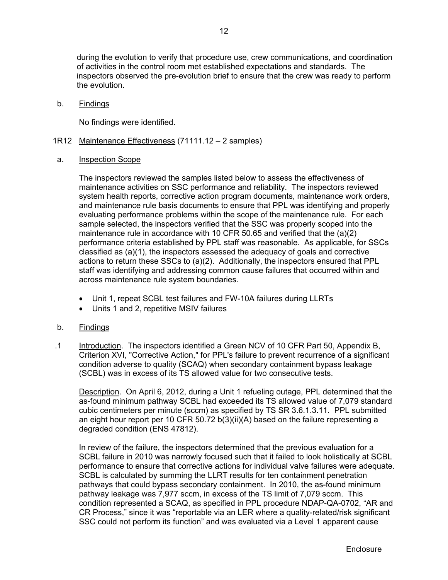during the evolution to verify that procedure use, crew communications, and coordination of activities in the control room met established expectations and standards. The inspectors observed the pre-evolution brief to ensure that the crew was ready to perform the evolution.

b. Findings

No findings were identified.

- 1R12 Maintenance Effectiveness (71111.12 2 samples)
- a. Inspection Scope

The inspectors reviewed the samples listed below to assess the effectiveness of maintenance activities on SSC performance and reliability. The inspectors reviewed system health reports, corrective action program documents, maintenance work orders, and maintenance rule basis documents to ensure that PPL was identifying and properly evaluating performance problems within the scope of the maintenance rule. For each sample selected, the inspectors verified that the SSC was properly scoped into the maintenance rule in accordance with 10 CFR 50.65 and verified that the (a)(2) performance criteria established by PPL staff was reasonable. As applicable, for SSCs classified as (a)(1), the inspectors assessed the adequacy of goals and corrective actions to return these SSCs to (a)(2). Additionally, the inspectors ensured that PPL staff was identifying and addressing common cause failures that occurred within and across maintenance rule system boundaries.

- Unit 1, repeat SCBL test failures and FW-10A failures during LLRTs
- Units 1 and 2, repetitive MSIV failures
- b. Findings
- .1 Introduction. The inspectors identified a Green NCV of 10 CFR Part 50, Appendix B, Criterion XVI, "Corrective Action," for PPL's failure to prevent recurrence of a significant condition adverse to quality (SCAQ) when secondary containment bypass leakage (SCBL) was in excess of its TS allowed value for two consecutive tests.

Description. On April 6, 2012, during a Unit 1 refueling outage, PPL determined that the as-found minimum pathway SCBL had exceeded its TS allowed value of 7,079 standard cubic centimeters per minute (sccm) as specified by TS SR 3.6.1.3.11. PPL submitted an eight hour report per 10 CFR 50.72 b(3)(ii)(A) based on the failure representing a degraded condition (ENS 47812).

In review of the failure, the inspectors determined that the previous evaluation for a SCBL failure in 2010 was narrowly focused such that it failed to look holistically at SCBL performance to ensure that corrective actions for individual valve failures were adequate. SCBL is calculated by summing the LLRT results for ten containment penetration pathways that could bypass secondary containment. In 2010, the as-found minimum pathway leakage was 7,977 sccm, in excess of the TS limit of 7,079 sccm. This condition represented a SCAQ, as specified in PPL procedure NDAP-QA-0702, "AR and CR Process," since it was "reportable via an LER where a quality-related/risk significant SSC could not perform its function" and was evaluated via a Level 1 apparent cause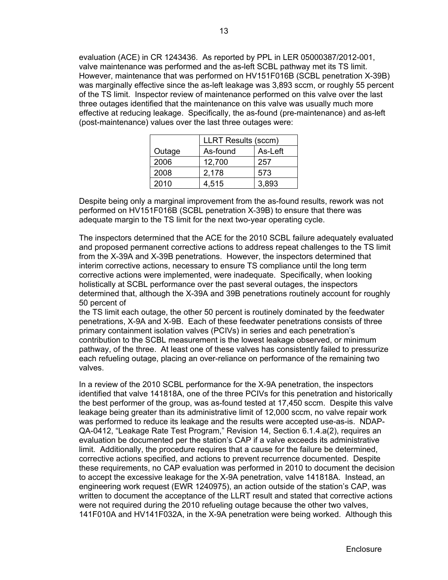evaluation (ACE) in CR 1243436. As reported by PPL in LER 05000387/2012-001, valve maintenance was performed and the as-left SCBL pathway met its TS limit. However, maintenance that was performed on HV151F016B (SCBL penetration X-39B) was marginally effective since the as-left leakage was 3,893 sccm, or roughly 55 percent of the TS limit. Inspector review of maintenance performed on this valve over the last three outages identified that the maintenance on this valve was usually much more effective at reducing leakage. Specifically, the as-found (pre-maintenance) and as-left (post-maintenance) values over the last three outages were:

|        | <b>LLRT Results (sccm)</b> |         |
|--------|----------------------------|---------|
| Outage | As-found                   | As-Left |
| 2006   | 12,700                     | 257     |
| 2008   | 2,178                      | 573     |
| 2010   | 4,515                      | 3,893   |

Despite being only a marginal improvement from the as-found results, rework was not performed on HV151F016B (SCBL penetration X-39B) to ensure that there was adequate margin to the TS limit for the next two-year operating cycle.

The inspectors determined that the ACE for the 2010 SCBL failure adequately evaluated and proposed permanent corrective actions to address repeat challenges to the TS limit from the X-39A and X-39B penetrations. However, the inspectors determined that interim corrective actions, necessary to ensure TS compliance until the long term corrective actions were implemented, were inadequate. Specifically, when looking holistically at SCBL performance over the past several outages, the inspectors determined that, although the X-39A and 39B penetrations routinely account for roughly 50 percent of

the TS limit each outage, the other 50 percent is routinely dominated by the feedwater penetrations, X-9A and X-9B. Each of these feedwater penetrations consists of three primary containment isolation valves (PCIVs) in series and each penetration's contribution to the SCBL measurement is the lowest leakage observed, or minimum pathway, of the three. At least one of these valves has consistently failed to pressurize each refueling outage, placing an over-reliance on performance of the remaining two valves.

In a review of the 2010 SCBL performance for the X-9A penetration, the inspectors identified that valve 141818A, one of the three PCIVs for this penetration and historically the best performer of the group, was as-found tested at 17,450 sccm. Despite this valve leakage being greater than its administrative limit of 12,000 sccm, no valve repair work was performed to reduce its leakage and the results were accepted use-as-is. NDAP-QA-0412, "Leakage Rate Test Program," Revision 14, Section 6.1.4.a(2), requires an evaluation be documented per the station's CAP if a valve exceeds its administrative limit. Additionally, the procedure requires that a cause for the failure be determined, corrective actions specified, and actions to prevent recurrence documented. Despite these requirements, no CAP evaluation was performed in 2010 to document the decision to accept the excessive leakage for the X-9A penetration, valve 141818A. Instead, an engineering work request (EWR 1240975), an action outside of the station's CAP, was written to document the acceptance of the LLRT result and stated that corrective actions were not required during the 2010 refueling outage because the other two valves, 141F010A and HV141F032A, in the X-9A penetration were being worked. Although this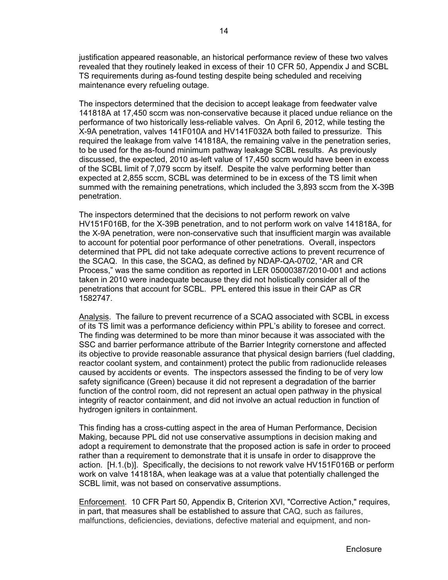justification appeared reasonable, an historical performance review of these two valves revealed that they routinely leaked in excess of their 10 CFR 50, Appendix J and SCBL TS requirements during as-found testing despite being scheduled and receiving maintenance every refueling outage.

The inspectors determined that the decision to accept leakage from feedwater valve 141818A at 17,450 sccm was non-conservative because it placed undue reliance on the performance of two historically less-reliable valves. On April 6, 2012, while testing the X-9A penetration, valves 141F010A and HV141F032A both failed to pressurize. This required the leakage from valve 141818A, the remaining valve in the penetration series, to be used for the as-found minimum pathway leakage SCBL results. As previously discussed, the expected, 2010 as-left value of 17,450 sccm would have been in excess of the SCBL limit of 7,079 sccm by itself. Despite the valve performing better than expected at 2,855 sccm, SCBL was determined to be in excess of the TS limit when summed with the remaining penetrations, which included the 3,893 sccm from the X-39B penetration.

The inspectors determined that the decisions to not perform rework on valve HV151F016B, for the X-39B penetration, and to not perform work on valve 141818A, for the X-9A penetration, were non-conservative such that insufficient margin was available to account for potential poor performance of other penetrations. Overall, inspectors determined that PPL did not take adequate corrective actions to prevent recurrence of the SCAQ. In this case, the SCAQ, as defined by NDAP-QA-0702, "AR and CR Process," was the same condition as reported in LER 05000387/2010-001 and actions taken in 2010 were inadequate because they did not holistically consider all of the penetrations that account for SCBL. PPL entered this issue in their CAP as CR 1582747.

Analysis. The failure to prevent recurrence of a SCAQ associated with SCBL in excess of its TS limit was a performance deficiency within PPL's ability to foresee and correct. The finding was determined to be more than minor because it was associated with the SSC and barrier performance attribute of the Barrier Integrity cornerstone and affected its objective to provide reasonable assurance that physical design barriers (fuel cladding, reactor coolant system, and containment) protect the public from radionuclide releases caused by accidents or events. The inspectors assessed the finding to be of very low safety significance (Green) because it did not represent a degradation of the barrier function of the control room, did not represent an actual open pathway in the physical integrity of reactor containment, and did not involve an actual reduction in function of hydrogen igniters in containment.

This finding has a cross-cutting aspect in the area of Human Performance, Decision Making, because PPL did not use conservative assumptions in decision making and adopt a requirement to demonstrate that the proposed action is safe in order to proceed rather than a requirement to demonstrate that it is unsafe in order to disapprove the action. [H.1.(b)]. Specifically, the decisions to not rework valve HV151F016B or perform work on valve 141818A, when leakage was at a value that potentially challenged the SCBL limit, was not based on conservative assumptions.

Enforcement. 10 CFR Part 50, Appendix B, Criterion XVI, "Corrective Action," requires, in part, that measures shall be established to assure that CAQ, such as failures, malfunctions, deficiencies, deviations, defective material and equipment, and non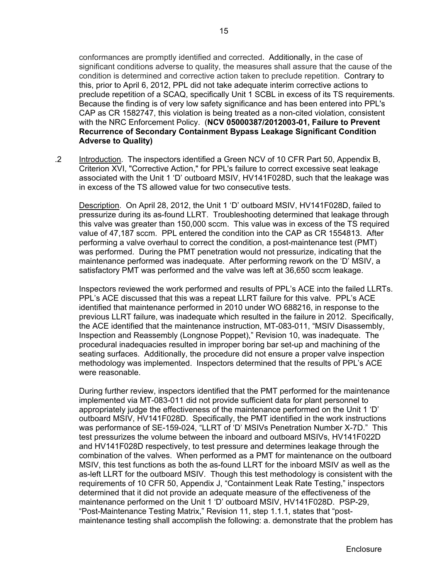conformances are promptly identified and corrected. Additionally, in the case of significant conditions adverse to quality, the measures shall assure that the cause of the condition is determined and corrective action taken to preclude repetition. Contrary to this, prior to April 6, 2012, PPL did not take adequate interim corrective actions to preclude repetition of a SCAQ, specifically Unit 1 SCBL in excess of its TS requirements. Because the finding is of very low safety significance and has been entered into PPL's CAP as CR 1582747, this violation is being treated as a non-cited violation, consistent with the NRC Enforcement Policy. (**NCV 05000387/2012003-01, Failure to Prevent Recurrence of Secondary Containment Bypass Leakage Significant Condition Adverse to Quality)**

 .2 Introduction. The inspectors identified a Green NCV of 10 CFR Part 50, Appendix B, Criterion XVI, "Corrective Action," for PPL's failure to correct excessive seat leakage associated with the Unit 1 'D' outboard MSIV, HV141F028D, such that the leakage was in excess of the TS allowed value for two consecutive tests.

Description. On April 28, 2012, the Unit 1 'D' outboard MSIV, HV141F028D, failed to pressurize during its as-found LLRT. Troubleshooting determined that leakage through this valve was greater than 150,000 sccm. This value was in excess of the TS required value of 47,187 sccm. PPL entered the condition into the CAP as CR 1554813. After performing a valve overhaul to correct the condition, a post-maintenance test (PMT) was performed. During the PMT penetration would not pressurize, indicating that the maintenance performed was inadequate. After performing rework on the 'D' MSIV, a satisfactory PMT was performed and the valve was left at 36,650 sccm leakage.

Inspectors reviewed the work performed and results of PPL's ACE into the failed LLRTs. PPL's ACE discussed that this was a repeat LLRT failure for this valve. PPL's ACE identified that maintenance performed in 2010 under WO 688216, in response to the previous LLRT failure, was inadequate which resulted in the failure in 2012. Specifically, the ACE identified that the maintenance instruction, MT-083-011, "MSIV Disassembly, Inspection and Reassembly (Longnose Poppet)," Revision 10, was inadequate. The procedural inadequacies resulted in improper boring bar set-up and machining of the seating surfaces. Additionally, the procedure did not ensure a proper valve inspection methodology was implemented. Inspectors determined that the results of PPL's ACE were reasonable.

During further review, inspectors identified that the PMT performed for the maintenance implemented via MT-083-011 did not provide sufficient data for plant personnel to appropriately judge the effectiveness of the maintenance performed on the Unit 1 'D' outboard MSIV, HV141F028D. Specifically, the PMT identified in the work instructions was performance of SE-159-024, "LLRT of 'D' MSIVs Penetration Number X-7D." This test pressurizes the volume between the inboard and outboard MSIVs, HV141F022D and HV141F028D respectively, to test pressure and determines leakage through the combination of the valves. When performed as a PMT for maintenance on the outboard MSIV, this test functions as both the as-found LLRT for the inboard MSIV as well as the as-left LLRT for the outboard MSIV. Though this test methodology is consistent with the requirements of 10 CFR 50, Appendix J, "Containment Leak Rate Testing," inspectors determined that it did not provide an adequate measure of the effectiveness of the maintenance performed on the Unit 1 'D' outboard MSIV, HV141F028D. PSP-29, "Post-Maintenance Testing Matrix," Revision 11, step 1.1.1, states that "postmaintenance testing shall accomplish the following: a. demonstrate that the problem has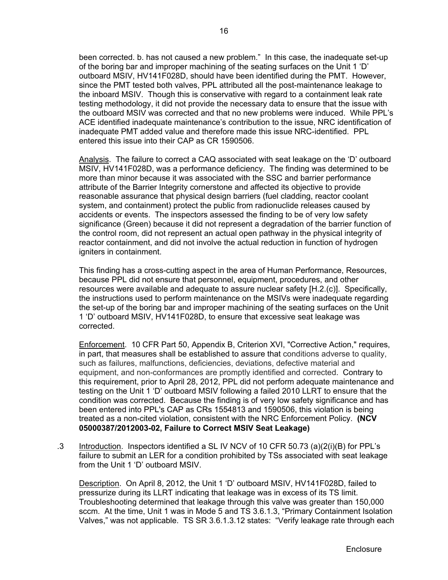been corrected. b. has not caused a new problem." In this case, the inadequate set-up of the boring bar and improper machining of the seating surfaces on the Unit 1 'D' outboard MSIV, HV141F028D, should have been identified during the PMT. However, since the PMT tested both valves, PPL attributed all the post-maintenance leakage to the inboard MSIV. Though this is conservative with regard to a containment leak rate testing methodology, it did not provide the necessary data to ensure that the issue with the outboard MSIV was corrected and that no new problems were induced. While PPL's ACE identified inadequate maintenance's contribution to the issue, NRC identification of inadequate PMT added value and therefore made this issue NRC-identified. PPL entered this issue into their CAP as CR 1590506.

Analysis. The failure to correct a CAQ associated with seat leakage on the 'D' outboard MSIV, HV141F028D, was a performance deficiency. The finding was determined to be more than minor because it was associated with the SSC and barrier performance attribute of the Barrier Integrity cornerstone and affected its objective to provide reasonable assurance that physical design barriers (fuel cladding, reactor coolant system, and containment) protect the public from radionuclide releases caused by accidents or events. The inspectors assessed the finding to be of very low safety significance (Green) because it did not represent a degradation of the barrier function of the control room, did not represent an actual open pathway in the physical integrity of reactor containment, and did not involve the actual reduction in function of hydrogen igniters in containment.

This finding has a cross-cutting aspect in the area of Human Performance, Resources, because PPL did not ensure that personnel, equipment, procedures, and other resources were available and adequate to assure nuclear safety [H.2.(c)]. Specifically, the instructions used to perform maintenance on the MSIVs were inadequate regarding the set-up of the boring bar and improper machining of the seating surfaces on the Unit 1 'D' outboard MSIV, HV141F028D, to ensure that excessive seat leakage was corrected.

 Enforcement. 10 CFR Part 50, Appendix B, Criterion XVI, "Corrective Action," requires, in part, that measures shall be established to assure that conditions adverse to quality, such as failures, malfunctions, deficiencies, deviations, defective material and equipment, and non-conformances are promptly identified and corrected. Contrary to this requirement, prior to April 28, 2012, PPL did not perform adequate maintenance and testing on the Unit 1 'D' outboard MSIV following a failed 2010 LLRT to ensure that the condition was corrected. Because the finding is of very low safety significance and has been entered into PPL's CAP as CRs 1554813 and 1590506, this violation is being treated as a non-cited violation, consistent with the NRC Enforcement Policy. **(NCV 05000387/2012003-02, Failure to Correct MSIV Seat Leakage)** 

 .3 Introduction. Inspectors identified a SL IV NCV of 10 CFR 50.73 (a)(2(i)(B) for PPL's failure to submit an LER for a condition prohibited by TSs associated with seat leakage from the Unit 1 'D' outboard MSIV.

Description. On April 8, 2012, the Unit 1 'D' outboard MSIV, HV141F028D, failed to pressurize during its LLRT indicating that leakage was in excess of its TS limit. Troubleshooting determined that leakage through this valve was greater than 150,000 sccm. At the time, Unit 1 was in Mode 5 and TS 3.6.1.3, "Primary Containment Isolation Valves," was not applicable. TS SR 3.6.1.3.12 states: "Verify leakage rate through each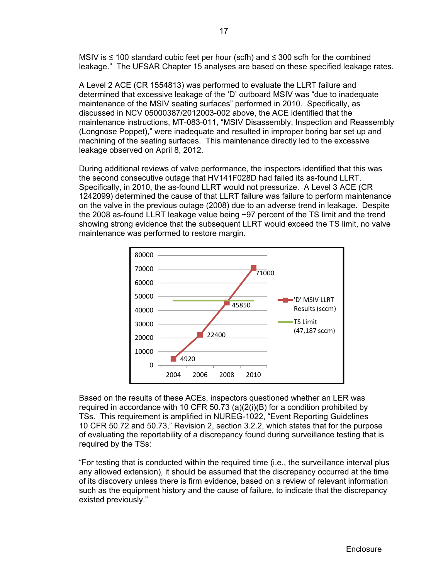MSIV is ≤ 100 standard cubic feet per hour (scfh) and ≤ 300 scfh for the combined leakage." The UFSAR Chapter 15 analyses are based on these specified leakage rates.

A Level 2 ACE (CR 1554813) was performed to evaluate the LLRT failure and determined that excessive leakage of the 'D' outboard MSIV was "due to inadequate maintenance of the MSIV seating surfaces" performed in 2010. Specifically, as discussed in NCV 05000387/2012003-002 above, the ACE identified that the maintenance instructions, MT-083-011, "MSIV Disassembly, Inspection and Reassembly (Longnose Poppet)," were inadequate and resulted in improper boring bar set up and machining of the seating surfaces. This maintenance directly led to the excessive leakage observed on April 8, 2012.

During additional reviews of valve performance, the inspectors identified that this was the second consecutive outage that HV141F028D had failed its as-found LLRT. Specifically, in 2010, the as-found LLRT would not pressurize. A Level 3 ACE (CR 1242099) determined the cause of that LLRT failure was failure to perform maintenance on the valve in the previous outage (2008) due to an adverse trend in leakage. Despite the 2008 as-found LLRT leakage value being ~97 percent of the TS limit and the trend showing strong evidence that the subsequent LLRT would exceed the TS limit, no valve maintenance was performed to restore margin.



Based on the results of these ACEs, inspectors questioned whether an LER was required in accordance with 10 CFR 50.73 (a)(2(i)(B) for a condition prohibited by TSs. This requirement is amplified in NUREG-1022, "Event Reporting Guidelines 10 CFR 50.72 and 50.73," Revision 2, section 3.2.2, which states that for the purpose of evaluating the reportability of a discrepancy found during surveillance testing that is required by the TSs:

"For testing that is conducted within the required time (i.e., the surveillance interval plus any allowed extension), it should be assumed that the discrepancy occurred at the time of its discovery unless there is firm evidence, based on a review of relevant information such as the equipment history and the cause of failure, to indicate that the discrepancy existed previously."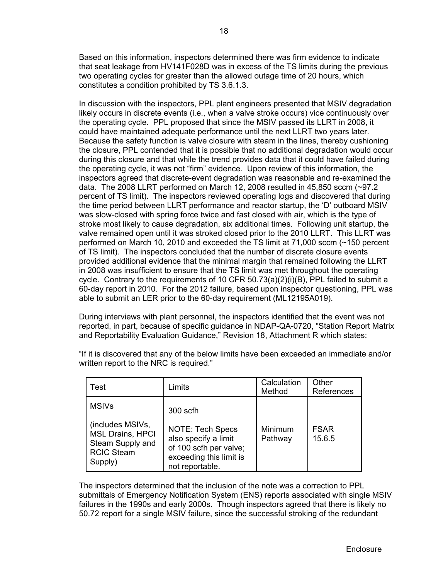Based on this information, inspectors determined there was firm evidence to indicate that seat leakage from HV141F028D was in excess of the TS limits during the previous two operating cycles for greater than the allowed outage time of 20 hours, which constitutes a condition prohibited by TS 3.6.1.3.

In discussion with the inspectors, PPL plant engineers presented that MSIV degradation likely occurs in discrete events (i.e., when a valve stroke occurs) vice continuously over the operating cycle. PPL proposed that since the MSIV passed its LLRT in 2008, it could have maintained adequate performance until the next LLRT two years later. Because the safety function is valve closure with steam in the lines, thereby cushioning the closure, PPL contended that it is possible that no additional degradation would occur during this closure and that while the trend provides data that it could have failed during the operating cycle, it was not "firm" evidence. Upon review of this information, the inspectors agreed that discrete-event degradation was reasonable and re-examined the data. The 2008 LLRT performed on March 12, 2008 resulted in 45,850 sccm (~97.2 percent of TS limit). The inspectors reviewed operating logs and discovered that during the time period between LLRT performance and reactor startup, the 'D' outboard MSIV was slow-closed with spring force twice and fast closed with air, which is the type of stroke most likely to cause degradation, six additional times. Following unit startup, the valve remained open until it was stroked closed prior to the 2010 LLRT. This LLRT was performed on March 10, 2010 and exceeded the TS limit at 71,000 sccm (~150 percent of TS limit). The inspectors concluded that the number of discrete closure events provided additional evidence that the minimal margin that remained following the LLRT in 2008 was insufficient to ensure that the TS limit was met throughout the operating cycle. Contrary to the requirements of 10 CFR 50.73(a)(2)(i)(B), PPL failed to submit a 60-day report in 2010. For the 2012 failure, based upon inspector questioning, PPL was able to submit an LER prior to the 60-day requirement (ML12195A019).

During interviews with plant personnel, the inspectors identified that the event was not reported, in part, because of specific guidance in NDAP-QA-0720, "Station Report Matrix and Reportability Evaluation Guidance," Revision 18, Attachment R which states:

"If it is discovered that any of the below limits have been exceeded an immediate and/or written report to the NRC is required."

| Test                                                                                            | Limits                                                                                                                  | Calculation<br>Method | Other<br>References   |
|-------------------------------------------------------------------------------------------------|-------------------------------------------------------------------------------------------------------------------------|-----------------------|-----------------------|
| <b>MSIVs</b>                                                                                    | 300 scfh                                                                                                                |                       |                       |
| (includes MSIVs,<br><b>MSL Drains, HPCI</b><br>Steam Supply and<br><b>RCIC Steam</b><br>Supply) | <b>NOTE: Tech Specs</b><br>also specify a limit<br>of 100 scfh per valve;<br>exceeding this limit is<br>not reportable. | Minimum<br>Pathway    | <b>FSAR</b><br>15.6.5 |

The inspectors determined that the inclusion of the note was a correction to PPL submittals of Emergency Notification System (ENS) reports associated with single MSIV failures in the 1990s and early 2000s. Though inspectors agreed that there is likely no 50.72 report for a single MSIV failure, since the successful stroking of the redundant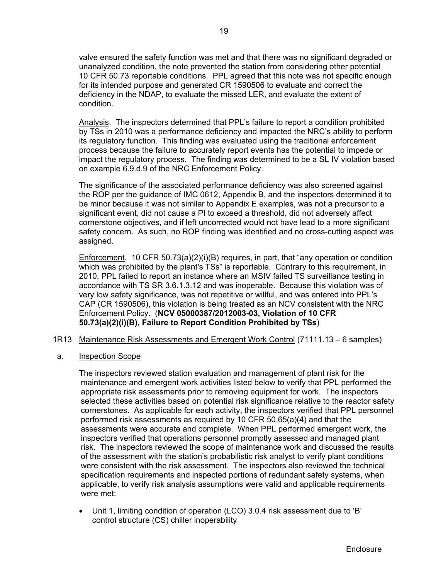valve ensured the safety function was met and that there was no significant degraded or unanalyzed condition, the note prevented the station from considering other potential 10 CFR 50.73 reportable conditions. PPL agreed that this note was not specific enough for its intended purpose and generated CR 1590506 to evaluate and correct the deficiency in the NDAP, to evaluate the missed LER, and evaluate the extent of condition.

Analysis. The inspectors determined that PPL's failure to report a condition prohibited by TSs in 2010 was a performance deficiency and impacted the NRC's ability to perform its regulatory function. This finding was evaluated using the traditional enforcement process because the failure to accurately report events has the potential to impede or impact the regulatory process. The finding was determined to be a SL IV violation based on example 6.9.d.9 of the NRC Enforcement Policy.

The significance of the associated performance deficiency was also screened against the ROP per the guidance of IMC 0612, Appendix B, and the inspectors determined it to be minor because it was not similar to Appendix E examples, was not a precursor to a significant event, did not cause a PI to exceed a threshold, did not adversely affect cornerstone objectives, and if left uncorrected would not have lead to a more significant safety concern. As such, no ROP finding was identified and no cross-cutting aspect was assigned.

 Enforcement. 10 CFR 50.73(a)(2)(i)(B) requires, in part, that "any operation or condition which was prohibited by the plant's TSs" is reportable. Contrary to this requirement, in 2010, PPL failed to report an instance where an MSIV failed TS surveillance testing in accordance with TS SR 3.6.1.3.12 and was inoperable. Because this violation was of very low safety significance, was not repetitive or willful, and was entered into PPL's CAP (CR 1590506), this violation is being treated as an NCV consistent with the NRC Enforcement Policy. (**NCV 05000387/2012003-03, Violation of 10 CFR 50.73(a)(2)(i)(B), Failure to Report Condition Prohibited by TSs**)

- 1R13 Maintenance Risk Assessments and Emergent Work Control (71111.13 6 samples)
- a. Inspection Scope

The inspectors reviewed station evaluation and management of plant risk for the maintenance and emergent work activities listed below to verify that PPL performed the appropriate risk assessments prior to removing equipment for work. The inspectors selected these activities based on potential risk significance relative to the reactor safety cornerstones. As applicable for each activity, the inspectors verified that PPL personnel performed risk assessments as required by 10 CFR 50.65(a)(4) and that the assessments were accurate and complete. When PPL performed emergent work, the inspectors verified that operations personnel promptly assessed and managed plant risk. The inspectors reviewed the scope of maintenance work and discussed the results of the assessment with the station's probabilistic risk analyst to verify plant conditions were consistent with the risk assessment. The inspectors also reviewed the technical specification requirements and inspected portions of redundant safety systems, when applicable, to verify risk analysis assumptions were valid and applicable requirements were met:

 Unit 1, limiting condition of operation (LCO) 3.0.4 risk assessment due to 'B' control structure (CS) chiller inoperability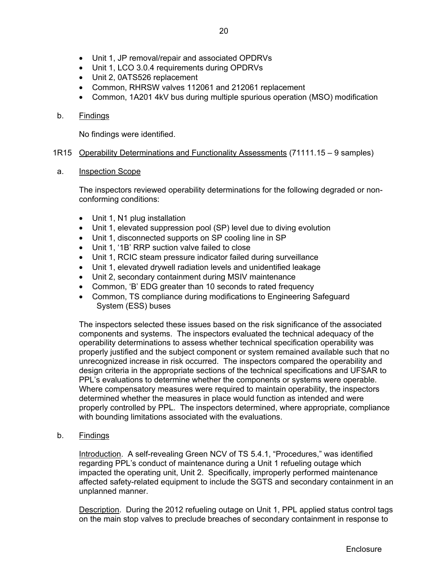- Unit 1, JP removal/repair and associated OPDRVs
- Unit 1, LCO 3.0.4 requirements during OPDRVs
- Unit 2, 0ATS526 replacement
- Common, RHRSW valves 112061 and 212061 replacement
- Common, 1A201 4kV bus during multiple spurious operation (MSO) modification

## b. Findings

No findings were identified.

## 1R15 Operability Determinations and Functionality Assessments (71111.15 – 9 samples)

a. Inspection Scope

The inspectors reviewed operability determinations for the following degraded or nonconforming conditions:

- Unit 1, N1 plug installation
- Unit 1, elevated suppression pool (SP) level due to diving evolution
- Unit 1, disconnected supports on SP cooling line in SP
- Unit 1, '1B' RRP suction valve failed to close
- Unit 1, RCIC steam pressure indicator failed during surveillance
- Unit 1, elevated drywell radiation levels and unidentified leakage
- Unit 2, secondary containment during MSIV maintenance
- Common, 'B' EDG greater than 10 seconds to rated frequency
- Common, TS compliance during modifications to Engineering Safeguard System (ESS) buses

The inspectors selected these issues based on the risk significance of the associated components and systems. The inspectors evaluated the technical adequacy of the operability determinations to assess whether technical specification operability was properly justified and the subject component or system remained available such that no unrecognized increase in risk occurred. The inspectors compared the operability and design criteria in the appropriate sections of the technical specifications and UFSAR to PPL's evaluations to determine whether the components or systems were operable. Where compensatory measures were required to maintain operability, the inspectors determined whether the measures in place would function as intended and were properly controlled by PPL. The inspectors determined, where appropriate, compliance with bounding limitations associated with the evaluations.

b. Findings

 Introduction. A self-revealing Green NCV of TS 5.4.1, "Procedures," was identified regarding PPL's conduct of maintenance during a Unit 1 refueling outage which impacted the operating unit, Unit 2. Specifically, improperly performed maintenance affected safety-related equipment to include the SGTS and secondary containment in an unplanned manner.

Description. During the 2012 refueling outage on Unit 1, PPL applied status control tags on the main stop valves to preclude breaches of secondary containment in response to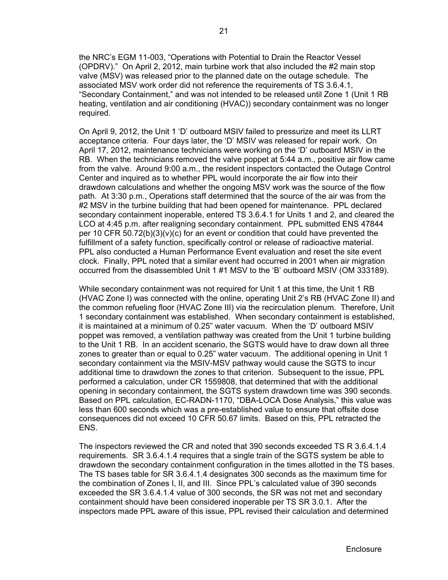the NRC's EGM 11-003, "Operations with Potential to Drain the Reactor Vessel (OPDRV)." On April 2, 2012, main turbine work that also included the #2 main stop valve (MSV) was released prior to the planned date on the outage schedule. The associated MSV work order did not reference the requirements of TS 3.6.4.1, "Secondary Containment," and was not intended to be released until Zone 1 (Unit 1 RB heating, ventilation and air conditioning (HVAC)) secondary containment was no longer required.

On April 9, 2012, the Unit 1 'D' outboard MSIV failed to pressurize and meet its LLRT acceptance criteria. Four days later, the 'D' MSIV was released for repair work. On April 17, 2012, maintenance technicians were working on the 'D' outboard MSIV in the RB. When the technicians removed the valve poppet at 5:44 a.m., positive air flow came from the valve. Around 9:00 a.m., the resident inspectors contacted the Outage Control Center and inquired as to whether PPL would incorporate the air flow into their drawdown calculations and whether the ongoing MSV work was the source of the flow path. At 3:30 p.m., Operations staff determined that the source of the air was from the #2 MSV in the turbine building that had been opened for maintenance. PPL declared secondary containment inoperable, entered TS 3.6.4.1 for Units 1 and 2, and cleared the LCO at 4:45 p.m. after realigning secondary containment. PPL submitted ENS 47844 per 10 CFR  $50.72(b)(3)(v)(c)$  for an event or condition that could have prevented the fulfillment of a safety function, specifically control or release of radioactive material. PPL also conducted a Human Performance Event evaluation and reset the site event clock. Finally, PPL noted that a similar event had occurred in 2001 when air migration occurred from the disassembled Unit 1 #1 MSV to the 'B' outboard MSIV (OM 333189).

While secondary containment was not required for Unit 1 at this time, the Unit 1 RB (HVAC Zone I) was connected with the online, operating Unit 2's RB (HVAC Zone II) and the common refueling floor (HVAC Zone III) via the recirculation plenum. Therefore, Unit 1 secondary containment was established. When secondary containment is established, it is maintained at a minimum of 0.25" water vacuum. When the 'D' outboard MSIV poppet was removed, a ventilation pathway was created from the Unit 1 turbine building to the Unit 1 RB. In an accident scenario, the SGTS would have to draw down all three zones to greater than or equal to 0.25" water vacuum. The additional opening in Unit 1 secondary containment via the MSIV-MSV pathway would cause the SGTS to incur additional time to drawdown the zones to that criterion. Subsequent to the issue, PPL performed a calculation, under CR 1559808, that determined that with the additional opening in secondary containment, the SGTS system drawdown time was 390 seconds. Based on PPL calculation, EC-RADN-1170, "DBA-LOCA Dose Analysis," this value was less than 600 seconds which was a pre-established value to ensure that offsite dose consequences did not exceed 10 CFR 50.67 limits. Based on this, PPL retracted the ENS.

The inspectors reviewed the CR and noted that 390 seconds exceeded TS R 3.6.4.1.4 requirements. SR 3.6.4.1.4 requires that a single train of the SGTS system be able to drawdown the secondary containment configuration in the times allotted in the TS bases. The TS bases table for SR 3.6.4.1.4 designates 300 seconds as the maximum time for the combination of Zones I, II, and III. Since PPL's calculated value of 390 seconds exceeded the SR 3.6.4.1.4 value of 300 seconds, the SR was not met and secondary containment should have been considered inoperable per TS SR 3.0.1. After the inspectors made PPL aware of this issue, PPL revised their calculation and determined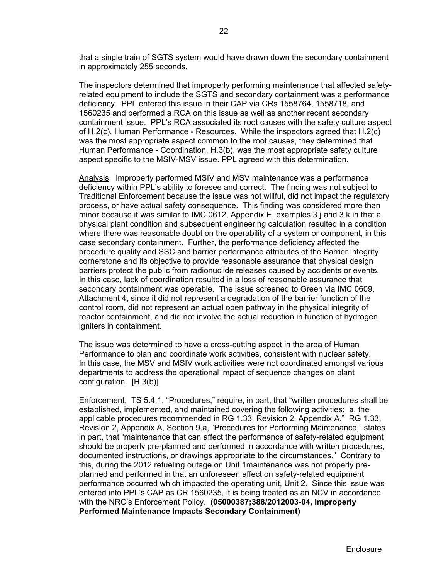that a single train of SGTS system would have drawn down the secondary containment in approximately 255 seconds.

The inspectors determined that improperly performing maintenance that affected safetyrelated equipment to include the SGTS and secondary containment was a performance deficiency. PPL entered this issue in their CAP via CRs 1558764, 1558718, and 1560235 and performed a RCA on this issue as well as another recent secondary containment issue. PPL's RCA associated its root causes with the safety culture aspect of H.2(c), Human Performance - Resources. While the inspectors agreed that H.2(c) was the most appropriate aspect common to the root causes, they determined that Human Performance - Coordination, H.3(b), was the most appropriate safety culture aspect specific to the MSIV-MSV issue. PPL agreed with this determination.

Analysis. Improperly performed MSIV and MSV maintenance was a performance deficiency within PPL's ability to foresee and correct. The finding was not subject to Traditional Enforcement because the issue was not willful, did not impact the regulatory process, or have actual safety consequence. This finding was considered more than minor because it was similar to IMC 0612, Appendix E, examples 3.j and 3.k in that a physical plant condition and subsequent engineering calculation resulted in a condition where there was reasonable doubt on the operability of a system or component, in this case secondary containment. Further, the performance deficiency affected the procedure quality and SSC and barrier performance attributes of the Barrier Integrity cornerstone and its objective to provide reasonable assurance that physical design barriers protect the public from radionuclide releases caused by accidents or events. In this case, lack of coordination resulted in a loss of reasonable assurance that secondary containment was operable. The issue screened to Green via IMC 0609, Attachment 4, since it did not represent a degradation of the barrier function of the control room, did not represent an actual open pathway in the physical integrity of reactor containment, and did not involve the actual reduction in function of hydrogen igniters in containment.

The issue was determined to have a cross-cutting aspect in the area of Human Performance to plan and coordinate work activities, consistent with nuclear safety. In this case, the MSV and MSIV work activities were not coordinated amongst various departments to address the operational impact of sequence changes on plant configuration. [H.3(b)]

Enforcement. TS 5.4.1, "Procedures," require, in part, that "written procedures shall be established, implemented, and maintained covering the following activities: a. the applicable procedures recommended in RG 1.33, Revision 2, Appendix A." RG 1.33, Revision 2, Appendix A, Section 9.a, "Procedures for Performing Maintenance," states in part, that "maintenance that can affect the performance of safety-related equipment should be properly pre-planned and performed in accordance with written procedures, documented instructions, or drawings appropriate to the circumstances." Contrary to this, during the 2012 refueling outage on Unit 1maintenance was not properly preplanned and performed in that an unforeseen affect on safety-related equipment performance occurred which impacted the operating unit, Unit 2. Since this issue was entered into PPL's CAP as CR 1560235, it is being treated as an NCV in accordance with the NRC's Enforcement Policy. **(05000387;388/2012003-04, Improperly Performed Maintenance Impacts Secondary Containment)**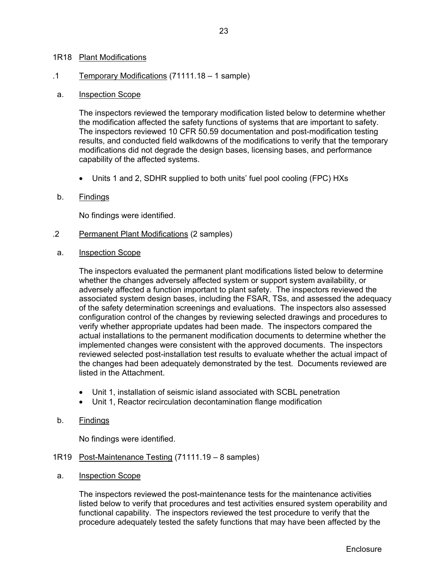#### 1R18 Plant Modifications

#### .1 Temporary Modifications (71111.18 – 1 sample)

#### a. Inspection Scope

The inspectors reviewed the temporary modification listed below to determine whether the modification affected the safety functions of systems that are important to safety. The inspectors reviewed 10 CFR 50.59 documentation and post-modification testing results, and conducted field walkdowns of the modifications to verify that the temporary modifications did not degrade the design bases, licensing bases, and performance capability of the affected systems.

Units 1 and 2, SDHR supplied to both units' fuel pool cooling (FPC) HXs

#### b. Findings

No findings were identified.

- .2 Permanent Plant Modifications (2 samples)
- a. Inspection Scope

The inspectors evaluated the permanent plant modifications listed below to determine whether the changes adversely affected system or support system availability, or adversely affected a function important to plant safety. The inspectors reviewed the associated system design bases, including the FSAR, TSs, and assessed the adequacy of the safety determination screenings and evaluations. The inspectors also assessed configuration control of the changes by reviewing selected drawings and procedures to verify whether appropriate updates had been made. The inspectors compared the actual installations to the permanent modification documents to determine whether the implemented changes were consistent with the approved documents. The inspectors reviewed selected post-installation test results to evaluate whether the actual impact of the changes had been adequately demonstrated by the test. Documents reviewed are listed in the Attachment.

- Unit 1, installation of seismic island associated with SCBL penetration
- Unit 1, Reactor recirculation decontamination flange modification

#### b. Findings

No findings were identified.

- 1R19 Post-Maintenance Testing (71111.19 8 samples)
- a. Inspection Scope

The inspectors reviewed the post-maintenance tests for the maintenance activities listed below to verify that procedures and test activities ensured system operability and functional capability. The inspectors reviewed the test procedure to verify that the procedure adequately tested the safety functions that may have been affected by the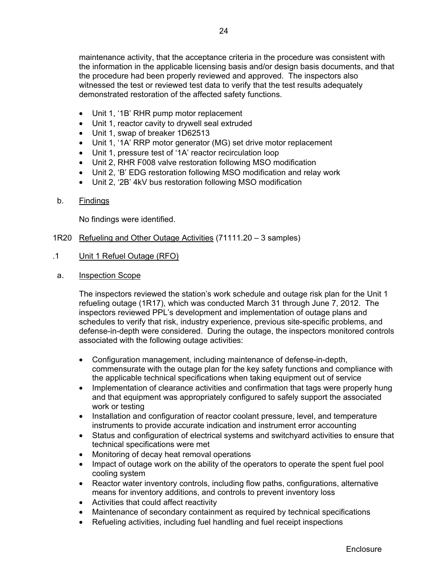maintenance activity, that the acceptance criteria in the procedure was consistent with the information in the applicable licensing basis and/or design basis documents, and that the procedure had been properly reviewed and approved. The inspectors also witnessed the test or reviewed test data to verify that the test results adequately demonstrated restoration of the affected safety functions.

- Unit 1, '1B' RHR pump motor replacement
- Unit 1, reactor cavity to drywell seal extruded
- Unit 1, swap of breaker 1D62513
- Unit 1, '1A' RRP motor generator (MG) set drive motor replacement
- Unit 1, pressure test of '1A' reactor recirculation loop
- Unit 2, RHR F008 valve restoration following MSO modification
- Unit 2, 'B' EDG restoration following MSO modification and relay work
- Unit 2, '2B' 4kV bus restoration following MSO modification
- b. Findings

No findings were identified.

- 1R20 Refueling and Other Outage Activities (71111.20 3 samples)
- .1 Unit 1 Refuel Outage (RFO)
- a. Inspection Scope

The inspectors reviewed the station's work schedule and outage risk plan for the Unit 1 refueling outage (1R17), which was conducted March 31 through June 7, 2012. The inspectors reviewed PPL's development and implementation of outage plans and schedules to verify that risk, industry experience, previous site-specific problems, and defense-in-depth were considered. During the outage, the inspectors monitored controls associated with the following outage activities:

- Configuration management, including maintenance of defense-in-depth, commensurate with the outage plan for the key safety functions and compliance with the applicable technical specifications when taking equipment out of service
- Implementation of clearance activities and confirmation that tags were properly hung and that equipment was appropriately configured to safely support the associated work or testing
- Installation and configuration of reactor coolant pressure, level, and temperature instruments to provide accurate indication and instrument error accounting
- Status and configuration of electrical systems and switchyard activities to ensure that technical specifications were met
- Monitoring of decay heat removal operations
- Impact of outage work on the ability of the operators to operate the spent fuel pool cooling system
- Reactor water inventory controls, including flow paths, configurations, alternative means for inventory additions, and controls to prevent inventory loss
- Activities that could affect reactivity
- Maintenance of secondary containment as required by technical specifications
- Refueling activities, including fuel handling and fuel receipt inspections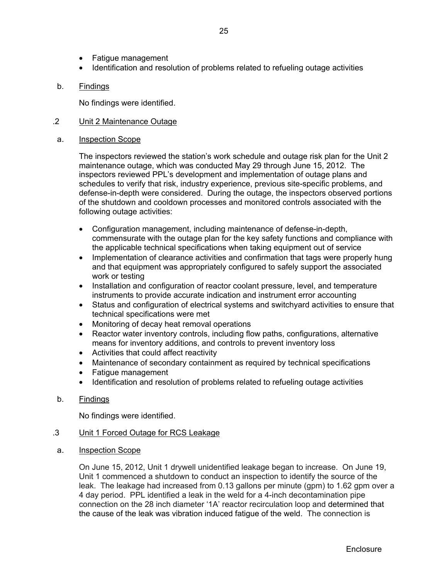- Fatigue management
- Identification and resolution of problems related to refueling outage activities

## b. Findings

No findings were identified.

## .2 Unit 2 Maintenance Outage

## a. Inspection Scope

The inspectors reviewed the station's work schedule and outage risk plan for the Unit 2 maintenance outage, which was conducted May 29 through June 15, 2012. The inspectors reviewed PPL's development and implementation of outage plans and schedules to verify that risk, industry experience, previous site-specific problems, and defense-in-depth were considered. During the outage, the inspectors observed portions of the shutdown and cooldown processes and monitored controls associated with the following outage activities:

- Configuration management, including maintenance of defense-in-depth, commensurate with the outage plan for the key safety functions and compliance with the applicable technical specifications when taking equipment out of service
- Implementation of clearance activities and confirmation that tags were properly hung and that equipment was appropriately configured to safely support the associated work or testing
- Installation and configuration of reactor coolant pressure, level, and temperature instruments to provide accurate indication and instrument error accounting
- Status and configuration of electrical systems and switchyard activities to ensure that technical specifications were met
- Monitoring of decay heat removal operations
- Reactor water inventory controls, including flow paths, configurations, alternative means for inventory additions, and controls to prevent inventory loss
- Activities that could affect reactivity
- Maintenance of secondary containment as required by technical specifications
- Fatigue management
- Identification and resolution of problems related to refueling outage activities
- b. Findings

No findings were identified.

## .3 Unit 1 Forced Outage for RCS Leakage

a. Inspection Scope

On June 15, 2012, Unit 1 drywell unidentified leakage began to increase. On June 19, Unit 1 commenced a shutdown to conduct an inspection to identify the source of the leak. The leakage had increased from 0.13 gallons per minute (gpm) to 1.62 gpm over a 4 day period. PPL identified a leak in the weld for a 4-inch decontamination pipe connection on the 28 inch diameter '1A' reactor recirculation loop and determined that the cause of the leak was vibration induced fatigue of the weld. The connection is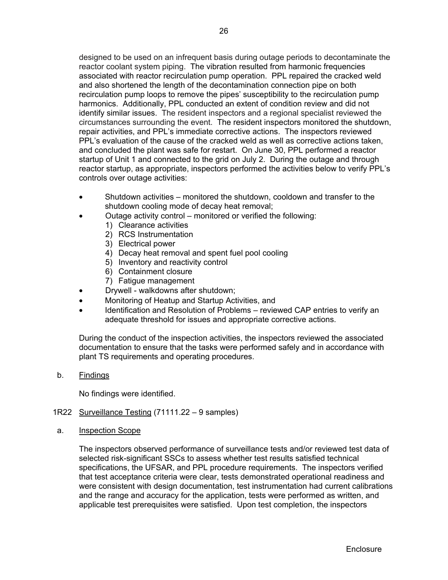designed to be used on an infrequent basis during outage periods to decontaminate the reactor coolant system piping. The vibration resulted from harmonic frequencies associated with reactor recirculation pump operation. PPL repaired the cracked weld and also shortened the length of the decontamination connection pipe on both recirculation pump loops to remove the pipes' susceptibility to the recirculation pump harmonics. Additionally, PPL conducted an extent of condition review and did not identify similar issues. The resident inspectors and a regional specialist reviewed the circumstances surrounding the event. The resident inspectors monitored the shutdown, repair activities, and PPL's immediate corrective actions. The inspectors reviewed PPL's evaluation of the cause of the cracked weld as well as corrective actions taken, and concluded the plant was safe for restart. On June 30, PPL performed a reactor startup of Unit 1 and connected to the grid on July 2. During the outage and through reactor startup, as appropriate, inspectors performed the activities below to verify PPL's controls over outage activities:

- Shutdown activities monitored the shutdown, cooldown and transfer to the shutdown cooling mode of decay heat removal;
	- Outage activity control monitored or verified the following:
		- 1) Clearance activities
			- 2) RCS Instrumentation
			- 3) Electrical power
			- 4) Decay heat removal and spent fuel pool cooling
			- 5) Inventory and reactivity control
			- 6) Containment closure
			- 7) Fatigue management
- Drywell walkdowns after shutdown;
- Monitoring of Heatup and Startup Activities, and
- Identification and Resolution of Problems reviewed CAP entries to verify an adequate threshold for issues and appropriate corrective actions.

During the conduct of the inspection activities, the inspectors reviewed the associated documentation to ensure that the tasks were performed safely and in accordance with plant TS requirements and operating procedures.

b. Findings

No findings were identified.

- 1R22 Surveillance Testing (71111.22 9 samples)
- a. Inspection Scope

The inspectors observed performance of surveillance tests and/or reviewed test data of selected risk-significant SSCs to assess whether test results satisfied technical specifications, the UFSAR, and PPL procedure requirements. The inspectors verified that test acceptance criteria were clear, tests demonstrated operational readiness and were consistent with design documentation, test instrumentation had current calibrations and the range and accuracy for the application, tests were performed as written, and applicable test prerequisites were satisfied. Upon test completion, the inspectors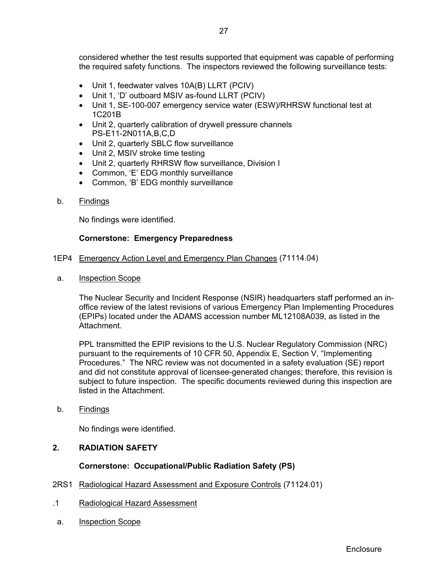considered whether the test results supported that equipment was capable of performing the required safety functions. The inspectors reviewed the following surveillance tests:

- Unit 1, feedwater valves 10A(B) LLRT (PCIV)
- Unit 1, 'D' outboard MSIV as-found LLRT (PCIV)
- Unit 1, SE-100-007 emergency service water (ESW)/RHRSW functional test at 1C201B
- Unit 2, quarterly calibration of drywell pressure channels PS-E11-2N011A,B,C,D
- Unit 2, quarterly SBLC flow surveillance
- Unit 2, MSIV stroke time testing
- Unit 2, quarterly RHRSW flow surveillance, Division I
- Common, 'E' EDG monthly surveillance
- Common, 'B' EDG monthly surveillance
- b. Findings

No findings were identified.

## **Cornerstone: Emergency Preparedness**

- 1EP4 Emergency Action Level and Emergency Plan Changes (71114.04)
- a. Inspection Scope

 The Nuclear Security and Incident Response (NSIR) headquarters staff performed an inoffice review of the latest revisions of various Emergency Plan Implementing Procedures (EPIPs) located under the ADAMS accession number ML12108A039, as listed in the **Attachment** 

 PPL transmitted the EPIP revisions to the U.S. Nuclear Regulatory Commission (NRC) pursuant to the requirements of 10 CFR 50, Appendix E, Section V, "Implementing Procedures." The NRC review was not documented in a safety evaluation (SE) report and did not constitute approval of licensee-generated changes; therefore, this revision is subject to future inspection. The specific documents reviewed during this inspection are listed in the Attachment.

b. Findings

No findings were identified.

## **2. RADIATION SAFETY**

## **Cornerstone: Occupational/Public Radiation Safety (PS)**

- 2RS1 Radiological Hazard Assessment and Exposure Controls (71124.01)
- .1 Radiological Hazard Assessment
- a. Inspection Scope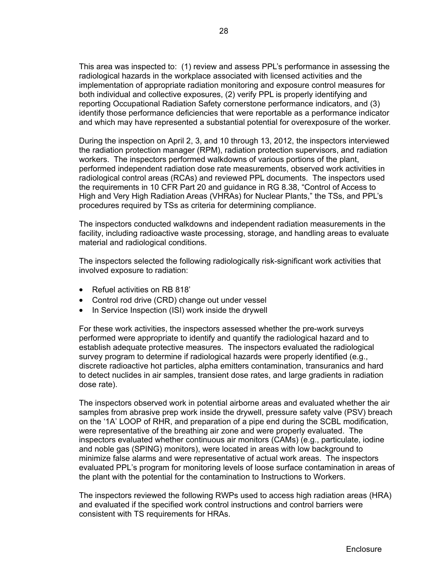This area was inspected to: (1) review and assess PPL's performance in assessing the radiological hazards in the workplace associated with licensed activities and the implementation of appropriate radiation monitoring and exposure control measures for both individual and collective exposures, (2) verify PPL is properly identifying and reporting Occupational Radiation Safety cornerstone performance indicators, and (3) identify those performance deficiencies that were reportable as a performance indicator and which may have represented a substantial potential for overexposure of the worker.

During the inspection on April 2, 3, and 10 through 13, 2012, the inspectors interviewed the radiation protection manager (RPM), radiation protection supervisors, and radiation workers. The inspectors performed walkdowns of various portions of the plant, performed independent radiation dose rate measurements, observed work activities in radiological control areas (RCAs) and reviewed PPL documents. The inspectors used the requirements in 10 CFR Part 20 and guidance in RG 8.38, "Control of Access to High and Very High Radiation Areas (VHRAs) for Nuclear Plants," the TSs, and PPL's procedures required by TSs as criteria for determining compliance.

The inspectors conducted walkdowns and independent radiation measurements in the facility, including radioactive waste processing, storage, and handling areas to evaluate material and radiological conditions.

The inspectors selected the following radiologically risk-significant work activities that involved exposure to radiation:

- Refuel activities on RB 818'
- Control rod drive (CRD) change out under vessel
- In Service Inspection (ISI) work inside the drywell

For these work activities, the inspectors assessed whether the pre-work surveys performed were appropriate to identify and quantify the radiological hazard and to establish adequate protective measures. The inspectors evaluated the radiological survey program to determine if radiological hazards were properly identified (e.g., discrete radioactive hot particles, alpha emitters contamination, transuranics and hard to detect nuclides in air samples, transient dose rates, and large gradients in radiation dose rate).

The inspectors observed work in potential airborne areas and evaluated whether the air samples from abrasive prep work inside the drywell, pressure safety valve (PSV) breach on the '1A' LOOP of RHR, and preparation of a pipe end during the SCBL modification, were representative of the breathing air zone and were properly evaluated. The inspectors evaluated whether continuous air monitors (CAMs) (e.g., particulate, iodine and noble gas (SPING) monitors), were located in areas with low background to minimize false alarms and were representative of actual work areas. The inspectors evaluated PPL's program for monitoring levels of loose surface contamination in areas of the plant with the potential for the contamination to Instructions to Workers.

The inspectors reviewed the following RWPs used to access high radiation areas (HRA) and evaluated if the specified work control instructions and control barriers were consistent with TS requirements for HRAs.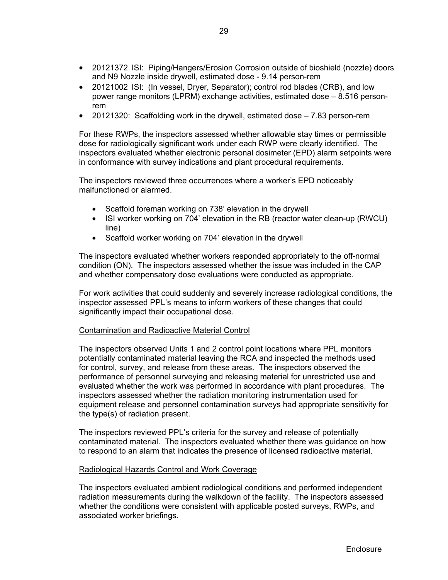- 20121372 ISI: Piping/Hangers/Erosion Corrosion outside of bioshield (nozzle) doors and N9 Nozzle inside drywell, estimated dose - 9.14 person-rem
- 20121002 ISI: (In vessel, Dryer, Separator); control rod blades (CRB), and low power range monitors (LPRM) exchange activities, estimated dose – 8.516 personrem
- 20121320: Scaffolding work in the drywell, estimated dose 7.83 person-rem

For these RWPs, the inspectors assessed whether allowable stay times or permissible dose for radiologically significant work under each RWP were clearly identified. The inspectors evaluated whether electronic personal dosimeter (EPD) alarm setpoints were in conformance with survey indications and plant procedural requirements.

 The inspectors reviewed three occurrences where a worker's EPD noticeably malfunctioned or alarmed.

- Scaffold foreman working on 738' elevation in the drywell
- ISI worker working on 704' elevation in the RB (reactor water clean-up (RWCU) line)
- Scaffold worker working on 704' elevation in the drywell

The inspectors evaluated whether workers responded appropriately to the off-normal condition (ON). The inspectors assessed whether the issue was included in the CAP and whether compensatory dose evaluations were conducted as appropriate.

For work activities that could suddenly and severely increase radiological conditions, the inspector assessed PPL's means to inform workers of these changes that could significantly impact their occupational dose.

## Contamination and Radioactive Material Control

The inspectors observed Units 1 and 2 control point locations where PPL monitors potentially contaminated material leaving the RCA and inspected the methods used for control, survey, and release from these areas. The inspectors observed the performance of personnel surveying and releasing material for unrestricted use and evaluated whether the work was performed in accordance with plant procedures. The inspectors assessed whether the radiation monitoring instrumentation used for equipment release and personnel contamination surveys had appropriate sensitivity for the type(s) of radiation present.

The inspectors reviewed PPL's criteria for the survey and release of potentially contaminated material. The inspectors evaluated whether there was guidance on how to respond to an alarm that indicates the presence of licensed radioactive material.

#### Radiological Hazards Control and Work Coverage

The inspectors evaluated ambient radiological conditions and performed independent radiation measurements during the walkdown of the facility. The inspectors assessed whether the conditions were consistent with applicable posted surveys, RWPs, and associated worker briefings.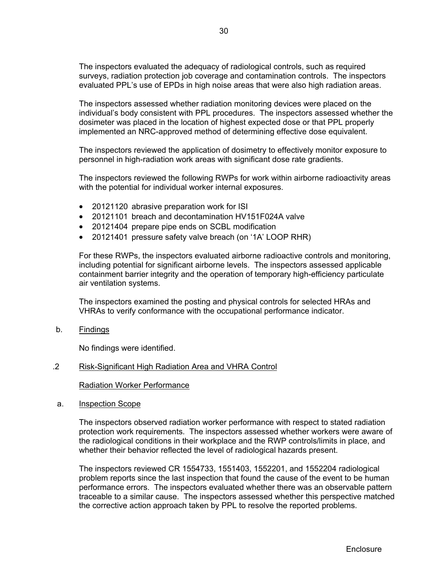The inspectors evaluated the adequacy of radiological controls, such as required surveys, radiation protection job coverage and contamination controls. The inspectors evaluated PPL's use of EPDs in high noise areas that were also high radiation areas.

The inspectors assessed whether radiation monitoring devices were placed on the individual's body consistent with PPL procedures. The inspectors assessed whether the dosimeter was placed in the location of highest expected dose or that PPL properly implemented an NRC-approved method of determining effective dose equivalent.

The inspectors reviewed the application of dosimetry to effectively monitor exposure to personnel in high-radiation work areas with significant dose rate gradients.

The inspectors reviewed the following RWPs for work within airborne radioactivity areas with the potential for individual worker internal exposures.

- 20121120 abrasive preparation work for ISI
- 20121101 breach and decontamination HV151F024A valve
- 20121404 prepare pipe ends on SCBL modification
- 20121401 pressure safety valve breach (on '1A' LOOP RHR)

For these RWPs, the inspectors evaluated airborne radioactive controls and monitoring, including potential for significant airborne levels. The inspectors assessed applicable containment barrier integrity and the operation of temporary high-efficiency particulate air ventilation systems.

The inspectors examined the posting and physical controls for selected HRAs and VHRAs to verify conformance with the occupational performance indicator.

b. Findings

No findings were identified.

#### .2 Risk-Significant High Radiation Area and VHRA Control

Radiation Worker Performance

a. Inspection Scope

 The inspectors observed radiation worker performance with respect to stated radiation protection work requirements. The inspectors assessed whether workers were aware of the radiological conditions in their workplace and the RWP controls/limits in place, and whether their behavior reflected the level of radiological hazards present.

The inspectors reviewed CR 1554733, 1551403, 1552201, and 1552204 radiological problem reports since the last inspection that found the cause of the event to be human performance errors. The inspectors evaluated whether there was an observable pattern traceable to a similar cause. The inspectors assessed whether this perspective matched the corrective action approach taken by PPL to resolve the reported problems.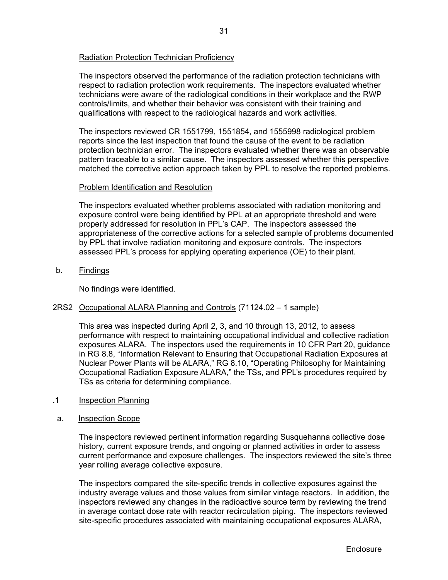## Radiation Protection Technician Proficiency

The inspectors observed the performance of the radiation protection technicians with respect to radiation protection work requirements. The inspectors evaluated whether technicians were aware of the radiological conditions in their workplace and the RWP controls/limits, and whether their behavior was consistent with their training and qualifications with respect to the radiological hazards and work activities.

The inspectors reviewed CR 1551799, 1551854, and 1555998 radiological problem reports since the last inspection that found the cause of the event to be radiation protection technician error. The inspectors evaluated whether there was an observable pattern traceable to a similar cause. The inspectors assessed whether this perspective matched the corrective action approach taken by PPL to resolve the reported problems.

## Problem Identification and Resolution

 The inspectors evaluated whether problems associated with radiation monitoring and exposure control were being identified by PPL at an appropriate threshold and were properly addressed for resolution in PPL's CAP. The inspectors assessed the appropriateness of the corrective actions for a selected sample of problems documented by PPL that involve radiation monitoring and exposure controls. The inspectors assessed PPL's process for applying operating experience (OE) to their plant.

b. Findings

No findings were identified.

## 2RS2 Occupational ALARA Planning and Controls (71124.02 – 1 sample)

This area was inspected during April 2, 3, and 10 through 13, 2012, to assess performance with respect to maintaining occupational individual and collective radiation exposures ALARA. The inspectors used the requirements in 10 CFR Part 20, guidance in RG 8.8, "Information Relevant to Ensuring that Occupational Radiation Exposures at Nuclear Power Plants will be ALARA," RG 8.10, "Operating Philosophy for Maintaining Occupational Radiation Exposure ALARA," the TSs, and PPL's procedures required by TSs as criteria for determining compliance.

- .1 Inspection Planning
- a. Inspection Scope

 The inspectors reviewed pertinent information regarding Susquehanna collective dose history, current exposure trends, and ongoing or planned activities in order to assess current performance and exposure challenges. The inspectors reviewed the site's three year rolling average collective exposure.

The inspectors compared the site-specific trends in collective exposures against the industry average values and those values from similar vintage reactors. In addition, the inspectors reviewed any changes in the radioactive source term by reviewing the trend in average contact dose rate with reactor recirculation piping. The inspectors reviewed site-specific procedures associated with maintaining occupational exposures ALARA,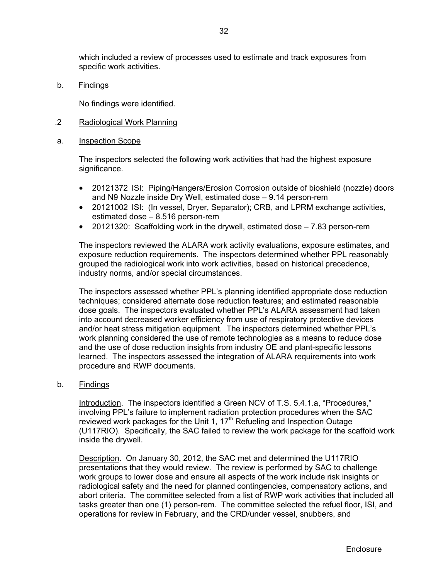which included a review of processes used to estimate and track exposures from specific work activities.

b. Findings

No findings were identified.

.2 Radiological Work Planning

#### a. Inspection Scope

The inspectors selected the following work activities that had the highest exposure significance.

- 20121372 ISI: Piping/Hangers/Erosion Corrosion outside of bioshield (nozzle) doors and N9 Nozzle inside Dry Well, estimated dose – 9.14 person-rem
- 20121002 ISI: (In vessel, Dryer, Separator); CRB, and LPRM exchange activities, estimated dose – 8.516 person-rem
- 20121320: Scaffolding work in the drywell, estimated dose 7.83 person-rem

The inspectors reviewed the ALARA work activity evaluations, exposure estimates, and exposure reduction requirements. The inspectors determined whether PPL reasonably grouped the radiological work into work activities, based on historical precedence, industry norms, and/or special circumstances.

The inspectors assessed whether PPL's planning identified appropriate dose reduction techniques; considered alternate dose reduction features; and estimated reasonable dose goals. The inspectors evaluated whether PPL's ALARA assessment had taken into account decreased worker efficiency from use of respiratory protective devices and/or heat stress mitigation equipment. The inspectors determined whether PPL's work planning considered the use of remote technologies as a means to reduce dose and the use of dose reduction insights from industry OE and plant-specific lessons learned. The inspectors assessed the integration of ALARA requirements into work procedure and RWP documents.

b. Findings

 Introduction. The inspectors identified a Green NCV of T.S. 5.4.1.a, "Procedures," involving PPL's failure to implement radiation protection procedures when the SAC reviewed work packages for the Unit 1,  $17<sup>th</sup>$  Refueling and Inspection Outage (U117RIO). Specifically, the SAC failed to review the work package for the scaffold work inside the drywell.

Description. On January 30, 2012, the SAC met and determined the U117RIO presentations that they would review. The review is performed by SAC to challenge work groups to lower dose and ensure all aspects of the work include risk insights or radiological safety and the need for planned contingencies, compensatory actions, and abort criteria. The committee selected from a list of RWP work activities that included all tasks greater than one (1) person-rem. The committee selected the refuel floor, ISI, and operations for review in February, and the CRD/under vessel, snubbers, and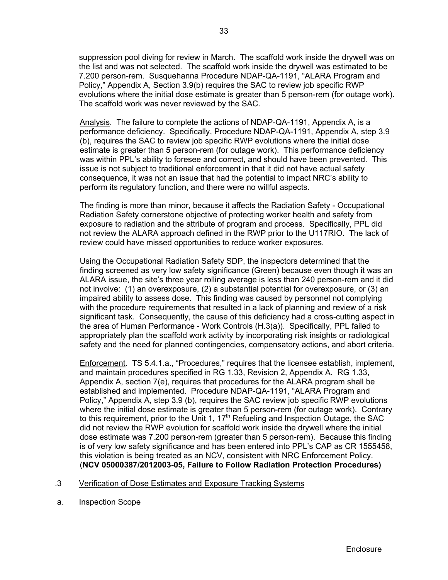suppression pool diving for review in March. The scaffold work inside the drywell was on the list and was not selected. The scaffold work inside the drywell was estimated to be 7.200 person-rem. Susquehanna Procedure NDAP-QA-1191, "ALARA Program and Policy," Appendix A, Section 3.9(b) requires the SAC to review job specific RWP evolutions where the initial dose estimate is greater than 5 person-rem (for outage work). The scaffold work was never reviewed by the SAC.

Analysis. The failure to complete the actions of NDAP-QA-1191, Appendix A, is a performance deficiency. Specifically, Procedure NDAP-QA-1191, Appendix A, step 3.9 (b), requires the SAC to review job specific RWP evolutions where the initial dose estimate is greater than 5 person-rem (for outage work). This performance deficiency was within PPL's ability to foresee and correct, and should have been prevented. This issue is not subject to traditional enforcement in that it did not have actual safety consequence, it was not an issue that had the potential to impact NRC's ability to perform its regulatory function, and there were no willful aspects.

The finding is more than minor, because it affects the Radiation Safety - Occupational Radiation Safety cornerstone objective of protecting worker health and safety from exposure to radiation and the attribute of program and process. Specifically, PPL did not review the ALARA approach defined in the RWP prior to the U117RIO. The lack of review could have missed opportunities to reduce worker exposures.

Using the Occupational Radiation Safety SDP, the inspectors determined that the finding screened as very low safety significance (Green) because even though it was an ALARA issue, the site's three year rolling average is less than 240 person-rem and it did not involve: (1) an overexposure, (2) a substantial potential for overexposure, or (3) an impaired ability to assess dose. This finding was caused by personnel not complying with the procedure requirements that resulted in a lack of planning and review of a risk significant task. Consequently, the cause of this deficiency had a cross-cutting aspect in the area of Human Performance - Work Controls (H.3(a)). Specifically, PPL failed to appropriately plan the scaffold work activity by incorporating risk insights or radiological safety and the need for planned contingencies, compensatory actions, and abort criteria.

Enforcement. TS 5.4.1.a., "Procedures," requires that the licensee establish, implement, and maintain procedures specified in RG 1.33, Revision 2, Appendix A. RG 1.33, Appendix A, section 7(e), requires that procedures for the ALARA program shall be established and implemented. Procedure NDAP-QA-1191, "ALARA Program and Policy," Appendix A, step 3.9 (b), requires the SAC review job specific RWP evolutions where the initial dose estimate is greater than 5 person-rem (for outage work). Contrary to this requirement, prior to the Unit 1,  $17<sup>th</sup>$  Refueling and Inspection Outage, the SAC did not review the RWP evolution for scaffold work inside the drywell where the initial dose estimate was 7.200 person-rem (greater than 5 person-rem). Because this finding is of very low safety significance and has been entered into PPL's CAP as CR 1555458, this violation is being treated as an NCV, consistent with NRC Enforcement Policy. (**NCV 05000387/2012003-05, Failure to Follow Radiation Protection Procedures)** 

## .3 Verification of Dose Estimates and Exposure Tracking Systems

a. Inspection Scope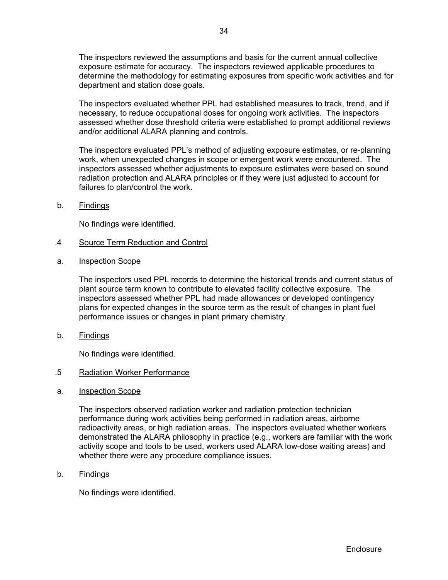The inspectors reviewed the assumptions and basis for the current annual collective exposure estimate for accuracy. The inspectors reviewed applicable procedures to determine the methodology for estimating exposures from specific work activities and for department and station dose goals.

The inspectors evaluated whether PPL had established measures to track, trend, and if necessary, to reduce occupational doses for ongoing work activities. The inspectors assessed whether dose threshold criteria were established to prompt additional reviews and/or additional ALARA planning and controls.

The inspectors evaluated PPL's method of adjusting exposure estimates, or re-planning work, when unexpected changes in scope or emergent work were encountered. The inspectors assessed whether adjustments to exposure estimates were based on sound radiation protection and ALARA principles or if they were just adjusted to account for failures to plan/control the work.

b. Findings

No findings were identified.

- .4 Source Term Reduction and Control
- a. Inspection Scope

 The inspectors used PPL records to determine the historical trends and current status of plant source term known to contribute to elevated facility collective exposure. The inspectors assessed whether PPL had made allowances or developed contingency plans for expected changes in the source term as the result of changes in plant fuel performance issues or changes in plant primary chemistry.

b. Findings

No findings were identified.

## .5 Radiation Worker Performance

a. Inspection Scope

The inspectors observed radiation worker and radiation protection technician performance during work activities being performed in radiation areas, airborne radioactivity areas, or high radiation areas. The inspectors evaluated whether workers demonstrated the ALARA philosophy in practice (e.g., workers are familiar with the work activity scope and tools to be used, workers used ALARA low-dose waiting areas) and whether there were any procedure compliance issues.

b. Findings

No findings were identified.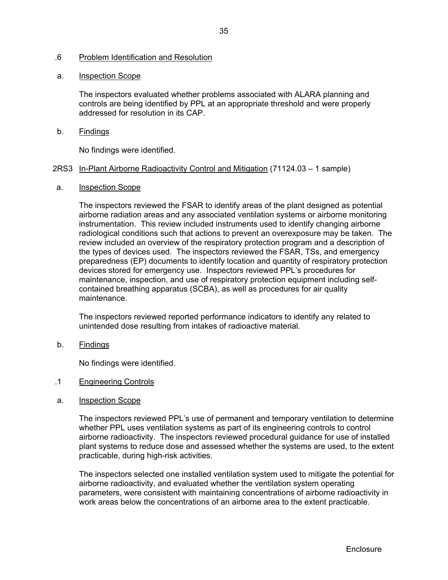## .6 Problem Identification and Resolution

## a. Inspection Scope

The inspectors evaluated whether problems associated with ALARA planning and controls are being identified by PPL at an appropriate threshold and were properly addressed for resolution in its CAP.

b. Findings

No findings were identified.

## 2RS3 In-Plant Airborne Radioactivity Control and Mitigation (71124.03 – 1 sample)

a. Inspection Scope

The inspectors reviewed the FSAR to identify areas of the plant designed as potential airborne radiation areas and any associated ventilation systems or airborne monitoring instrumentation. This review included instruments used to identify changing airborne radiological conditions such that actions to prevent an overexposure may be taken. The review included an overview of the respiratory protection program and a description of the types of devices used. The inspectors reviewed the FSAR, TSs, and emergency preparedness (EP) documents to identify location and quantity of respiratory protection devices stored for emergency use. Inspectors reviewed PPL's procedures for maintenance, inspection, and use of respiratory protection equipment including selfcontained breathing apparatus (SCBA), as well as procedures for air quality maintenance.

The inspectors reviewed reported performance indicators to identify any related to unintended dose resulting from intakes of radioactive material.

b. Findings

No findings were identified.

- .1 Engineering Controls
- a. Inspection Scope

The inspectors reviewed PPL's use of permanent and temporary ventilation to determine whether PPL uses ventilation systems as part of its engineering controls to control airborne radioactivity. The inspectors reviewed procedural guidance for use of installed plant systems to reduce dose and assessed whether the systems are used, to the extent practicable, during high-risk activities.

The inspectors selected one installed ventilation system used to mitigate the potential for airborne radioactivity, and evaluated whether the ventilation system operating parameters, were consistent with maintaining concentrations of airborne radioactivity in work areas below the concentrations of an airborne area to the extent practicable.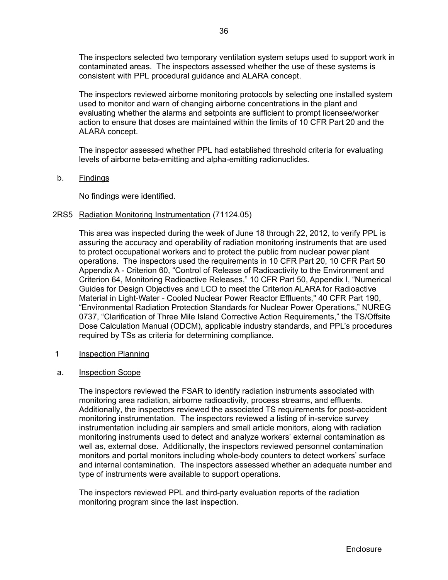The inspectors selected two temporary ventilation system setups used to support work in contaminated areas. The inspectors assessed whether the use of these systems is consistent with PPL procedural guidance and ALARA concept.

The inspectors reviewed airborne monitoring protocols by selecting one installed system used to monitor and warn of changing airborne concentrations in the plant and evaluating whether the alarms and setpoints are sufficient to prompt licensee/worker action to ensure that doses are maintained within the limits of 10 CFR Part 20 and the ALARA concept.

The inspector assessed whether PPL had established threshold criteria for evaluating levels of airborne beta-emitting and alpha-emitting radionuclides.

b. Findings

No findings were identified.

#### 2RS5 Radiation Monitoring Instrumentation (71124.05)

This area was inspected during the week of June 18 through 22, 2012, to verify PPL is assuring the accuracy and operability of radiation monitoring instruments that are used to protect occupational workers and to protect the public from nuclear power plant operations. The inspectors used the requirements in 10 CFR Part 20, 10 CFR Part 50 Appendix A - Criterion 60, "Control of Release of Radioactivity to the Environment and Criterion 64, Monitoring Radioactive Releases," 10 CFR Part 50, Appendix I, "Numerical Guides for Design Objectives and LCO to meet the Criterion ALARA for Radioactive Material in Light-Water - Cooled Nuclear Power Reactor Effluents," 40 CFR Part 190, "Environmental Radiation Protection Standards for Nuclear Power Operations," NUREG 0737, "Clarification of Three Mile Island Corrective Action Requirements," the TS/Offsite Dose Calculation Manual (ODCM), applicable industry standards, and PPL's procedures required by TSs as criteria for determining compliance.

- 1 Inspection Planning
- a. Inspection Scope

The inspectors reviewed the FSAR to identify radiation instruments associated with monitoring area radiation, airborne radioactivity, process streams, and effluents. Additionally, the inspectors reviewed the associated TS requirements for post-accident monitoring instrumentation. The inspectors reviewed a listing of in-service survey instrumentation including air samplers and small article monitors, along with radiation monitoring instruments used to detect and analyze workers' external contamination as well as, external dose. Additionally, the inspectors reviewed personnel contamination monitors and portal monitors including whole-body counters to detect workers' surface and internal contamination. The inspectors assessed whether an adequate number and type of instruments were available to support operations.

The inspectors reviewed PPL and third-party evaluation reports of the radiation monitoring program since the last inspection.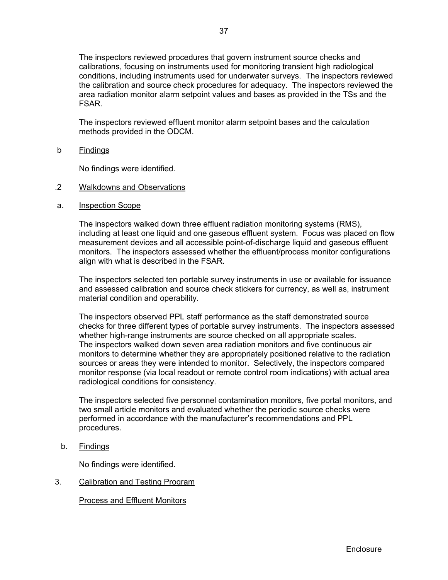The inspectors reviewed procedures that govern instrument source checks and calibrations, focusing on instruments used for monitoring transient high radiological conditions, including instruments used for underwater surveys. The inspectors reviewed the calibration and source check procedures for adequacy. The inspectors reviewed the area radiation monitor alarm setpoint values and bases as provided in the TSs and the FSAR.

The inspectors reviewed effluent monitor alarm setpoint bases and the calculation methods provided in the ODCM.

b Findings

No findings were identified.

- .2 Walkdowns and Observations
- a. Inspection Scope

The inspectors walked down three effluent radiation monitoring systems (RMS), including at least one liquid and one gaseous effluent system. Focus was placed on flow measurement devices and all accessible point-of-discharge liquid and gaseous effluent monitors. The inspectors assessed whether the effluent/process monitor configurations align with what is described in the FSAR.

The inspectors selected ten portable survey instruments in use or available for issuance and assessed calibration and source check stickers for currency, as well as, instrument material condition and operability.

The inspectors observed PPL staff performance as the staff demonstrated source checks for three different types of portable survey instruments. The inspectors assessed whether high-range instruments are source checked on all appropriate scales. The inspectors walked down seven area radiation monitors and five continuous air monitors to determine whether they are appropriately positioned relative to the radiation sources or areas they were intended to monitor. Selectively, the inspectors compared monitor response (via local readout or remote control room indications) with actual area radiological conditions for consistency.

The inspectors selected five personnel contamination monitors, five portal monitors, and two small article monitors and evaluated whether the periodic source checks were performed in accordance with the manufacturer's recommendations and PPL procedures.

b. Findings

No findings were identified.

3. Calibration and Testing Program

Process and Effluent Monitors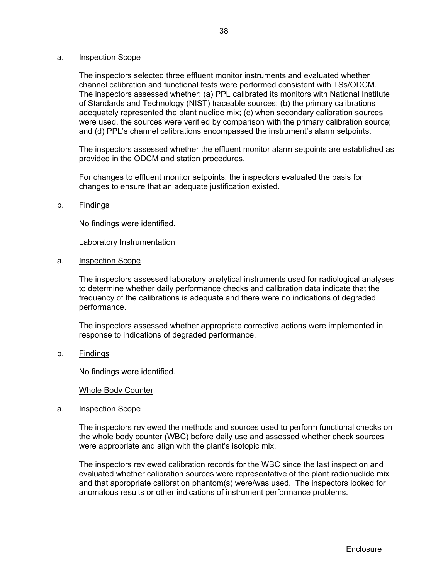#### a. Inspection Scope

The inspectors selected three effluent monitor instruments and evaluated whether channel calibration and functional tests were performed consistent with TSs/ODCM. The inspectors assessed whether: (a) PPL calibrated its monitors with National Institute of Standards and Technology (NIST) traceable sources; (b) the primary calibrations adequately represented the plant nuclide mix; (c) when secondary calibration sources were used, the sources were verified by comparison with the primary calibration source; and (d) PPL's channel calibrations encompassed the instrument's alarm setpoints.

The inspectors assessed whether the effluent monitor alarm setpoints are established as provided in the ODCM and station procedures.

For changes to effluent monitor setpoints, the inspectors evaluated the basis for changes to ensure that an adequate justification existed.

#### b. Findings

No findings were identified.

Laboratory Instrumentation

a. Inspection Scope

The inspectors assessed laboratory analytical instruments used for radiological analyses to determine whether daily performance checks and calibration data indicate that the frequency of the calibrations is adequate and there were no indications of degraded performance.

The inspectors assessed whether appropriate corrective actions were implemented in response to indications of degraded performance.

b. Findings

No findings were identified.

## Whole Body Counter

a. Inspection Scope

The inspectors reviewed the methods and sources used to perform functional checks on the whole body counter (WBC) before daily use and assessed whether check sources were appropriate and align with the plant's isotopic mix.

The inspectors reviewed calibration records for the WBC since the last inspection and evaluated whether calibration sources were representative of the plant radionuclide mix and that appropriate calibration phantom(s) were/was used. The inspectors looked for anomalous results or other indications of instrument performance problems.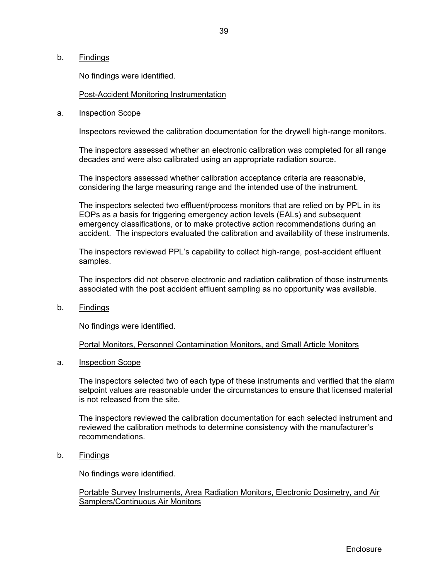### b. Findings

No findings were identified.

## Post-Accident Monitoring Instrumentation

#### a. Inspection Scope

Inspectors reviewed the calibration documentation for the drywell high-range monitors.

The inspectors assessed whether an electronic calibration was completed for all range decades and were also calibrated using an appropriate radiation source.

The inspectors assessed whether calibration acceptance criteria are reasonable, considering the large measuring range and the intended use of the instrument.

The inspectors selected two effluent/process monitors that are relied on by PPL in its EOPs as a basis for triggering emergency action levels (EALs) and subsequent emergency classifications, or to make protective action recommendations during an accident. The inspectors evaluated the calibration and availability of these instruments.

The inspectors reviewed PPL's capability to collect high-range, post-accident effluent samples.

The inspectors did not observe electronic and radiation calibration of those instruments associated with the post accident effluent sampling as no opportunity was available.

b. Findings

No findings were identified.

#### Portal Monitors, Personnel Contamination Monitors, and Small Article Monitors

a. Inspection Scope

The inspectors selected two of each type of these instruments and verified that the alarm setpoint values are reasonable under the circumstances to ensure that licensed material is not released from the site.

The inspectors reviewed the calibration documentation for each selected instrument and reviewed the calibration methods to determine consistency with the manufacturer's recommendations.

b. Findings

No findings were identified.

## Portable Survey Instruments, Area Radiation Monitors, Electronic Dosimetry, and Air Samplers/Continuous Air Monitors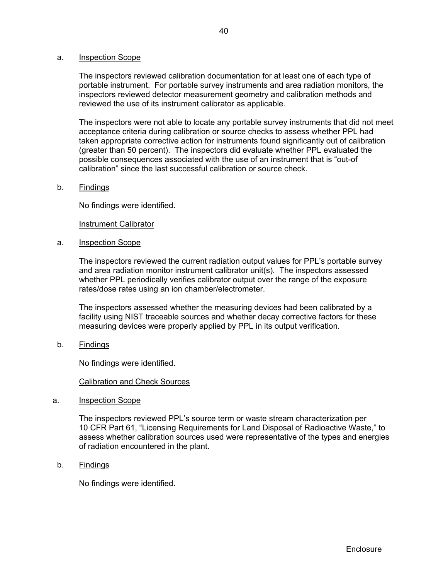#### a. Inspection Scope

The inspectors reviewed calibration documentation for at least one of each type of portable instrument. For portable survey instruments and area radiation monitors, the inspectors reviewed detector measurement geometry and calibration methods and reviewed the use of its instrument calibrator as applicable.

The inspectors were not able to locate any portable survey instruments that did not meet acceptance criteria during calibration or source checks to assess whether PPL had taken appropriate corrective action for instruments found significantly out of calibration (greater than 50 percent). The inspectors did evaluate whether PPL evaluated the possible consequences associated with the use of an instrument that is "out-of calibration" since the last successful calibration or source check.

#### b. Findings

No findings were identified.

#### Instrument Calibrator

a. Inspection Scope

The inspectors reviewed the current radiation output values for PPL's portable survey and area radiation monitor instrument calibrator unit(s). The inspectors assessed whether PPL periodically verifies calibrator output over the range of the exposure rates/dose rates using an ion chamber/electrometer.

The inspectors assessed whether the measuring devices had been calibrated by a facility using NIST traceable sources and whether decay corrective factors for these measuring devices were properly applied by PPL in its output verification.

b. Findings

No findings were identified.

## Calibration and Check Sources

a. Inspection Scope

The inspectors reviewed PPL's source term or waste stream characterization per 10 CFR Part 61, "Licensing Requirements for Land Disposal of Radioactive Waste," to assess whether calibration sources used were representative of the types and energies of radiation encountered in the plant.

b. Findings

No findings were identified.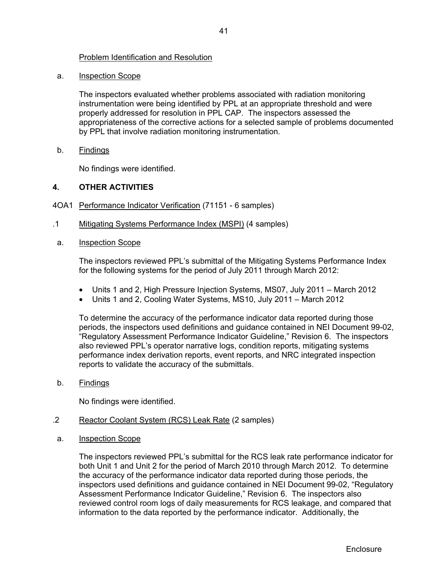## Problem Identification and Resolution

a. Inspection Scope

The inspectors evaluated whether problems associated with radiation monitoring instrumentation were being identified by PPL at an appropriate threshold and were properly addressed for resolution in PPL CAP. The inspectors assessed the appropriateness of the corrective actions for a selected sample of problems documented by PPL that involve radiation monitoring instrumentation.

b. Findings

No findings were identified.

## **4. OTHER ACTIVITIES**

- 4OA1 Performance Indicator Verification (71151 6 samples)
- .1 Mitigating Systems Performance Index (MSPI) (4 samples)
- a. Inspection Scope

The inspectors reviewed PPL's submittal of the Mitigating Systems Performance Index for the following systems for the period of July 2011 through March 2012:

- Units 1 and 2, High Pressure Injection Systems, MS07, July 2011 March 2012
- Units 1 and 2, Cooling Water Systems, MS10, July 2011 March 2012

To determine the accuracy of the performance indicator data reported during those periods, the inspectors used definitions and guidance contained in NEI Document 99-02, "Regulatory Assessment Performance Indicator Guideline," Revision 6. The inspectors also reviewed PPL's operator narrative logs, condition reports, mitigating systems performance index derivation reports, event reports, and NRC integrated inspection reports to validate the accuracy of the submittals.

b. Findings

No findings were identified.

- .2 Reactor Coolant System (RCS) Leak Rate (2 samples)
- a. Inspection Scope

The inspectors reviewed PPL's submittal for the RCS leak rate performance indicator for both Unit 1 and Unit 2 for the period of March 2010 through March 2012. To determine the accuracy of the performance indicator data reported during those periods, the inspectors used definitions and guidance contained in NEI Document 99-02, "Regulatory Assessment Performance Indicator Guideline," Revision 6. The inspectors also reviewed control room logs of daily measurements for RCS leakage, and compared that information to the data reported by the performance indicator. Additionally, the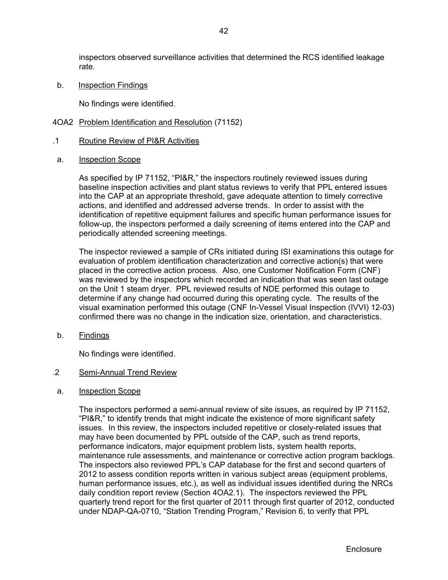inspectors observed surveillance activities that determined the RCS identified leakage rate.

b. Inspection Findings

No findings were identified.

- 4OA2 Problem Identification and Resolution (71152)
- .1 Routine Review of PI&R Activities
- a. Inspection Scope

As specified by IP 71152, "PI&R," the inspectors routinely reviewed issues during baseline inspection activities and plant status reviews to verify that PPL entered issues into the CAP at an appropriate threshold, gave adequate attention to timely corrective actions, and identified and addressed adverse trends. In order to assist with the identification of repetitive equipment failures and specific human performance issues for follow-up, the inspectors performed a daily screening of items entered into the CAP and periodically attended screening meetings.

The inspector reviewed a sample of CRs initiated during ISI examinations this outage for evaluation of problem identification characterization and corrective action(s) that were placed in the corrective action process. Also, one Customer Notification Form (CNF) was reviewed by the inspectors which recorded an indication that was seen last outage on the Unit 1 steam dryer. PPL reviewed results of NDE performed this outage to determine if any change had occurred during this operating cycle. The results of the visual examination performed this outage (CNF In-Vessel Visual Inspection (IVVI) 12-03) confirmed there was no change in the indication size, orientation, and characteristics.

b. Findings

No findings were identified.

## .2 Semi-Annual Trend Review

a. Inspection Scope

The inspectors performed a semi-annual review of site issues, as required by IP 71152, "PI&R," to identify trends that might indicate the existence of more significant safety issues. In this review, the inspectors included repetitive or closely-related issues that may have been documented by PPL outside of the CAP, such as trend reports, performance indicators, major equipment problem lists, system health reports, maintenance rule assessments, and maintenance or corrective action program backlogs. The inspectors also reviewed PPL's CAP database for the first and second quarters of 2012 to assess condition reports written in various subject areas (equipment problems, human performance issues, etc.), as well as individual issues identified during the NRCs daily condition report review (Section 4OA2.1). The inspectors reviewed the PPL quarterly trend report for the first quarter of 2011 through first quarter of 2012, conducted under NDAP-QA-0710, "Station Trending Program," Revision 6, to verify that PPL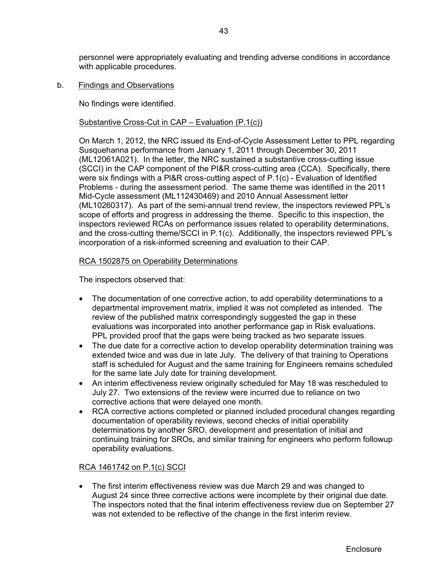personnel were appropriately evaluating and trending adverse conditions in accordance with applicable procedures.

b. Findings and Observations

No findings were identified.

## Substantive Cross-Cut in CAP – Evaluation (P.1(c))

On March 1, 2012, the NRC issued its End-of-Cycle Assessment Letter to PPL regarding Susquehanna performance from January 1, 2011 through December 30, 2011 (ML12061A021). In the letter, the NRC sustained a substantive cross-cutting issue (SCCI) in the CAP component of the PI&R cross-cutting area (CCA). Specifically, there were six findings with a Pl&R cross-cutting aspect of P.1(c) - Evaluation of ldentified Problems - during the assessment period. The same theme was identified in the 2011 Mid-Cycle assessment (ML112430469) and 2010 Annual Assessment letter (ML10260317). As part of the semi-annual trend review, the inspectors reviewed PPL's scope of efforts and progress in addressing the theme. Specific to this inspection, the inspectors reviewed RCAs on performance issues related to operability determinations, and the cross-cutting theme/SCCI in P.1(c). Additionally, the inspectors reviewed PPL's incorporation of a risk-informed screening and evaluation to their CAP.

## RCA 1502875 on Operability Determinations

The inspectors observed that:

- The documentation of one corrective action, to add operability determinations to a departmental improvement matrix, implied it was not completed as intended. The review of the published matrix correspondingly suggested the gap in these evaluations was incorporated into another performance gap in Risk evaluations. PPL provided proof that the gaps were being tracked as two separate issues.
- The due date for a corrective action to develop operability determination training was extended twice and was due in late July. The delivery of that training to Operations staff is scheduled for August and the same training for Engineers remains scheduled for the same late July date for training development.
- An interim effectiveness review originally scheduled for May 18 was rescheduled to July 27. Two extensions of the review were incurred due to reliance on two corrective actions that were delayed one month.
- RCA corrective actions completed or planned included procedural changes regarding documentation of operability reviews, second checks of initial operability determinations by another SRO, development and presentation of initial and continuing training for SROs, and similar training for engineers who perform followup operability evaluations.

## RCA 1461742 on P.1(c) SCCI

 The first interim effectiveness review was due March 29 and was changed to August 24 since three corrective actions were incomplete by their original due date. The inspectors noted that the final interim effectiveness review due on September 27 was not extended to be reflective of the change in the first interim review.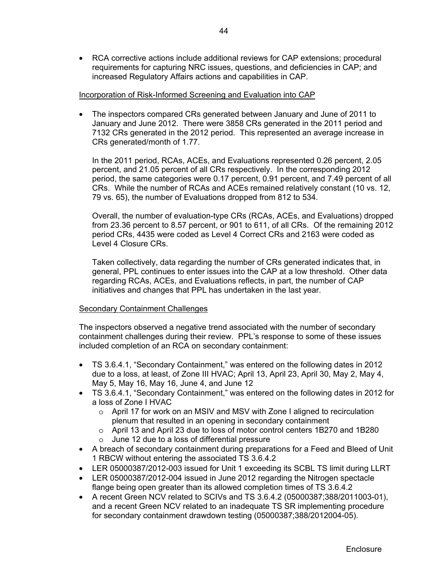RCA corrective actions include additional reviews for CAP extensions; procedural requirements for capturing NRC issues, questions, and deficiencies in CAP; and increased Regulatory Affairs actions and capabilities in CAP.

## Incorporation of Risk-Informed Screening and Evaluation into CAP

 The inspectors compared CRs generated between January and June of 2011 to January and June 2012. There were 3858 CRs generated in the 2011 period and 7132 CRs generated in the 2012 period. This represented an average increase in CRs generated/month of 1.77.

In the 2011 period, RCAs, ACEs, and Evaluations represented 0.26 percent, 2.05 percent, and 21.05 percent of all CRs respectively. In the corresponding 2012 period, the same categories were 0.17 percent, 0.91 percent, and 7.49 percent of all CRs. While the number of RCAs and ACEs remained relatively constant (10 vs. 12, 79 vs. 65), the number of Evaluations dropped from 812 to 534.

Overall, the number of evaluation-type CRs (RCAs, ACEs, and Evaluations) dropped from 23.36 percent to 8.57 percent, or 901 to 611, of all CRs. Of the remaining 2012 period CRs, 4435 were coded as Level 4 Correct CRs and 2163 were coded as Level 4 Closure CRs.

Taken collectively, data regarding the number of CRs generated indicates that, in general, PPL continues to enter issues into the CAP at a low threshold. Other data regarding RCAs, ACEs, and Evaluations reflects, in part, the number of CAP initiatives and changes that PPL has undertaken in the last year.

## Secondary Containment Challenges

The inspectors observed a negative trend associated with the number of secondary containment challenges during their review. PPL's response to some of these issues included completion of an RCA on secondary containment:

- TS 3.6.4.1, "Secondary Containment," was entered on the following dates in 2012 due to a loss, at least, of Zone III HVAC; April 13, April 23, April 30, May 2, May 4, May 5, May 16, May 16, June 4, and June 12
- TS 3.6.4.1, "Secondary Containment," was entered on the following dates in 2012 for a loss of Zone I HVAC
	- $\circ$  April 17 for work on an MSIV and MSV with Zone I aligned to recirculation plenum that resulted in an opening in secondary containment
	- o April 13 and April 23 due to loss of motor control centers 1B270 and 1B280
	- o June 12 due to a loss of differential pressure
- A breach of secondary containment during preparations for a Feed and Bleed of Unit 1 RBCW without entering the associated TS 3.6.4.2
- LER 05000387/2012-003 issued for Unit 1 exceeding its SCBL TS limit during LLRT
- LER 05000387/2012-004 issued in June 2012 regarding the Nitrogen spectacle flange being open greater than its allowed completion times of TS 3.6.4.2
- A recent Green NCV related to SCIVs and TS  $3.6.4.2$  (05000387;388/2011003-01), and a recent Green NCV related to an inadequate TS SR implementing procedure for secondary containment drawdown testing (05000387;388/2012004-05).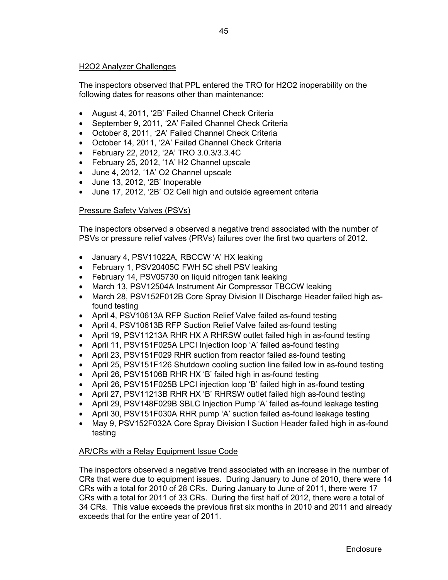## H2O2 Analyzer Challenges

The inspectors observed that PPL entered the TRO for H2O2 inoperability on the following dates for reasons other than maintenance:

- August 4, 2011, '2B' Failed Channel Check Criteria
- September 9, 2011, '2A' Failed Channel Check Criteria
- October 8, 2011, '2A' Failed Channel Check Criteria
- October 14, 2011, '2A' Failed Channel Check Criteria
- February 22, 2012, '2A' TRO 3.0.3/3.3.4C
- February 25, 2012, '1A' H2 Channel upscale
- June 4, 2012, '1A' O2 Channel upscale
- June 13, 2012, '2B' Inoperable
- June 17, 2012, '2B' O2 Cell high and outside agreement criteria

## Pressure Safety Valves (PSVs)

The inspectors observed a observed a negative trend associated with the number of PSVs or pressure relief valves (PRVs) failures over the first two quarters of 2012.

- January 4, PSV11022A, RBCCW 'A' HX leaking
- February 1, PSV20405C FWH 5C shell PSV leaking
- February 14, PSV05730 on liquid nitrogen tank leaking
- March 13, PSV12504A Instrument Air Compressor TBCCW leaking
- March 28, PSV152F012B Core Spray Division II Discharge Header failed high asfound testing
- April 4, PSV10613A RFP Suction Relief Valve failed as-found testing
- April 4, PSV10613B RFP Suction Relief Valve failed as-found testing
- April 19, PSV11213A RHR HX A RHRSW outlet failed high in as-found testing
- April 11, PSV151F025A LPCI Injection loop 'A' failed as-found testing
- April 23, PSV151F029 RHR suction from reactor failed as-found testing
- April 25, PSV151F126 Shutdown cooling suction line failed low in as-found testing
- April 26, PSV15106B RHR HX 'B' failed high in as-found testing
- April 26, PSV151F025B LPCI injection loop 'B' failed high in as-found testing
- April 27, PSV11213B RHR HX 'B' RHRSW outlet failed high as-found testing
- April 29, PSV148F029B SBLC Injection Pump 'A' failed as-found leakage testing
- April 30, PSV151F030A RHR pump 'A' suction failed as-found leakage testing
- May 9, PSV152F032A Core Spray Division I Suction Header failed high in as-found testing

## AR/CRs with a Relay Equipment Issue Code

The inspectors observed a negative trend associated with an increase in the number of CRs that were due to equipment issues. During January to June of 2010, there were 14 CRs with a total for 2010 of 28 CRs. During January to June of 2011, there were 17 CRs with a total for 2011 of 33 CRs. During the first half of 2012, there were a total of 34 CRs. This value exceeds the previous first six months in 2010 and 2011 and already exceeds that for the entire year of 2011.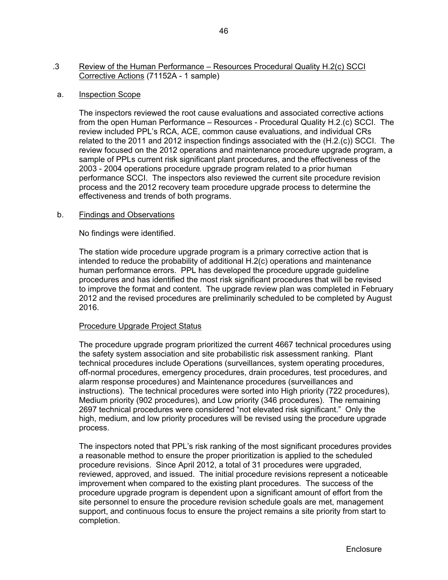## .3 Review of the Human Performance – Resources Procedural Quality H.2(c) SCCI Corrective Actions (71152A - 1 sample)

## a. Inspection Scope

The inspectors reviewed the root cause evaluations and associated corrective actions from the open Human Performance – Resources - Procedural Quality H.2.(c) SCCI. The review included PPL's RCA, ACE, common cause evaluations, and individual CRs related to the 2011 and 2012 inspection findings associated with the (H.2.(c)) SCCI. The review focused on the 2012 operations and maintenance procedure upgrade program, a sample of PPLs current risk significant plant procedures, and the effectiveness of the 2003 - 2004 operations procedure upgrade program related to a prior human performance SCCI. The inspectors also reviewed the current site procedure revision process and the 2012 recovery team procedure upgrade process to determine the effectiveness and trends of both programs.

## b. Findings and Observations

No findings were identified.

 The station wide procedure upgrade program is a primary corrective action that is intended to reduce the probability of additional H.2(c) operations and maintenance human performance errors. PPL has developed the procedure upgrade guideline procedures and has identified the most risk significant procedures that will be revised to improve the format and content. The upgrade review plan was completed in February 2012 and the revised procedures are preliminarily scheduled to be completed by August 2016.

## Procedure Upgrade Project Status

The procedure upgrade program prioritized the current 4667 technical procedures using the safety system association and site probabilistic risk assessment ranking. Plant technical procedures include Operations (surveillances, system operating procedures, off-normal procedures, emergency procedures, drain procedures, test procedures, and alarm response procedures) and Maintenance procedures (surveillances and instructions). The technical procedures were sorted into High priority (722 procedures), Medium priority (902 procedures), and Low priority (346 procedures). The remaining 2697 technical procedures were considered "not elevated risk significant." Only the high, medium, and low priority procedures will be revised using the procedure upgrade process.

The inspectors noted that PPL's risk ranking of the most significant procedures provides a reasonable method to ensure the proper prioritization is applied to the scheduled procedure revisions. Since April 2012, a total of 31 procedures were upgraded, reviewed, approved, and issued. The initial procedure revisions represent a noticeable improvement when compared to the existing plant procedures. The success of the procedure upgrade program is dependent upon a significant amount of effort from the site personnel to ensure the procedure revision schedule goals are met, management support, and continuous focus to ensure the project remains a site priority from start to completion.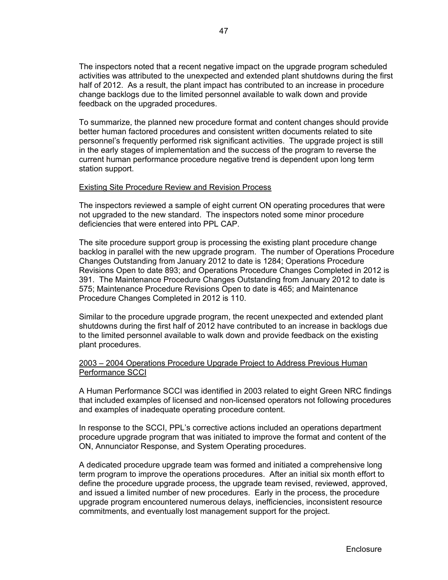The inspectors noted that a recent negative impact on the upgrade program scheduled activities was attributed to the unexpected and extended plant shutdowns during the first half of 2012. As a result, the plant impact has contributed to an increase in procedure change backlogs due to the limited personnel available to walk down and provide feedback on the upgraded procedures.

To summarize, the planned new procedure format and content changes should provide better human factored procedures and consistent written documents related to site personnel's frequently performed risk significant activities. The upgrade project is still in the early stages of implementation and the success of the program to reverse the current human performance procedure negative trend is dependent upon long term station support.

## Existing Site Procedure Review and Revision Process

The inspectors reviewed a sample of eight current ON operating procedures that were not upgraded to the new standard. The inspectors noted some minor procedure deficiencies that were entered into PPL CAP.

The site procedure support group is processing the existing plant procedure change backlog in parallel with the new upgrade program. The number of Operations Procedure Changes Outstanding from January 2012 to date is 1284; Operations Procedure Revisions Open to date 893; and Operations Procedure Changes Completed in 2012 is 391. The Maintenance Procedure Changes Outstanding from January 2012 to date is 575; Maintenance Procedure Revisions Open to date is 465; and Maintenance Procedure Changes Completed in 2012 is 110.

Similar to the procedure upgrade program, the recent unexpected and extended plant shutdowns during the first half of 2012 have contributed to an increase in backlogs due to the limited personnel available to walk down and provide feedback on the existing plant procedures.

## 2003 – 2004 Operations Procedure Upgrade Project to Address Previous Human Performance SCCI

A Human Performance SCCI was identified in 2003 related to eight Green NRC findings that included examples of licensed and non-licensed operators not following procedures and examples of inadequate operating procedure content.

In response to the SCCI, PPL's corrective actions included an operations department procedure upgrade program that was initiated to improve the format and content of the ON, Annunciator Response, and System Operating procedures.

A dedicated procedure upgrade team was formed and initiated a comprehensive long term program to improve the operations procedures. After an initial six month effort to define the procedure upgrade process, the upgrade team revised, reviewed, approved, and issued a limited number of new procedures. Early in the process, the procedure upgrade program encountered numerous delays, inefficiencies, inconsistent resource commitments, and eventually lost management support for the project.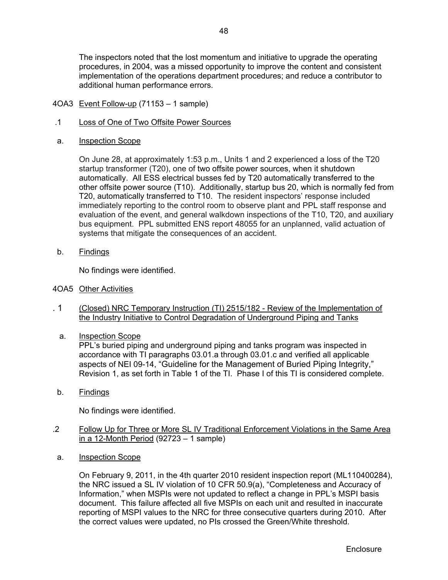The inspectors noted that the lost momentum and initiative to upgrade the operating procedures, in 2004, was a missed opportunity to improve the content and consistent implementation of the operations department procedures; and reduce a contributor to additional human performance errors.

- 4OA3 Event Follow-up (71153 1 sample)
- .1 Loss of One of Two Offsite Power Sources
- a. Inspection Scope

On June 28, at approximately 1:53 p.m., Units 1 and 2 experienced a loss of the T20 startup transformer (T20), one of two offsite power sources, when it shutdown automatically. All ESS electrical busses fed by T20 automatically transferred to the other offsite power source (T10). Additionally, startup bus 20, which is normally fed from T20, automatically transferred to T10. The resident inspectors' response included immediately reporting to the control room to observe plant and PPL staff response and evaluation of the event, and general walkdown inspections of the T10, T20, and auxiliary bus equipment. PPL submitted ENS report 48055 for an unplanned, valid actuation of systems that mitigate the consequences of an accident.

b. Findings

No findings were identified.

- 4OA5 Other Activities
- . 1 (Closed) NRC Temporary Instruction (TI) 2515/182 Review of the Implementation of the Industry Initiative to Control Degradation of Underground Piping and Tanks
	- a. Inspection Scope

PPL's buried piping and underground piping and tanks program was inspected in accordance with TI paragraphs 03.01.a through 03.01.c and verified all applicable aspects of NEI 09-14, "Guideline for the Management of Buried Piping Integrity," Revision 1, as set forth in Table 1 of the TI. Phase I of this TI is considered complete.

b. Findings

No findings were identified.

- .2 Follow Up for Three or More SL IV Traditional Enforcement Violations in the Same Area in a 12-Month Period (92723 – 1 sample)
- a. Inspection Scope

On February 9, 2011, in the 4th quarter 2010 resident inspection report (ML110400284), the NRC issued a SL IV violation of 10 CFR 50.9(a), "Completeness and Accuracy of Information," when MSPIs were not updated to reflect a change in PPL's MSPI basis document. This failure affected all five MSPIs on each unit and resulted in inaccurate reporting of MSPI values to the NRC for three consecutive quarters during 2010. After the correct values were updated, no PIs crossed the Green/White threshold.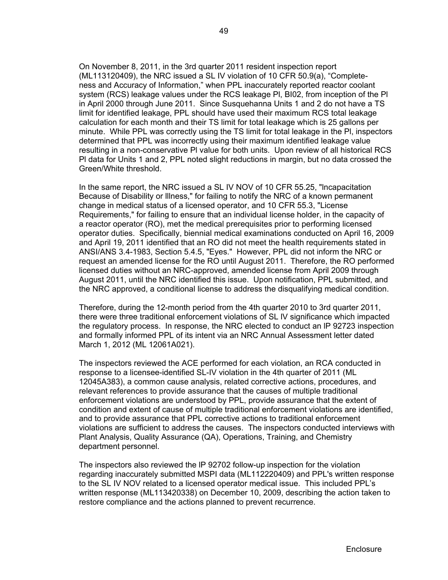On November 8, 2011, in the 3rd quarter 2011 resident inspection report (ML113120409), the NRC issued a SL IV violation of 10 CFR 50.9(a), "Completeness and Accuracy of Information," when PPL inaccurately reported reactor coolant system (RCS) leakage values under the RCS leakage Pl, BI02, from inception of the Pl in April 2000 through June 2011. Since Susquehanna Units 1 and 2 do not have a TS limit for identified leakage, PPL should have used their maximum RCS total leakage calculation for each month and their TS limit for total leakage which is 25 gallons per minute. While PPL was correctly using the TS limit for total leakage in the Pl, inspectors determined that PPL was incorrectly using their maximum identified leakage value resulting in a non-conservative Pl value for both units. Upon review of all historical RCS Pl data for Units 1 and 2, PPL noted slight reductions in margin, but no data crossed the Green/White threshold.

In the same report, the NRC issued a SL IV NOV of 10 CFR 55.25, "lncapacitation Because of Disability or lllness," for failing to notify the NRC of a known permanent change in medical status of a licensed operator, and 10 CFR 55.3, "License Requirements," for failing to ensure that an individual license holder, in the capacity of a reactor operator (RO), met the medical prerequisites prior to performing licensed operator duties. Specifically, biennial medical examinations conducted on April 16, 2009 and April 19, 2011 identified that an RO did not meet the health requirements stated in ANSI/ANS 3.4-1983, Section 5.4.5, "Eyes." However, PPL did not inform the NRC or request an amended license for the RO until August 2011. Therefore, the RO performed licensed duties without an NRC-approved, amended license from April 2009 through August 2011, until the NRC identified this issue. Upon notification, PPL submitted, and the NRC approved, a conditional license to address the disqualifying medical condition.

Therefore, during the 12-month period from the 4th quarter 2010 to 3rd quarter 2011, there were three traditional enforcement violations of SL lV significance which impacted the regulatory process. In response, the NRC elected to conduct an lP 92723 inspection and formally informed PPL of its intent via an NRC Annual Assessment letter dated March 1, 2012 (ML 12061A021).

The inspectors reviewed the ACE performed for each violation, an RCA conducted in response to a licensee-identified SL-IV violation in the 4th quarter of 2011 (ML 12045A383), a common cause analysis, related corrective actions, procedures, and relevant references to provide assurance that the causes of multiple traditional enforcement violations are understood by PPL, provide assurance that the extent of condition and extent of cause of multiple traditional enforcement violations are identified, and to provide assurance that PPL corrective actions to traditional enforcement violations are sufficient to address the causes. The inspectors conducted interviews with Plant Analysis, Quality Assurance (QA), Operations, Training, and Chemistry department personnel.

The inspectors also reviewed the lP 92702 follow-up inspection for the violation regarding inaccurately submitted MSPI data (ML112220409) and PPL's written response to the SL IV NOV related to a licensed operator medical issue. This included PPL's written response (ML113420338) on December 10, 2009, describing the action taken to restore compliance and the actions planned to prevent recurrence.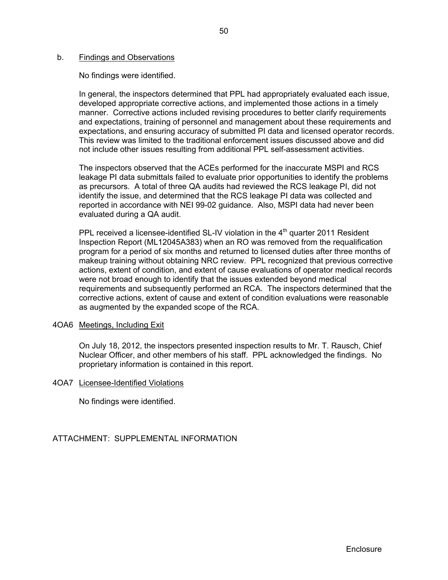#### b. Findings and Observations

No findings were identified.

In general, the inspectors determined that PPL had appropriately evaluated each issue, developed appropriate corrective actions, and implemented those actions in a timely manner. Corrective actions included revising procedures to better clarify requirements and expectations, training of personnel and management about these requirements and expectations, and ensuring accuracy of submitted PI data and licensed operator records. This review was limited to the traditional enforcement issues discussed above and did not include other issues resulting from additional PPL self-assessment activities.

The inspectors observed that the ACEs performed for the inaccurate MSPI and RCS leakage PI data submittals failed to evaluate prior opportunities to identify the problems as precursors. A total of three QA audits had reviewed the RCS leakage PI, did not identify the issue, and determined that the RCS leakage PI data was collected and reported in accordance with NEI 99-02 guidance. Also, MSPI data had never been evaluated during a QA audit.

PPL received a licensee-identified SL-IV violation in the  $4<sup>th</sup>$  quarter 2011 Resident Inspection Report (ML12045A383) when an RO was removed from the requalification program for a period of six months and returned to licensed duties after three months of makeup training without obtaining NRC review. PPL recognized that previous corrective actions, extent of condition, and extent of cause evaluations of operator medical records were not broad enough to identify that the issues extended beyond medical requirements and subsequently performed an RCA. The inspectors determined that the corrective actions, extent of cause and extent of condition evaluations were reasonable as augmented by the expanded scope of the RCA.

## 4OA6 Meetings, Including Exit

On July 18, 2012, the inspectors presented inspection results to Mr. T. Rausch, Chief Nuclear Officer, and other members of his staff. PPL acknowledged the findings. No proprietary information is contained in this report.

## 4OA7 Licensee-Identified Violations

No findings were identified.

ATTACHMENT: SUPPLEMENTAL INFORMATION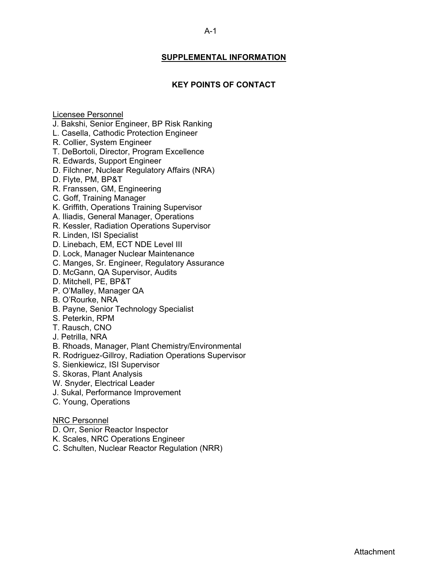## **SUPPLEMENTAL INFORMATION**

## **KEY POINTS OF CONTACT**

### Licensee Personnel

- J. Bakshi, Senior Engineer, BP Risk Ranking
- L. Casella, Cathodic Protection Engineer
- R. Collier, System Engineer
- T. DeBortoli, Director, Program Excellence
- R. Edwards, Support Engineer
- D. Filchner, Nuclear Regulatory Affairs (NRA)
- D. Flyte, PM, BP&T
- R. Franssen, GM, Engineering
- C. Goff, Training Manager
- K. Griffith, Operations Training Supervisor
- A. Iliadis, General Manager, Operations
- R. Kessler, Radiation Operations Supervisor
- R. Linden, ISI Specialist
- D. Linebach, EM, ECT NDE Level III
- D. Lock, Manager Nuclear Maintenance
- C. Manges, Sr. Engineer, Regulatory Assurance
- D. McGann, QA Supervisor, Audits
- D. Mitchell, PE, BP&T
- P. O'Malley, Manager QA
- B. O'Rourke, NRA
- B. Payne, Senior Technology Specialist
- S. Peterkin, RPM
- T. Rausch, CNO
- J. Petrilla, NRA
- B. Rhoads, Manager, Plant Chemistry/Environmental
- R. Rodriguez-Gillroy, Radiation Operations Supervisor
- S. Sienkiewicz, ISI Supervisor
- S. Skoras, Plant Analysis
- W. Snyder, Electrical Leader
- J. Sukal, Performance Improvement
- C. Young, Operations

## NRC Personnel

- D. Orr, Senior Reactor Inspector
- K. Scales, NRC Operations Engineer
- C. Schulten, Nuclear Reactor Regulation (NRR)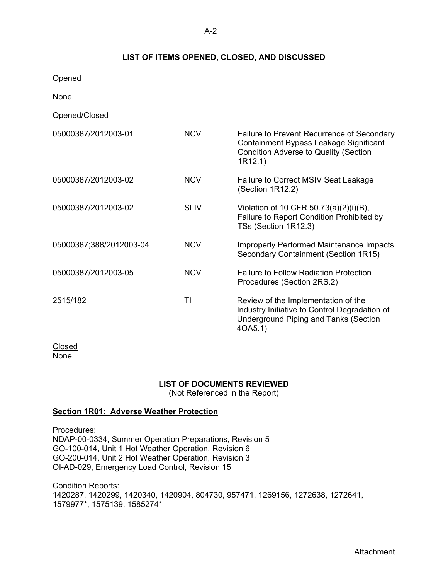## **LIST OF ITEMS OPENED, CLOSED, AND DISCUSSED**

**Opened** 

None.

Opened/Closed

| 05000387/2012003-01     | <b>NCV</b>  | Failure to Prevent Recurrence of Secondary<br>Containment Bypass Leakage Significant<br><b>Condition Adverse to Quality (Section</b><br>1R12.1) |
|-------------------------|-------------|-------------------------------------------------------------------------------------------------------------------------------------------------|
| 05000387/2012003-02     | <b>NCV</b>  | Failure to Correct MSIV Seat Leakage<br>(Section 1R12.2)                                                                                        |
| 05000387/2012003-02     | <b>SLIV</b> | Violation of 10 CFR 50.73(a)(2)(i)(B),<br>Failure to Report Condition Prohibited by<br>TSs (Section 1R12.3)                                     |
| 05000387;388/2012003-04 | <b>NCV</b>  | <b>Improperly Performed Maintenance Impacts</b><br>Secondary Containment (Section 1R15)                                                         |
| 05000387/2012003-05     | <b>NCV</b>  | <b>Failure to Follow Radiation Protection</b><br>Procedures (Section 2RS.2)                                                                     |
| 2515/182                | TI          | Review of the Implementation of the<br>Industry Initiative to Control Degradation of<br><b>Underground Piping and Tanks (Section</b><br>40A5.1) |

**Closed** None.

## **LIST OF DOCUMENTS REVIEWED**

(Not Referenced in the Report)

## **Section 1R01: Adverse Weather Protection**

Procedures: NDAP-00-0334, Summer Operation Preparations, Revision 5 GO-100-014, Unit 1 Hot Weather Operation, Revision 6 GO-200-014, Unit 2 Hot Weather Operation, Revision 3 OI-AD-029, Emergency Load Control, Revision 15

Condition Reports: 1420287, 1420299, 1420340, 1420904, 804730, 957471, 1269156, 1272638, 1272641, 1579977\*, 1575139, 1585274\*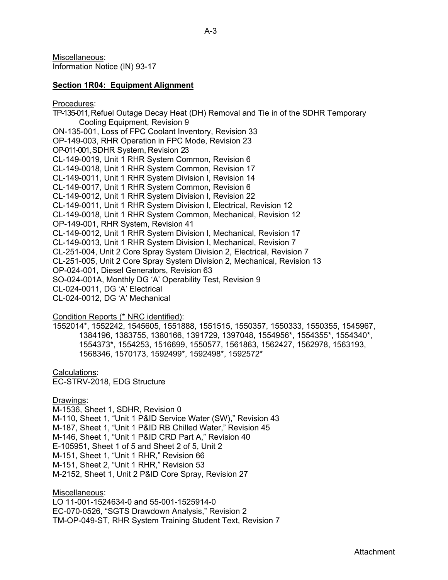Miscellaneous: Information Notice (IN) 93-17

#### **Section 1R04: Equipment Alignment**

Procedures:

TP-135-011, Refuel Outage Decay Heat (DH) Removal and Tie in of the SDHR Temporary Cooling Equipment, Revision 9 ON-135-001, Loss of FPC Coolant Inventory, Revision 33 OP-149-003, RHR Operation in FPC Mode, Revision 23 OP-011-001, SDHR System, Revision 23 CL-149-0019, Unit 1 RHR System Common, Revision 6 CL-149-0018, Unit 1 RHR System Common, Revision 17 CL-149-0011, Unit 1 RHR System Division I, Revision 14 CL-149-0017, Unit 1 RHR System Common, Revision 6 CL-149-0012, Unit 1 RHR System Division I, Revision 22 CL-149-0011, Unit 1 RHR System Division I, Electrical, Revision 12 CL-149-0018, Unit 1 RHR System Common, Mechanical, Revision 12 OP-149-001, RHR System, Revision 41 CL-149-0012, Unit 1 RHR System Division I, Mechanical, Revision 17 CL-149-0013, Unit 1 RHR System Division I, Mechanical, Revision 7 CL-251-004, Unit 2 Core Spray System Division 2, Electrical, Revision 7 CL-251-005, Unit 2 Core Spray System Division 2, Mechanical, Revision 13 OP-024-001, Diesel Generators, Revision 63 SO-024-001A, Monthly DG 'A' Operability Test, Revision 9 CL-024-0011, DG 'A' Electrical CL-024-0012, DG 'A' Mechanical

#### Condition Reports (\* NRC identified):

1552014\*, 1552242, 1545605, 1551888, 1551515, 1550357, 1550333, 1550355, 1545967, 1384196, 1383755, 1380166, 1391729, 1397048, 1554956\*, 1554355\*, 1554340\*, 1554373\*, 1554253, 1516699, 1550577, 1561863, 1562427, 1562978, 1563193, 1568346, 1570173, 1592499\*, 1592498\*, 1592572\*

#### Calculations:

EC-STRV-2018, EDG Structure

#### Drawings:

M-1536, Sheet 1, SDHR, Revision 0 M-110, Sheet 1, "Unit 1 P&ID Service Water (SW)," Revision 43 M-187, Sheet 1, "Unit 1 P&ID RB Chilled Water," Revision 45 M-146, Sheet 1, "Unit 1 P&ID CRD Part A," Revision 40 E-105951, Sheet 1 of 5 and Sheet 2 of 5, Unit 2 M-151, Sheet 1, "Unit 1 RHR," Revision 66 M-151, Sheet 2, "Unit 1 RHR," Revision 53 M-2152, Sheet 1, Unit 2 P&ID Core Spray, Revision 27

Miscellaneous:

LO 11-001-1524634-0 and 55-001-1525914-0 EC-070-0526, "SGTS Drawdown Analysis," Revision 2 TM-OP-049-ST, RHR System Training Student Text, Revision 7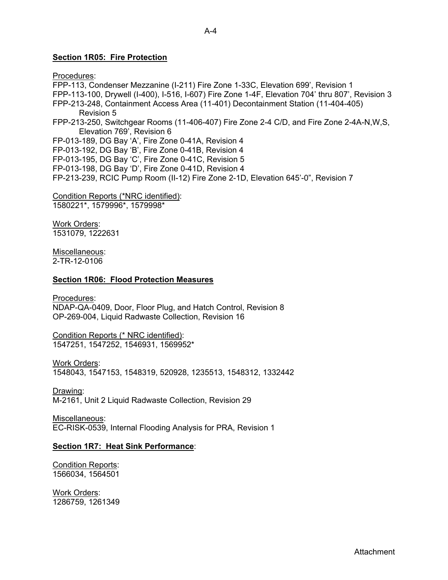## **Section 1R05: Fire Protection**

Procedures: FPP-113, Condenser Mezzanine (I-211) Fire Zone 1-33C, Elevation 699', Revision 1 FPP-113-100, Drywell (I-400), I-516, I-607) Fire Zone 1-4F, Elevation 704' thru 807', Revision 3 FPP-213-248, Containment Access Area (11-401) Decontainment Station (11-404-405) Revision 5 FPP-213-250, Switchgear Rooms (11-406-407) Fire Zone 2-4 C/D, and Fire Zone 2-4A-N,W,S, Elevation 769', Revision 6 FP-013-189, DG Bay 'A', Fire Zone 0-41A, Revision 4 FP-013-192, DG Bay 'B', Fire Zone 0-41B, Revision 4 FP-013-195, DG Bay 'C', Fire Zone 0-41C, Revision 5 FP-013-198, DG Bay 'D', Fire Zone 0-41D, Revision 4 FP-213-239, RCIC Pump Room (II-12) Fire Zone 2-1D, Elevation 645'-0", Revision 7

Condition Reports (\*NRC identified): 1580221\*, 1579996\*, 1579998\*

Work Orders: 1531079, 1222631

Miscellaneous: 2-TR-12-0106

#### **Section 1R06: Flood Protection Measures**

Procedures:

NDAP-QA-0409, Door, Floor Plug, and Hatch Control, Revision 8 OP-269-004, Liquid Radwaste Collection, Revision 16

Condition Reports (\* NRC identified): 1547251, 1547252, 1546931, 1569952\*

Work Orders: 1548043, 1547153, 1548319, 520928, 1235513, 1548312, 1332442

Drawing: M-2161, Unit 2 Liquid Radwaste Collection, Revision 29

Miscellaneous: EC-RISK-0539, Internal Flooding Analysis for PRA, Revision 1

## **Section 1R7: Heat Sink Performance**:

Condition Reports: 1566034, 1564501

Work Orders: 1286759, 1261349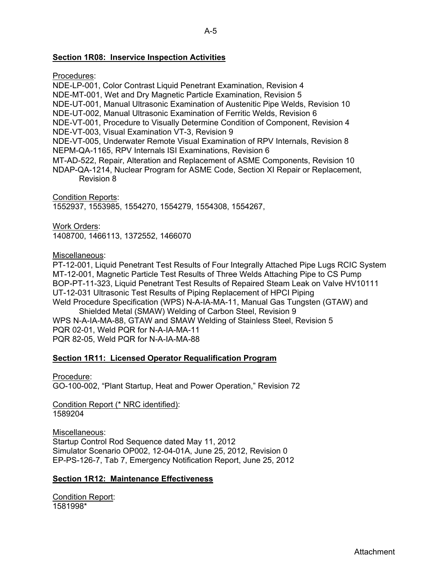## **Section 1R08: Inservice Inspection Activities**

Procedures:

- NDE-LP-001, Color Contrast Liquid Penetrant Examination, Revision 4
- NDE-MT-001, Wet and Dry Magnetic Particle Examination, Revision 5
- NDE-UT-001, Manual Ultrasonic Examination of Austenitic Pipe Welds, Revision 10
- NDE-UT-002, Manual Ultrasonic Examination of Ferritic Welds, Revision 6

NDE-VT-001, Procedure to Visually Determine Condition of Component, Revision 4

NDE-VT-003, Visual Examination VT-3, Revision 9

NDE-VT-005, Underwater Remote Visual Examination of RPV Internals, Revision 8 NEPM-QA-1165, RPV Internals ISI Examinations, Revision 6

- MT-AD-522, Repair, Alteration and Replacement of ASME Components, Revision 10
- NDAP-QA-1214, Nuclear Program for ASME Code, Section XI Repair or Replacement, Revision 8

Condition Reports: 1552937, 1553985, 1554270, 1554279, 1554308, 1554267,

Work Orders: 1408700, 1466113, 1372552, 1466070

Miscellaneous:

PT-12-001, Liquid Penetrant Test Results of Four Integrally Attached Pipe Lugs RCIC System MT-12-001, Magnetic Particle Test Results of Three Welds Attaching Pipe to CS Pump BOP-PT-11-323, Liquid Penetrant Test Results of Repaired Steam Leak on Valve HV10111 UT-12-031 Ultrasonic Test Results of Piping Replacement of HPCI Piping Weld Procedure Specification (WPS) N-A-IA-MA-11, Manual Gas Tungsten (GTAW) and

Shielded Metal (SMAW) Welding of Carbon Steel, Revision 9 WPS N-A-IA-MA-88, GTAW and SMAW Welding of Stainless Steel, Revision 5 PQR 02-01, Weld PQR for N-A-IA-MA-11 PQR 82-05, Weld PQR for N-A-IA-MA-88

## **Section 1R11: Licensed Operator Requalification Program**

Procedure:

GO-100-002, "Plant Startup, Heat and Power Operation," Revision 72

Condition Report (\* NRC identified): 1589204

Miscellaneous: Startup Control Rod Sequence dated May 11, 2012 Simulator Scenario OP002, 12-04-01A, June 25, 2012, Revision 0 EP-PS-126-7, Tab 7, Emergency Notification Report, June 25, 2012

## **Section 1R12: Maintenance Effectiveness**

Condition Report: 1581998\*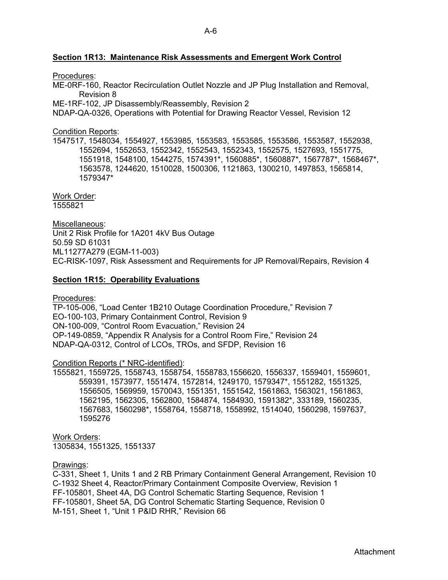## **Section 1R13: Maintenance Risk Assessments and Emergent Work Control**

#### Procedures:

ME-0RF-160, Reactor Recirculation Outlet Nozzle and JP Plug Installation and Removal, Revision 8

ME-1RF-102, JP Disassembly/Reassembly, Revision 2

NDAP-QA-0326, Operations with Potential for Drawing Reactor Vessel, Revision 12

## Condition Reports:

1547517, 1548034, 1554927, 1553985, 1553583, 1553585, 1553586, 1553587, 1552938, 1552694, 1552653, 1552342, 1552543, 1552343, 1552575, 1527693, 1551775, 1551918, 1548100, 1544275, 1574391\*, 1560885\*, 1560887\*, 1567787\*, 1568467\*, 1563578, 1244620, 1510028, 1500306, 1121863, 1300210, 1497853, 1565814, 1579347\*

Work Order: 1555821

Miscellaneous: Unit 2 Risk Profile for 1A201 4kV Bus Outage 50.59 SD 61031 ML11277A279 (EGM-11-003) EC-RISK-1097, Risk Assessment and Requirements for JP Removal/Repairs, Revision 4

## **Section 1R15: Operability Evaluations**

Procedures:

TP-105-006, "Load Center 1B210 Outage Coordination Procedure," Revision 7 EO-100-103, Primary Containment Control, Revision 9 ON-100-009, "Control Room Evacuation," Revision 24 OP-149-0859, "Appendix R Analysis for a Control Room Fire," Revision 24 NDAP-QA-0312, Control of LCOs, TROs, and SFDP, Revision 16

## Condition Reports (\* NRC-identified):

1555821, 1559725, 1558743, 1558754, 1558783,1556620, 1556337, 1559401, 1559601, 559391, 1573977, 1551474, 1572814, 1249170, 1579347\*, 1551282, 1551325, 1556505, 1569959, 1570043, 1551351, 1551542, 1561863, 1563021, 1561863, 1562195, 1562305, 1562800, 1584874, 1584930, 1591382\*, 333189, 1560235, 1567683, 1560298\*, 1558764, 1558718, 1558992, 1514040, 1560298, 1597637, 1595276

Work Orders: 1305834, 1551325, 1551337

#### Drawings:

C-331, Sheet 1, Units 1 and 2 RB Primary Containment General Arrangement, Revision 10 C-1932 Sheet 4, Reactor/Primary Containment Composite Overview, Revision 1 FF-105801, Sheet 4A, DG Control Schematic Starting Sequence, Revision 1 FF-105801, Sheet 5A, DG Control Schematic Starting Sequence, Revision 0 M-151, Sheet 1, "Unit 1 P&ID RHR," Revision 66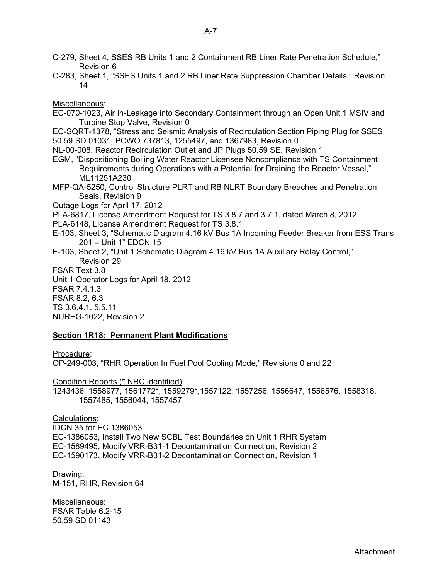C-283, Sheet 1, "SSES Units 1 and 2 RB Liner Rate Suppression Chamber Details," Revision 14

Miscellaneous:

- EC-070-1023, Air In-Leakage into Secondary Containment through an Open Unit 1 MSIV and Turbine Stop Valve, Revision 0
- EC-SQRT-1378, "Stress and Seismic Analysis of Recirculation Section Piping Plug for SSES 50.59 SD 01031, PCWO 737813, 1255497, and 1367983, Revision 0

NL-00-008, Reactor Recirculation Outlet and JP Plugs 50.59 SE, Revision 1

- EGM, "Dispositioning Boiling Water Reactor Licensee Noncompliance with TS Containment Requirements during Operations with a Potential for Draining the Reactor Vessel," ML11251A230
- MFP-QA-5250, Control Structure PLRT and RB NLRT Boundary Breaches and Penetration Seals, Revision 9

Outage Logs for April 17, 2012

PLA-6817, License Amendment Request for TS 3.8.7 and 3.7.1, dated March 8, 2012

- PLA-6148, License Amendment Request for TS 3.8.1
- E-103, Sheet 3, "Schematic Diagram 4.16 kV Bus 1A Incoming Feeder Breaker from ESS Trans 201 – Unit 1" EDCN 15
- E-103, Sheet 2, "Unit 1 Schematic Diagram 4.16 kV Bus 1A Auxiliary Relay Control," Revision 29
- FSAR Text 3.8

Unit 1 Operator Logs for April 18, 2012 FSAR 7.4.1.3 FSAR 8.2, 6.3

TS 3.6.4.1, 5.5.11

NUREG-1022, Revision 2

## **Section 1R18: Permanent Plant Modifications**

Procedure:

OP-249-003, "RHR Operation In Fuel Pool Cooling Mode," Revisions 0 and 22

Condition Reports (\* NRC identified):

1243436, 1558977, 1561772\*, 1559279\*,1557122, 1557256, 1556647, 1556576, 1558318, 1557485, 1556044, 1557457

Calculations:

IDCN 35 for EC 1386053 EC-1386053, Install Two New SCBL Test Boundaries on Unit 1 RHR System EC-1589495, Modify VRR-B31-1 Decontamination Connection, Revision 2 EC-1590173, Modify VRR-B31-2 Decontamination Connection, Revision 1

Drawing: M-151, RHR, Revision 64

Miscellaneous: FSAR Table 6.2-15 50.59 SD 01143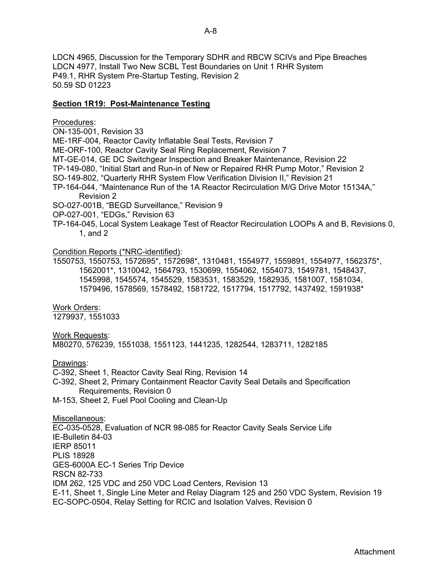LDCN 4965, Discussion for the Temporary SDHR and RBCW SCIVs and Pipe Breaches LDCN 4977, Install Two New SCBL Test Boundaries on Unit 1 RHR System P49.1, RHR System Pre-Startup Testing, Revision 2 50.59 SD 01223

#### **Section 1R19: Post-Maintenance Testing**

#### Procedures:

ON-135-001, Revision 33

ME-1RF-004, Reactor Cavity Inflatable Seal Tests, Revision 7

ME-ORF-100, Reactor Cavity Seal Ring Replacement, Revision 7

MT-GE-014, GE DC Switchgear Inspection and Breaker Maintenance, Revision 22

TP-149-080, "Initial Start and Run-in of New or Repaired RHR Pump Motor," Revision 2

SO-149-802, "Quarterly RHR System Flow Verification Division II," Revision 21

TP-164-044, "Maintenance Run of the 1A Reactor Recirculation M/G Drive Motor 15134A," Revision 2

SO-027-001B, "BEGD Surveillance," Revision 9

OP-027-001, "EDGs," Revision 63

TP-164-045, Local System Leakage Test of Reactor Recirculation LOOPs A and B, Revisions 0, 1, and 2

#### Condition Reports (\*NRC-identified):

1550753, 1550753, 1572695\*, 1572698\*, 1310481, 1554977, 1559891, 1554977, 1562375\*, 1562001\*, 1310042, 1564793, 1530699, 1554062, 1554073, 1549781, 1548437, 1545998, 1545574, 1545529, 1583531, 1583529, 1582935, 1581007, 1581034, 1579496, 1578569, 1578492, 1581722, 1517794, 1517792, 1437492, 1591938\*

## Work Orders:

1279937, 1551033

## Work Requests:

M80270, 576239, 1551038, 1551123, 1441235, 1282544, 1283711, 1282185

Drawings:

C-392, Sheet 1, Reactor Cavity Seal Ring, Revision 14

- C-392, Sheet 2, Primary Containment Reactor Cavity Seal Details and Specification Requirements, Revision 0
- M-153, Sheet 2, Fuel Pool Cooling and Clean-Up

## Miscellaneous:

EC-035-0528, Evaluation of NCR 98-085 for Reactor Cavity Seals Service Life IE-Bulletin 84-03 IERP 85011 PLIS 18928 GES-6000A EC-1 Series Trip Device RSCN 82-733 IDM 262, 125 VDC and 250 VDC Load Centers, Revision 13 E-11, Sheet 1, Single Line Meter and Relay Diagram 125 and 250 VDC System, Revision 19 EC-SOPC-0504, Relay Setting for RCIC and Isolation Valves, Revision 0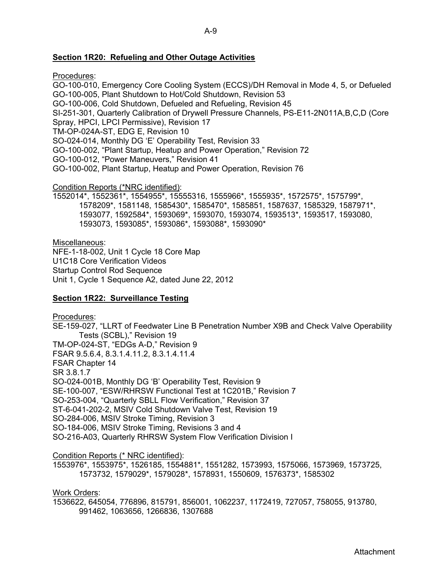## **Section 1R20: Refueling and Other Outage Activities**

Procedures:

GO-100-010, Emergency Core Cooling System (ECCS)/DH Removal in Mode 4, 5, or Defueled GO-100-005, Plant Shutdown to Hot/Cold Shutdown, Revision 53 GO-100-006, Cold Shutdown, Defueled and Refueling, Revision 45 SI-251-301, Quarterly Calibration of Drywell Pressure Channels, PS-E11-2N011A,B,C,D (Core Spray, HPCI, LPCI Permissive), Revision 17 TM-OP-024A-ST, EDG E, Revision 10 SO-024-014, Monthly DG 'E' Operability Test, Revision 33 GO-100-002, "Plant Startup, Heatup and Power Operation," Revision 72 GO-100-012, "Power Maneuvers," Revision 41 GO-100-002, Plant Startup, Heatup and Power Operation, Revision 76 Condition Reports (\*NRC identified):

1552014\*, 1552361\*, 1554955\*, 15555316, 1555966\*, 1555935\*, 1572575\*, 1575799\*, 1578209\*, 1581148, 1585430\*, 1585470\*, 1585851, 1587637, 1585329, 1587971\*, 1593077, 1592584\*, 1593069\*, 1593070, 1593074, 1593513\*, 1593517, 1593080, 1593073, 1593085\*, 1593086\*, 1593088\*, 1593090\*

Miscellaneous:

NFE-1-18-002, Unit 1 Cycle 18 Core Map U1C18 Core Verification Videos Startup Control Rod Sequence Unit 1, Cycle 1 Sequence A2, dated June 22, 2012

## **Section 1R22: Surveillance Testing**

Procedures: SE-159-027, "LLRT of Feedwater Line B Penetration Number X9B and Check Valve Operability Tests (SCBL)," Revision 19 TM-OP-024-ST, "EDGs A-D," Revision 9 FSAR 9.5.6.4, 8.3.1.4.11.2, 8.3.1.4.11.4 FSAR Chapter 14 SR 3.8.1.7 SO-024-001B, Monthly DG 'B' Operability Test, Revision 9 SE-100-007, "ESW/RHRSW Functional Test at 1C201B," Revision 7 SO-253-004, "Quarterly SBLL Flow Verification," Revision 37 ST-6-041-202-2, MSIV Cold Shutdown Valve Test, Revision 19 SO-284-006, MSIV Stroke Timing, Revision 3 SO-184-006, MSIV Stroke Timing, Revisions 3 and 4 SO-216-A03, Quarterly RHRSW System Flow Verification Division I

Condition Reports (\* NRC identified):

1553976\*, 1553975\*, 1526185, 1554881\*, 1551282, 1573993, 1575066, 1573969, 1573725, 1573732, 1579029\*, 1579028\*, 1578931, 1550609, 1576373\*, 1585302

Work Orders:

1536622, 645054, 776896, 815791, 856001, 1062237, 1172419, 727057, 758055, 913780, 991462, 1063656, 1266836, 1307688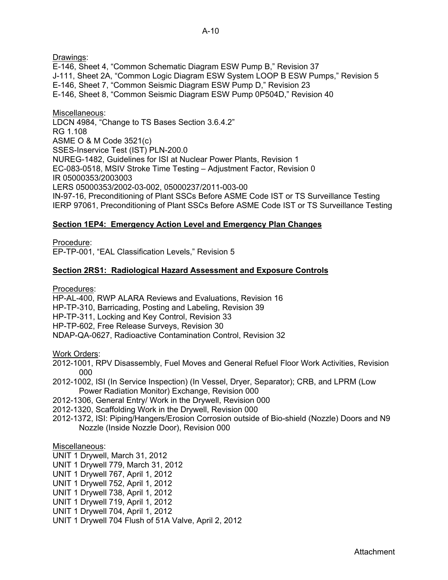Drawings:

E-146, Sheet 4, "Common Schematic Diagram ESW Pump B," Revision 37 J-111, Sheet 2A, "Common Logic Diagram ESW System LOOP B ESW Pumps," Revision 5 E-146, Sheet 7, "Common Seismic Diagram ESW Pump D," Revision 23 E-146, Sheet 8, "Common Seismic Diagram ESW Pump 0P504D," Revision 40

Miscellaneous: LDCN 4984, "Change to TS Bases Section 3.6.4.2" RG 1.108 ASME O & M Code 3521(c) SSES-Inservice Test (IST) PLN-200.0 NUREG-1482, Guidelines for ISI at Nuclear Power Plants, Revision 1 EC-083-0518, MSIV Stroke Time Testing – Adjustment Factor, Revision 0 IR 05000353/2003003 LERS 05000353/2002-03-002, 05000237/2011-003-00 IN-97-16, Preconditioning of Plant SSCs Before ASME Code IST or TS Surveillance Testing IERP 97061, Preconditioning of Plant SSCs Before ASME Code IST or TS Surveillance Testing

## **Section 1EP4: Emergency Action Level and Emergency Plan Changes**

Procedure:

EP-TP-001, "EAL Classification Levels," Revision 5

## **Section 2RS1: Radiological Hazard Assessment and Exposure Controls**

Procedures:

HP-AL-400, RWP ALARA Reviews and Evaluations, Revision 16

HP-TP-310, Barricading, Posting and Labeling, Revision 39

HP-TP-311, Locking and Key Control, Revision 33

HP-TP-602, Free Release Surveys, Revision 30

NDAP-QA-0627, Radioactive Contamination Control, Revision 32

Work Orders:

- 2012-1001, RPV Disassembly, Fuel Moves and General Refuel Floor Work Activities, Revision 000
- 2012-1002, ISI (In Service Inspection) (In Vessel, Dryer, Separator); CRB, and LPRM (Low Power Radiation Monitor) Exchange, Revision 000

2012-1306, General Entry/ Work in the Drywell, Revision 000

2012-1320, Scaffolding Work in the Drywell, Revision 000

2012-1372, ISI: Piping/Hangers/Erosion Corrosion outside of Bio-shield (Nozzle) Doors and N9 Nozzle (Inside Nozzle Door), Revision 000

Miscellaneous:

UNIT 1 Drywell, March 31, 2012

UNIT 1 Drywell 779, March 31, 2012

- UNIT 1 Drywell 767, April 1, 2012
- UNIT 1 Drywell 752, April 1, 2012
- UNIT 1 Drywell 738, April 1, 2012
- UNIT 1 Drywell 719, April 1, 2012
- UNIT 1 Drywell 704, April 1, 2012
- UNIT 1 Drywell 704 Flush of 51A Valve, April 2, 2012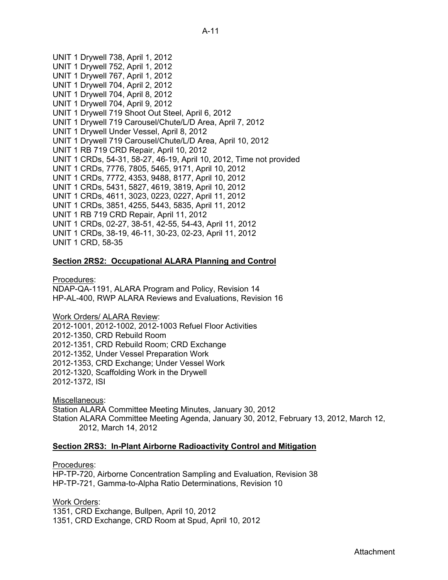UNIT 1 Drywell 738, April 1, 2012 UNIT 1 Drywell 752, April 1, 2012 UNIT 1 Drywell 767, April 1, 2012 UNIT 1 Drywell 704, April 2, 2012 UNIT 1 Drywell 704, April 8, 2012 UNIT 1 Drywell 704, April 9, 2012 UNIT 1 Drywell 719 Shoot Out Steel, April 6, 2012 UNIT 1 Drywell 719 Carousel/Chute/L/D Area, April 7, 2012 UNIT 1 Drywell Under Vessel, April 8, 2012 UNIT 1 Drywell 719 Carousel/Chute/L/D Area, April 10, 2012 UNIT 1 RB 719 CRD Repair, April 10, 2012 UNIT 1 CRDs, 54-31, 58-27, 46-19, April 10, 2012, Time not provided UNIT 1 CRDs, 7776, 7805, 5465, 9171, April 10, 2012 UNIT 1 CRDs, 7772, 4353, 9488, 8177, April 10, 2012 UNIT 1 CRDs, 5431, 5827, 4619, 3819, April 10, 2012 UNIT 1 CRDs, 4611, 3023, 0223, 0227, April 11, 2012 UNIT 1 CRDs, 3851, 4255, 5443, 5835, April 11, 2012 UNIT 1 RB 719 CRD Repair, April 11, 2012 UNIT 1 CRDs, 02-27, 38-51, 42-55, 54-43, April 11, 2012 UNIT 1 CRDs, 38-19, 46-11, 30-23, 02-23, April 11, 2012 UNIT 1 CRD, 58-35

## **Section 2RS2: Occupational ALARA Planning and Control**

#### Procedures:

NDAP-QA-1191, ALARA Program and Policy, Revision 14 HP-AL-400, RWP ALARA Reviews and Evaluations, Revision 16

Work Orders/ ALARA Review:

2012-1001, 2012-1002, 2012-1003 Refuel Floor Activities 2012-1350, CRD Rebuild Room 2012-1351, CRD Rebuild Room; CRD Exchange 2012-1352, Under Vessel Preparation Work 2012-1353, CRD Exchange; Under Vessel Work 2012-1320, Scaffolding Work in the Drywell 2012-1372, ISI

Miscellaneous: Station ALARA Committee Meeting Minutes, January 30, 2012 Station ALARA Committee Meeting Agenda, January 30, 2012, February 13, 2012, March 12, 2012, March 14, 2012

#### **Section 2RS3: In-Plant Airborne Radioactivity Control and Mitigation**

Procedures:

HP-TP-720, Airborne Concentration Sampling and Evaluation, Revision 38 HP-TP-721, Gamma-to-Alpha Ratio Determinations, Revision 10

Work Orders: 1351, CRD Exchange, Bullpen, April 10, 2012 1351, CRD Exchange, CRD Room at Spud, April 10, 2012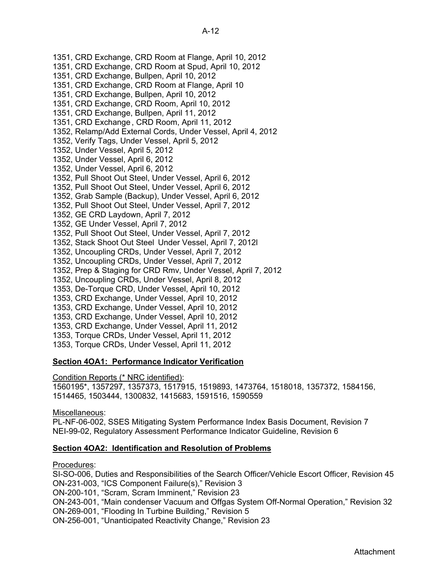1351, CRD Exchange, CRD Room at Flange, April 10, 2012 1351, CRD Exchange, CRD Room at Spud, April 10, 2012 1351, CRD Exchange, Bullpen, April 10, 2012 1351, CRD Exchange, CRD Room at Flange, April 10 1351, CRD Exchange, Bullpen, April 10, 2012 1351, CRD Exchange, CRD Room, April 10, 2012 1351, CRD Exchange, Bullpen, April 11, 2012 1351, CRD Exchange , CRD Room, April 11, 2012 1352, Relamp/Add External Cords, Under Vessel, April 4, 2012 1352, Verify Tags, Under Vessel, April 5, 2012 1352, Under Vessel, April 5, 2012 1352, Under Vessel, April 6, 2012 1352, Under Vessel, April 6, 2012 1352, Pull Shoot Out Steel, Under Vessel, April 6, 2012 1352, Pull Shoot Out Steel, Under Vessel, April 6, 2012 1352, Grab Sample (Backup), Under Vessel, April 6, 2012 1352, Pull Shoot Out Steel, Under Vessel, April 7, 2012 1352, GE CRD Laydown, April 7, 2012 1352, GE Under Vessel, April 7, 2012 1352, Pull Shoot Out Steel, Under Vessel, April 7, 2012 1352, Stack Shoot Out Steel Under Vessel, April 7, 2012l 1352, Uncoupling CRDs, Under Vessel, April 7, 2012 1352, Uncoupling CRDs, Under Vessel, April 7, 2012 1352, Prep & Staging for CRD Rmv, Under Vessel, April 7, 2012 1352, Uncoupling CRDs, Under Vessel, April 8, 2012 1353, De-Torque CRD, Under Vessel, April 10, 2012 1353, CRD Exchange, Under Vessel, April 10, 2012 1353, CRD Exchange, Under Vessel, April 10, 2012 1353, CRD Exchange, Under Vessel, April 10, 2012 1353, CRD Exchange, Under Vessel, April 11, 2012 1353, Torque CRDs, Under Vessel, April 11, 2012 1353, Torque CRDs, Under Vessel, April 11, 2012

## **Section 4OA1: Performance Indicator Verification**

Condition Reports (\* NRC identified):

1560195\*, 1357297, 1357373, 1517915, 1519893, 1473764, 1518018, 1357372, 1584156, 1514465, 1503444, 1300832, 1415683, 1591516, 1590559

Miscellaneous:

PL-NF-06-002, SSES Mitigating System Performance Index Basis Document, Revision 7 NEI-99-02, Regulatory Assessment Performance Indicator Guideline, Revision 6

## **Section 4OA2: Identification and Resolution of Problems**

Procedures:

SI-SO-006, Duties and Responsibilities of the Search Officer/Vehicle Escort Officer, Revision 45 ON-231-003, "ICS Component Failure(s)," Revision 3

ON-200-101, "Scram, Scram Imminent," Revision 23

ON-243-001, "Main condenser Vacuum and Offgas System Off-Normal Operation," Revision 32

ON-269-001, "Flooding In Turbine Building," Revision 5

ON-256-001, "Unanticipated Reactivity Change," Revision 23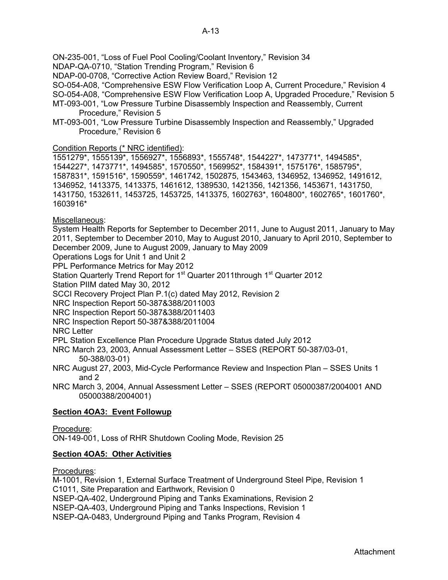ON-235-001, "Loss of Fuel Pool Cooling/Coolant Inventory," Revision 34

NDAP-QA-0710, "Station Trending Program," Revision 6

NDAP-00-0708, "Corrective Action Review Board," Revision 12

SO-054-A08, "Comprehensive ESW Flow Verification Loop A, Current Procedure," Revision 4

- SO-054-A08, "Comprehensive ESW Flow Verification Loop A, Upgraded Procedure," Revision 5 MT-093-001, "Low Pressure Turbine Disassembly Inspection and Reassembly, Current Procedure," Revision 5
- MT-093-001, "Low Pressure Turbine Disassembly Inspection and Reassembly," Upgraded Procedure," Revision 6

## Condition Reports (\* NRC identified):

1551279\*, 1555139\*, 1556927\*, 1556893\*, 1555748\*, 1544227\*, 1473771\*, 1494585\*, 1544227\*, 1473771\*, 1494585\*, 1570550\*, 1569952\*, 1584391\*, 1575176\*, 1585795\*, 1587831\*, 1591516\*, 1590559\*, 1461742, 1502875, 1543463, 1346952, 1346952, 1491612, 1346952, 1413375, 1413375, 1461612, 1389530, 1421356, 1421356, 1453671, 1431750, 1431750, 1532611, 1453725, 1453725, 1413375, 1602763\*, 1604800\*, 1602765\*, 1601760\*, 1603916\*

## Miscellaneous:

System Health Reports for September to December 2011, June to August 2011, January to May 2011, September to December 2010, May to August 2010, January to April 2010, September to December 2009, June to August 2009, January to May 2009

Operations Logs for Unit 1 and Unit 2

PPL Performance Metrics for May 2012

Station Quarterly Trend Report for 1<sup>st</sup> Quarter 2011through 1<sup>st</sup> Quarter 2012

Station PIIM dated May 30, 2012

SCCI Recovery Project Plan P.1(c) dated May 2012, Revision 2

NRC Inspection Report 50-387&388/2011003

NRC Inspection Report 50-387&388/2011403

NRC Inspection Report 50-387&388/2011004

NRC Letter

PPL Station Excellence Plan Procedure Upgrade Status dated July 2012

- NRC March 23, 2003, Annual Assessment Letter SSES (REPORT 50-387/03-01, 50-388/03-01)
- NRC August 27, 2003, Mid-Cycle Performance Review and Inspection Plan SSES Units 1 and 2

NRC March 3, 2004, Annual Assessment Letter – SSES (REPORT 05000387/2004001 AND 05000388/2004001)

## **Section 4OA3: Event Followup**

Procedure:

ON-149-001, Loss of RHR Shutdown Cooling Mode, Revision 25

## **Section 4OA5: Other Activities**

Procedures:

M-1001, Revision 1, External Surface Treatment of Underground Steel Pipe, Revision 1 C1011, Site Preparation and Earthwork, Revision 0 NSEP-QA-402, Underground Piping and Tanks Examinations, Revision 2 NSEP-QA-403, Underground Piping and Tanks Inspections, Revision 1 NSEP-QA-0483, Underground Piping and Tanks Program, Revision 4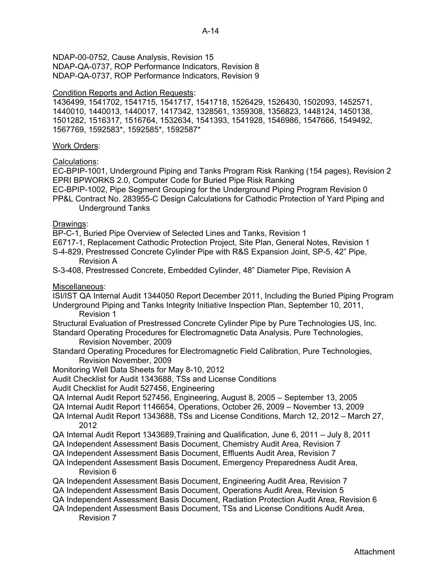NDAP-00-0752, Cause Analysis, Revision 15 NDAP-QA-0737, ROP Performance Indicators, Revision 8 NDAP-QA-0737, ROP Performance Indicators, Revision 9

## Condition Reports and Action Requests:

1436499, 1541702, 1541715, 1541717, 1541718, 1526429, 1526430, 1502093, 1452571, 1440010, 1440013, 1440017, 1417342, 1328561, 1359308, 1356823, 1448124, 1450138, 1501282, 1516317, 1516764, 1532634, 1541393, 1541928, 1546986, 1547666, 1549492, 1567769, 1592583\*, 1592585\*, 1592587\*

#### Work Orders:

## Calculations:

EC-BPIP-1001, Underground Piping and Tanks Program Risk Ranking (154 pages), Revision 2 EPRI BPWORKS 2.0, Computer Code for Buried Pipe Risk Ranking

EC-BPIP-1002, Pipe Segment Grouping for the Underground Piping Program Revision 0

PP&L Contract No. 283955-C Design Calculations for Cathodic Protection of Yard Piping and Underground Tanks

#### Drawings:

BP-C-1, Buried Pipe Overview of Selected Lines and Tanks, Revision 1

- E6717-1, Replacement Cathodic Protection Project, Site Plan, General Notes, Revision 1
- S-4-829, Prestressed Concrete Cylinder Pipe with R&S Expansion Joint, SP-5, 42" Pipe, Revision A
- S-3-408, Prestressed Concrete, Embedded Cylinder, 48" Diameter Pipe, Revision A

## Miscellaneous:

ISI/IST QA Internal Audit 1344050 Report December 2011, Including the Buried Piping Program Underground Piping and Tanks Integrity Initiative Inspection Plan, September 10, 2011, Revision 1

- Structural Evaluation of Prestressed Concrete Cylinder Pipe by Pure Technologies US, Inc. Standard Operating Procedures for Electromagnetic Data Analysis, Pure Technologies,
	- Revision November, 2009
- Standard Operating Procedures for Electromagnetic Field Calibration, Pure Technologies, Revision November, 2009
- Monitoring Well Data Sheets for May 8-10, 2012
- Audit Checklist for Audit 1343688, TSs and License Conditions
- Audit Checklist for Audit 527456, Engineering
- QA Internal Audit Report 527456, Engineering, August 8, 2005 September 13, 2005
- QA Internal Audit Report 1146654, Operations, October 26, 2009 November 13, 2009
- QA Internal Audit Report 1343688, TSs and License Conditions, March 12, 2012 March 27, 2012
- QA Internal Audit Report 1343689,Training and Qualification, June 6, 2011 July 8, 2011
- QA Independent Assessment Basis Document, Chemistry Audit Area, Revision 7
- QA Independent Assessment Basis Document, Effluents Audit Area, Revision 7
- QA Independent Assessment Basis Document, Emergency Preparedness Audit Area, Revision 6
- QA Independent Assessment Basis Document, Engineering Audit Area, Revision 7
- QA Independent Assessment Basis Document, Operations Audit Area, Revision 5
- QA Independent Assessment Basis Document, Radiation Protection Audit Area, Revision 6
- QA Independent Assessment Basis Document, TSs and License Conditions Audit Area, Revision 7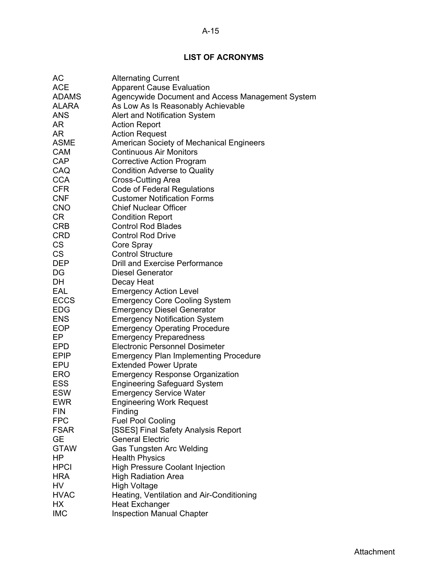# **LIST OF ACRONYMS**

| AC           | <b>Alternating Current</b>                       |
|--------------|--------------------------------------------------|
| <b>ACE</b>   | <b>Apparent Cause Evaluation</b>                 |
| <b>ADAMS</b> | Agencywide Document and Access Management System |
| ALARA        | As Low As Is Reasonably Achievable               |
| <b>ANS</b>   | Alert and Notification System                    |
| AR           | <b>Action Report</b>                             |
| AR           | <b>Action Request</b>                            |
| <b>ASME</b>  | American Society of Mechanical Engineers         |
| <b>CAM</b>   | <b>Continuous Air Monitors</b>                   |
| CAP          | <b>Corrective Action Program</b>                 |
| CAQ          | <b>Condition Adverse to Quality</b>              |
| <b>CCA</b>   | Cross-Cutting Area                               |
| <b>CFR</b>   | <b>Code of Federal Regulations</b>               |
| <b>CNF</b>   | <b>Customer Notification Forms</b>               |
| <b>CNO</b>   | <b>Chief Nuclear Officer</b>                     |
| CR           | <b>Condition Report</b>                          |
| <b>CRB</b>   | <b>Control Rod Blades</b>                        |
| <b>CRD</b>   | <b>Control Rod Drive</b>                         |
| <b>CS</b>    | Core Spray                                       |
| <b>CS</b>    | <b>Control Structure</b>                         |
| <b>DEP</b>   | Drill and Exercise Performance                   |
| DG           | <b>Diesel Generator</b>                          |
| DH           | Decay Heat                                       |
| EAL          | <b>Emergency Action Level</b>                    |
| ECCS         | <b>Emergency Core Cooling System</b>             |
| <b>EDG</b>   | <b>Emergency Diesel Generator</b>                |
| <b>ENS</b>   | <b>Emergency Notification System</b>             |
| <b>EOP</b>   | <b>Emergency Operating Procedure</b>             |
| EP           | <b>Emergency Preparedness</b>                    |
| <b>EPD</b>   | <b>Electronic Personnel Dosimeter</b>            |
| <b>EPIP</b>  |                                                  |
| EPU          | <b>Emergency Plan Implementing Procedure</b>     |
| <b>ERO</b>   | <b>Extended Power Uprate</b>                     |
|              | <b>Emergency Response Organization</b>           |
| <b>ESS</b>   | <b>Engineering Safeguard System</b>              |
| <b>ESW</b>   | <b>Emergency Service Water</b>                   |
| <b>EWR</b>   | <b>Engineering Work Request</b>                  |
| FIN          | Finding                                          |
| <b>FPC</b>   | <b>Fuel Pool Cooling</b>                         |
| <b>FSAR</b>  | [SSES] Final Safety Analysis Report              |
| <b>GE</b>    | <b>General Electric</b>                          |
| <b>GTAW</b>  | <b>Gas Tungsten Arc Welding</b>                  |
| HP           | <b>Health Physics</b>                            |
| <b>HPCI</b>  | <b>High Pressure Coolant Injection</b>           |
| <b>HRA</b>   | <b>High Radiation Area</b>                       |
| HV           | <b>High Voltage</b>                              |
| <b>HVAC</b>  | Heating, Ventilation and Air-Conditioning        |
| НX           | <b>Heat Exchanger</b>                            |
| <b>IMC</b>   | <b>Inspection Manual Chapter</b>                 |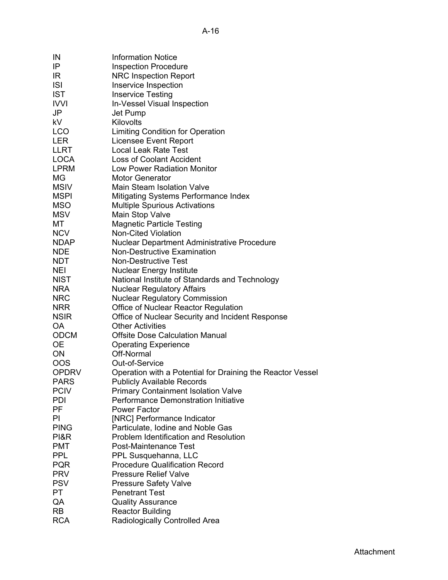| IN           | <b>Information Notice</b>                                                   |
|--------------|-----------------------------------------------------------------------------|
| IP           | <b>Inspection Procedure</b>                                                 |
| IR           | <b>NRC Inspection Report</b>                                                |
| <b>ISI</b>   | Inservice Inspection                                                        |
| <b>IST</b>   | <b>Inservice Testing</b>                                                    |
| <b>IVVI</b>  | In-Vessel Visual Inspection                                                 |
| JP           | Jet Pump                                                                    |
| kV           | Kilovolts                                                                   |
|              |                                                                             |
| <b>LCO</b>   | Limiting Condition for Operation                                            |
| <b>LER</b>   | <b>Licensee Event Report</b>                                                |
| LLRT         | <b>Local Leak Rate Test</b>                                                 |
| <b>LOCA</b>  | <b>Loss of Coolant Accident</b>                                             |
| <b>LPRM</b>  | <b>Low Power Radiation Monitor</b>                                          |
| ΜG           | <b>Motor Generator</b>                                                      |
| <b>MSIV</b>  | <b>Main Steam Isolation Valve</b>                                           |
| <b>MSPI</b>  | Mitigating Systems Performance Index                                        |
| <b>MSO</b>   | <b>Multiple Spurious Activations</b>                                        |
| <b>MSV</b>   | Main Stop Valve                                                             |
| МT           | <b>Magnetic Particle Testing</b>                                            |
| <b>NCV</b>   | <b>Non-Cited Violation</b>                                                  |
| <b>NDAP</b>  | <b>Nuclear Department Administrative Procedure</b>                          |
| <b>NDE</b>   | <b>Non-Destructive Examination</b>                                          |
| <b>NDT</b>   | <b>Non-Destructive Test</b>                                                 |
| <b>NEI</b>   | <b>Nuclear Energy Institute</b>                                             |
| <b>NIST</b>  | National Institute of Standards and Technology                              |
| <b>NRA</b>   | <b>Nuclear Regulatory Affairs</b>                                           |
| <b>NRC</b>   | <b>Nuclear Regulatory Commission</b>                                        |
| <b>NRR</b>   | Office of Nuclear Reactor Regulation                                        |
| <b>NSIR</b>  |                                                                             |
| OA           | Office of Nuclear Security and Incident Response<br><b>Other Activities</b> |
|              |                                                                             |
| <b>ODCM</b>  | <b>Offsite Dose Calculation Manual</b>                                      |
| <b>OE</b>    | <b>Operating Experience</b>                                                 |
| <b>ON</b>    | Off-Normal                                                                  |
| <b>OOS</b>   | Out-of-Service                                                              |
| <b>OPDRV</b> | Operation with a Potential for Draining the Reactor Vessel                  |
| <b>PARS</b>  | <b>Publicly Available Records</b>                                           |
| <b>PCIV</b>  | <b>Primary Containment Isolation Valve</b>                                  |
| PDI          | <b>Performance Demonstration Initiative</b>                                 |
| PF           | <b>Power Factor</b>                                                         |
| PI           | [NRC] Performance Indicator                                                 |
| <b>PING</b>  | Particulate, Iodine and Noble Gas                                           |
| PI&R         | <b>Problem Identification and Resolution</b>                                |
| <b>PMT</b>   | Post-Maintenance Test                                                       |
| <b>PPL</b>   | PPL Susquehanna, LLC                                                        |
| <b>PQR</b>   | <b>Procedure Qualification Record</b>                                       |
| <b>PRV</b>   | <b>Pressure Relief Valve</b>                                                |
| <b>PSV</b>   | <b>Pressure Safety Valve</b>                                                |
| PT           | <b>Penetrant Test</b>                                                       |
| QA           | <b>Quality Assurance</b>                                                    |
| <b>RB</b>    | <b>Reactor Building</b>                                                     |
| <b>RCA</b>   | Radiologically Controlled Area                                              |
|              |                                                                             |